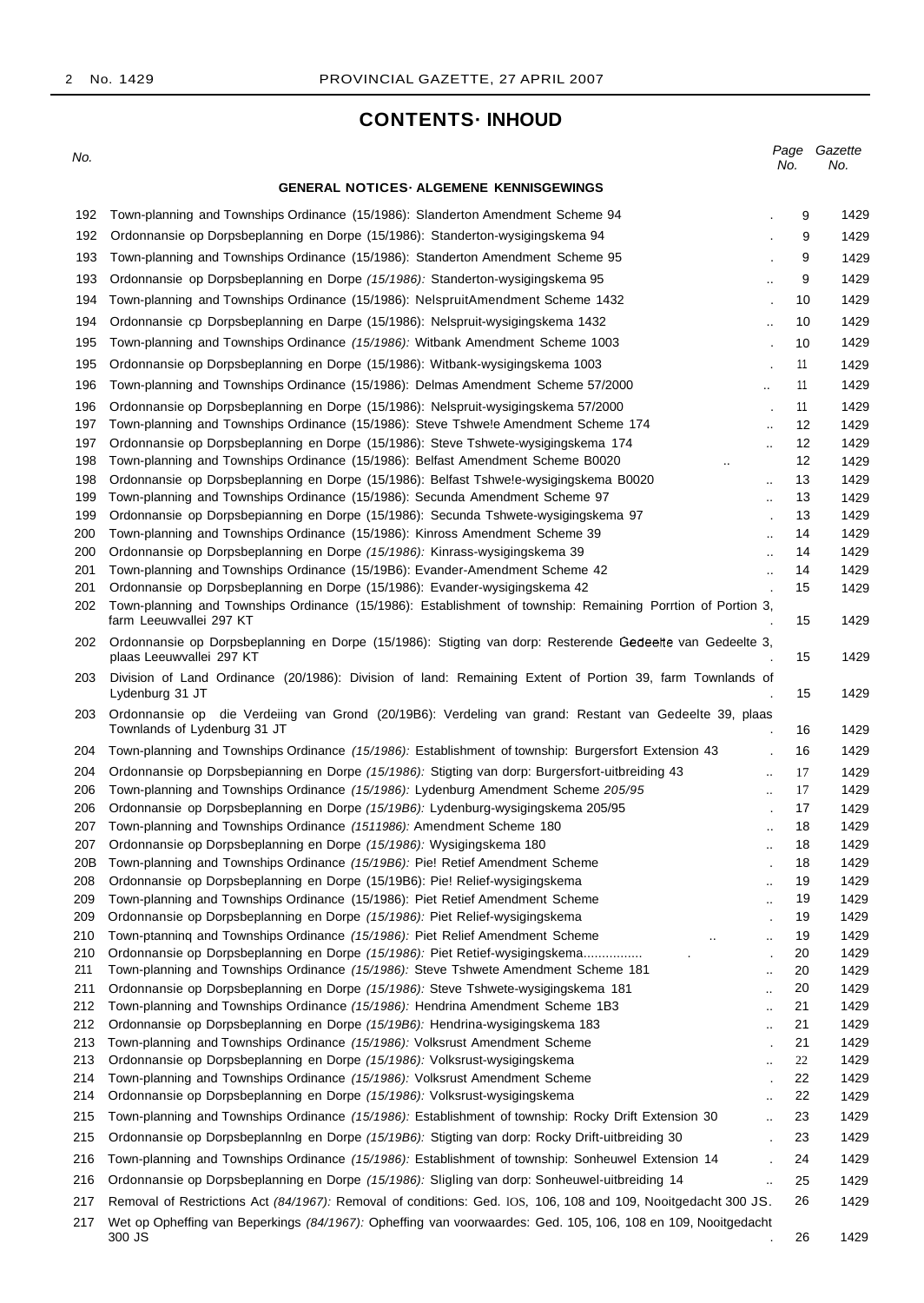## **CONTENTS· INHOUD**

#### No. **GENERAL NOTICES· ALGEMENE KENNISGEWINGS** Page Gazette<br>No. No. No. No. 192 Town-planning and Townships Ordinance (15/1986): Slanderton Amendment Scheme 94 . 192 Ordonnansie op Dorpsbeplanning en Dorpe (15/1986): Standerton-wysigingskema 94 . 193 Town-planning and Townships Ordinance (15/1986): Standerton Amendment Scheme 95 . 193 Ordonnansie op Dorpsbeplanning en Dorpe (15/1986): Standerton-wysigingskema 95 194 Town-planning and Townships Ordinance (15/1986): NelspruitAmendment Scheme 1432 . 194 Ordonnansie cp Dorpsbeplanning en Darpe (15/1986): Nelspruit-wysigingskema 1432 195 Town-planning and Townships Ordinance (15/1986): Witbank Amendment Scheme 1003 . 195 Ordonnansie op Dorpsbeplanning en Dorpe (15/1986): Witbank-wysigingskema 1003 . 196 Town-planning and Townships Ordinance (15/1986): Delmas Amendment Scheme 57/2000 196 Ordonnansie op Dorpsbeplanning en Dorpe (15/1986): Nelspruit-wysigingskema 57/2000 . 197 Town-planning and Townships Ordinance (15/1986): Steve Tshwele Amendment Scheme 174 197 Ordonnansie op Dorpsbeplanning en Dorpe (15/1986): Steve Tshwete-wysigingskema 174 198 Town-planning and Townships Ordinance (15/1986): Belfast Amendment Scheme B0020 .. 198 Ordonnansie op Dorpsbeplanning en Dorpe (15/1986): Belfast Tshwe!e-wysigingskema B0020 199 Town-planning and Townships Ordinance (15/1986): Secunda Amendment Scheme 97 .. 199 Ordonnansie op Dorpsbepianning en Dorpe (15/1986): Secunda Tshwete-wysigingskema 97 . 200 Town-planning and Townships Ordinance (15/1986): Kinross Amendment Scheme 39 .. 200 Ordonnansie op Dorpsbeplanning en Dorpe (15/1986): Kinrass-wysigingskema 39 .. 201 Town-planning and Townships Ordinance (15/19B6): Evander-Amendment Scheme 42 .. 201 Ordonnansie op Dorpsbeplanning en Dorpe (15/1986): Evander-wysigingskema 42 . 202 Town-planning and Townships Ordinance (15/1986): Establishment of township: Remaining Porrtion of Portion 3, farm Leeuwvallei 297 KT 202 Ordonnansie op Dorpsbeplanning en Dorpe (15/1986): Stigting van dorp: Resterende Gedeeije van Gedeelte 3, plaas Leeuwvallei 297 KT . 203 Division of Land Ordinance (20/1986): Division of land: Remaining Extent of Portion 39, farm Townlands of Lydenburg 31 JT . 203 Ordonnansie op die Verdeiing van Grond (20/19B6): Verdeling van grand: Restant van Gedeelte 39, plaas Townlands of Lydenburg 31 JT . 204 Town-planning and Townships Ordinance (15/1986): Establishment of township: Burgersfort Extension 43 204 Ordonnansie op Dorpsbepianning en Dorpe (15/1986): Stigting van dorp: Burgersfort-uitbreiding 43 ... 206 Town-planning and Townships Ordinance (15/1986): Lydenburg Amendment Scheme 205/95 206 Ordonnansie op Dorpsbeplanning en Dorpe (15/19B6): Lydenburg-wysigingskema 205/95 . 207 Town-planning and Townships Ordinance (1511986): Amendment Scheme 180 207 Ordonnansie op Dorpsbeplanning en Dorpe (15/1986): Wysigingskema 180 20B Town-planning and Townships Ordinance (15/19B6): Pie! Retief Amendment Scheme 208 Ordonnansie op Dorpsbeplanning en Dorpe (15/19B6): Pie! Relief-wysigingskema 209 Town-planning and Townships Ordinance (15/1986): Piet Retief Amendment Scheme .. 209 Ordonnansie op Dorpsbeplanning en Dorpe (15/1986): Piet Relief-wysigingskema . 210 Town-ptanning and Townships Ordinance  $(15/1986)$ : Piet Relief Amendment Scheme 210 Ordonnansie op Dorpsbeplanning en Dorpe (15/1986): Piet Retief-wysigingskema................ 211 Town-planning and Townships Ordinance (15/1986): Steve Tshwete Amendment Scheme 181 211 Ordonnansie op Dorpsbeplanning en Dorpe (15/1986): Steve Tshwete-wysigingskema 181 212 Town-planning and Townships Ordinance (15/1986): Hendrina Amendment Scheme 1B3 212 Ordonnansie op Dorpsbeplanning en Dorpe (15/19B6): Hendrina-wysigingskema 183 213 Town-planning and Townships Ordinance (15/1986): Volksrust Amendment Scheme 213 Ordonnansie op Dorpsbeplanning en Dorpe (15/1986): Volksrust-wysigingskema 214 Town-planning and Townships Ordinance (15/1986): Volksrust Amendment Scheme 214 Ordonnansie op Dorpsbeplanning en Dorpe (15/1986): Volksrust-wysigingskema 215 Town-planning and Townships Ordinance (15/1986): Establishment of township: Rocky Drift Extension 30 215 Ordonnansie op Dorpsbeplanning en Dorpe (15/19B6): Stigting van dorp: Rocky Drift-uitbreiding 30 216 Town-planning and Townships Ordinance (15/1986): Establishment of township: Sonheuwel Extension 14 216 Ordonnansie op Dorpsbeplanning en Dorpe (15/1986): Sligling van dorp: Sonheuwel-uitbreiding 14 217 Removal of Restrictions Act (84/1967): Removal of conditions: Ged. lOS, 106, 108 and 109, Nooitgedacht 300 JS. 217 Wet op Opheffing van Beperkings (84/1967): Opheffing van voorwaardes: Ged. 105, 106, 108 en 109, Nooitgedacht 9 1429 9 1429 9 1429 9 1429 10 1429 10 1429 10 1429 11 1429 11 1429 11 1429 12 1429 12 1429 12 1429 13 1429 13 1429 13 1429 14 1429 14 1429 14 1429 15 1429 15 1429 15 1429 15 1429 16 1429 16 1429 17 1429 17 1429 17 1429 18 1429 18 1429 18 1429 19 1429 19 1429 19 1429 19 1429 20 1429 20 1429 20 1429 21 1429 21 1429 21 1429  $22$  1429 22 1429 22 1429 23 1429 23 1429 24 1429 25 1429 26 1429

 $300$  JS  $\sim$  . The set of the set of the set of the set of the set of the set of the set of the set of the set of the set of the set of the set of the set of the set of the set of the set of the set of the set of the set

26 1429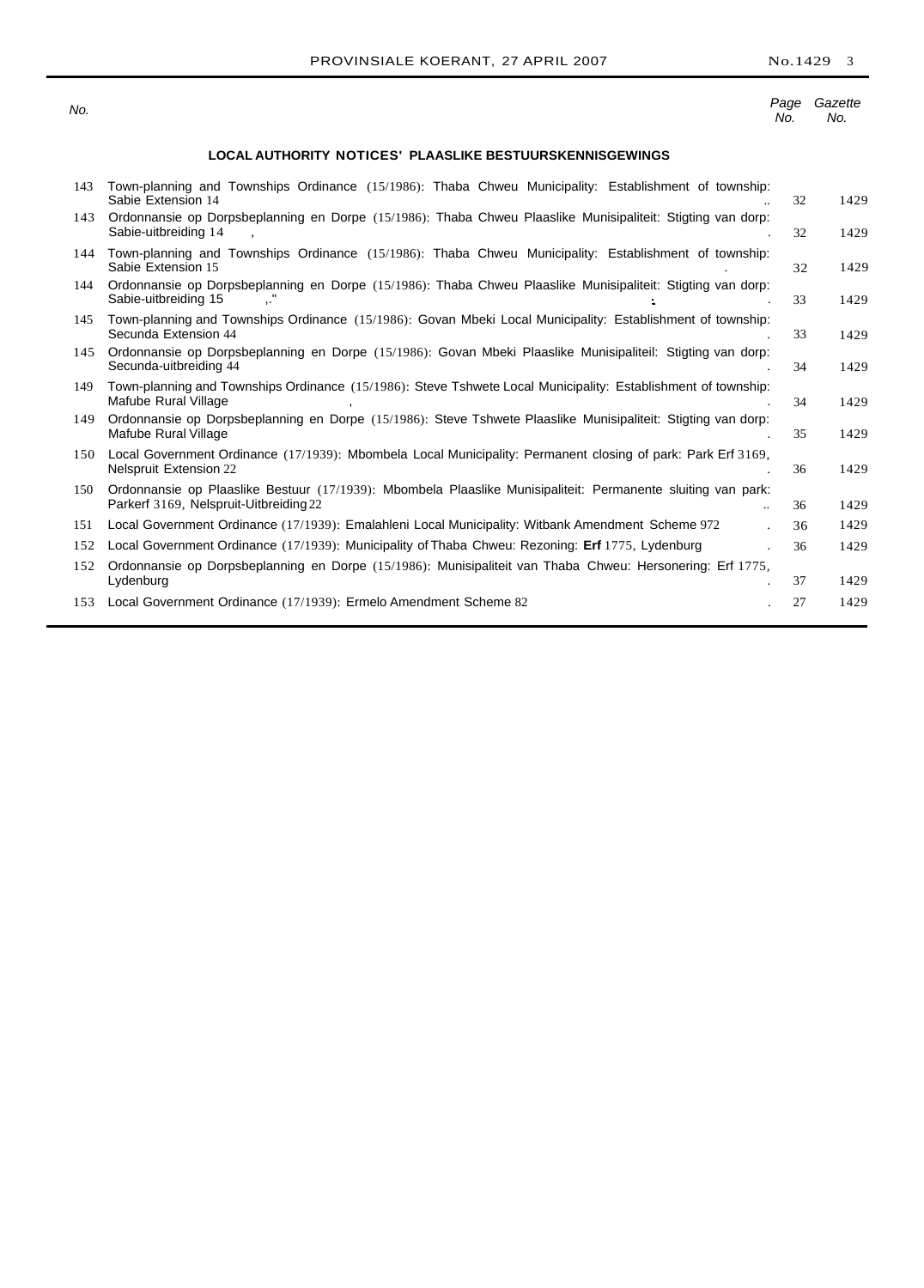No.

#### Page Gazette No. No.

## **LOCAL AUTHORITY NOTICES' PLAASLIKE BESTUURSKENNISGEWINGS**

| 143 | Town-planning and Townships Ordinance (15/1986): Thaba Chweu Municipality: Establishment of township:<br>Sabie Extension 14                                              | 32 | 1429 |
|-----|--------------------------------------------------------------------------------------------------------------------------------------------------------------------------|----|------|
| 143 | Ordonnansie op Dorpsbeplanning en Dorpe (15/1986): Thaba Chweu Plaaslike Munisipaliteit: Stigting van dorp:<br>Sabie-uitbreiding 14                                      | 32 | 1429 |
| 144 | Town-planning and Townships Ordinance (15/1986): Thaba Chweu Municipality: Establishment of township:<br>Sabie Extension 15                                              | 32 | 1429 |
| 144 | Ordonnansie op Dorpsbeplanning en Dorpe (15/1986): Thaba Chweu Plaaslike Munisipaliteit: Stigting van dorp:<br>Sabie-uitbreiding 15                                      | 33 | 1429 |
| 145 | Town-planning and Townships Ordinance (15/1986): Govan Mbeki Local Municipality: Establishment of township:<br>Secunda Extension 44                                      | 33 | 1429 |
| 145 | Ordonnansie op Dorpsbeplanning en Dorpe (15/1986): Govan Mbeki Plaaslike Munisipaliteil: Stigting van dorp:<br>Secunda-uitbreiding 44                                    | 34 | 1429 |
| 149 | Town-planning and Townships Ordinance (15/1986): Steve Tshwete Local Municipality: Establishment of township:<br>Mafube Rural Village                                    | 34 | 1429 |
| 149 | Ordonnansie op Dorpsbeplanning en Dorpe (15/1986): Steve Tshwete Plaaslike Munisipaliteit: Stigting van dorp:<br>Mafube Rural Village                                    | 35 | 1429 |
| 150 | Local Government Ordinance (17/1939): Mbombela Local Municipality: Permanent closing of park: Park Erf 3169,<br><b>Nelspruit Extension 22</b>                            | 36 | 1429 |
| 150 | Ordonnansie op Plaaslike Bestuur (17/1939): Mbombela Plaaslike Munisipaliteit: Permanente sluiting van park:<br>Parkerf 3169, Nelspruit-Uitbreiding 22<br>$\overline{a}$ | 36 | 1429 |
| 151 | Local Government Ordinance (17/1939): Emalahleni Local Municipality: Witbank Amendment Scheme 972                                                                        | 36 | 1429 |
| 152 | Local Government Ordinance (17/1939): Municipality of Thaba Chweu: Rezoning: Erf 1775, Lydenburg                                                                         | 36 | 1429 |
| 152 | Ordonnansie op Dorpsbeplanning en Dorpe (15/1986): Munisipaliteit van Thaba Chweu: Hersonering: Erf 1775,<br>Lydenburg                                                   | 37 | 1429 |
| 153 | Local Government Ordinance (17/1939): Ermelo Amendment Scheme 82                                                                                                         | 27 | 1429 |
|     |                                                                                                                                                                          |    |      |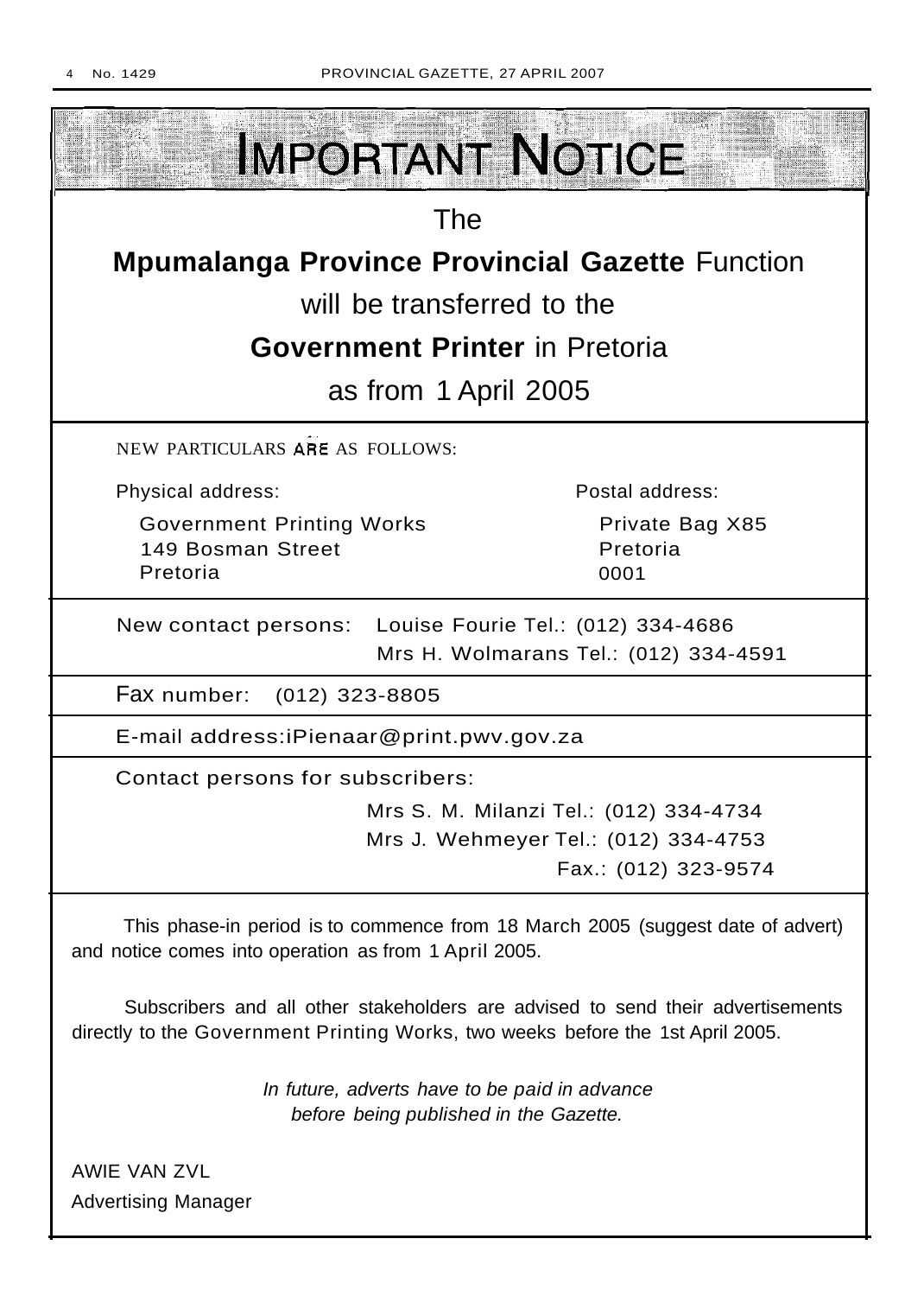

AWIE VAN ZVL Advertising Manager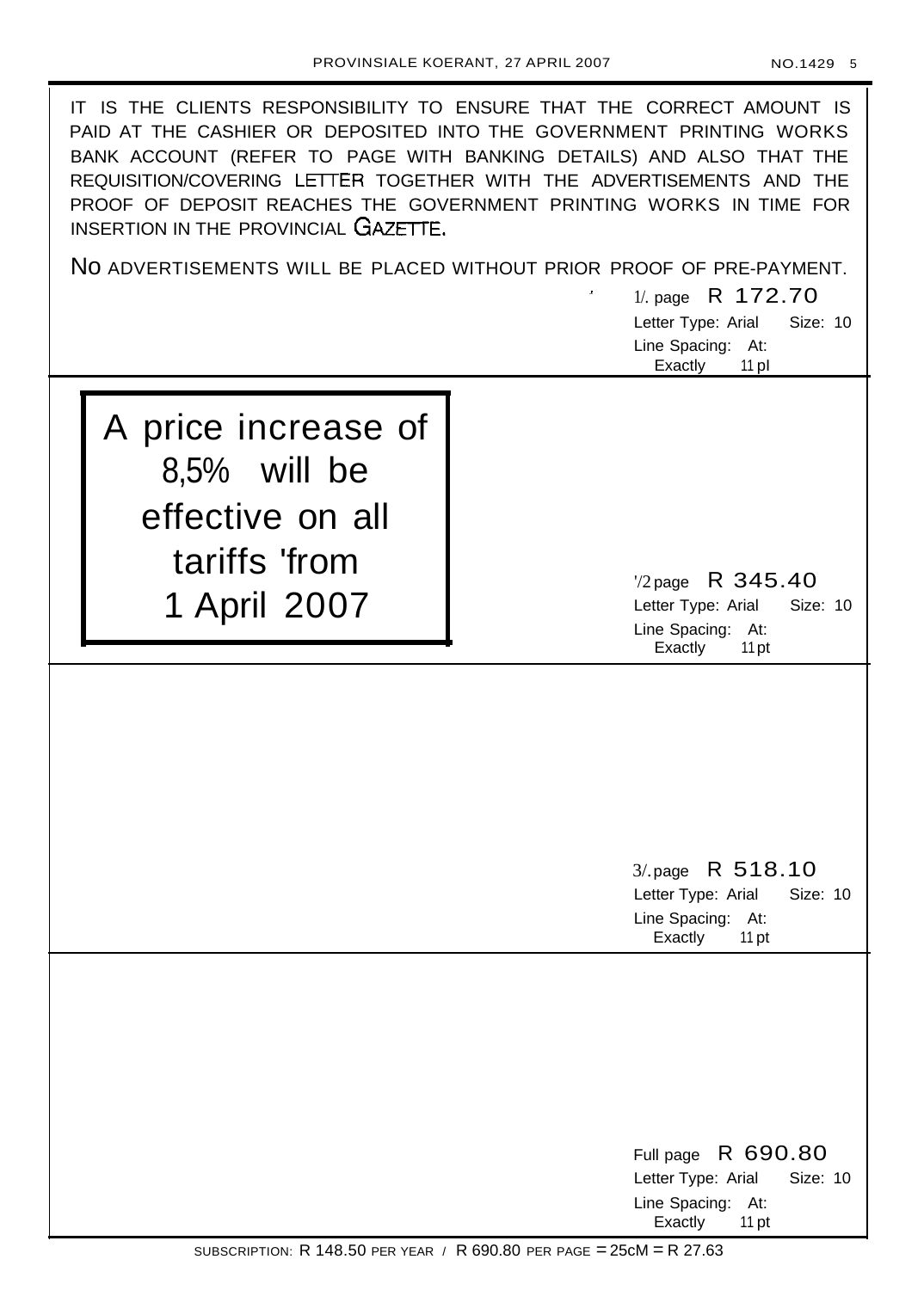IT IS THE CLIENTS RESPONSIBILITY TO ENSURE THAT THE CORRECT AMOUNT IS PAID AT THE CASHIER OR DEPOSITED INTO THE GOVERNMENT PRINTING WORKS BANK ACCOUNT (REFER TO PAGE WITH BANKING DETAILS) AND ALSO THAT THE REQUISITION/COVERING LETTER TOGETHER WITH THE ADVERTISEMENTS AND THE PROOF OF DEPOSIT REACHES THE GOVERNMENT PRINTING WORKS IN TIME FOR INSERTION IN THE PROVINCIAL GAZETTE.

No ADVERTISEMENTS WILL BE PLACED WITHOUT PRIOR PROOF OF PRE-PAYMENT.

1/. page R 172.70

Letter Type: Arial Size: 10 Line Spacing: At: Exactly 11 pl

A price increase of 8,5% will be effective on all tariffs 'from 1 April 2007

'/2 page R 345.40 Letter Type: Arial Size: 10 Line Spacing: At: Exactly 11 pt

3/.page R 518.10 Letter Type: Arial Size: 10 Line Spacing: At: Exactly 11 pt

Full page R 690.80 Letter Type: Arial Size: 10 Line Spacing: At: Exactly 11 pt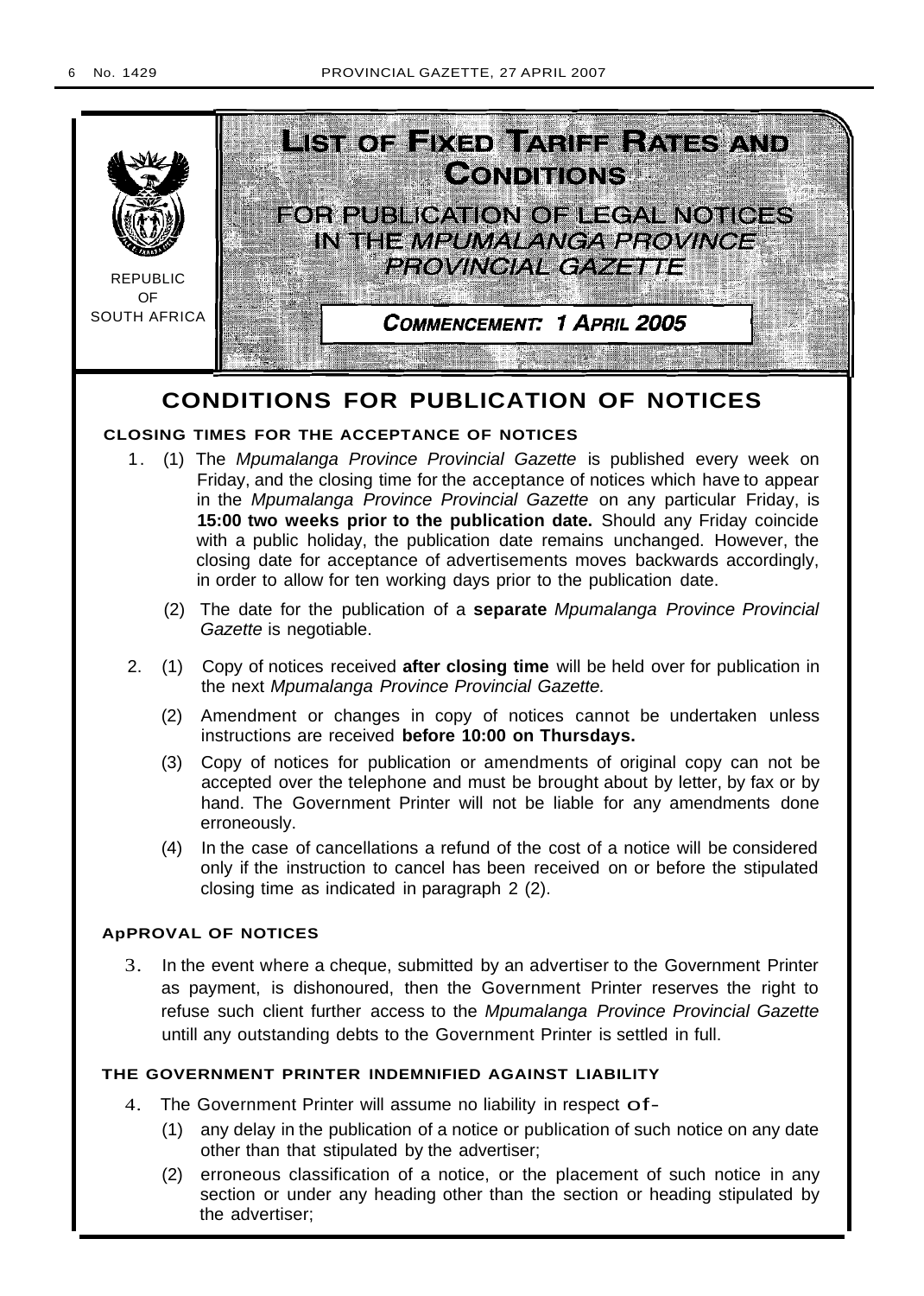

## **CONDITIONS FOR PUBLICATION OF NOTICES**

## **CLOSING TIMES FOR THE ACCEPTANCE OF NOTICES**

- 1. (1) The Mpumalanga Province Provincial Gazette is published every week on Friday, and the closing time for the acceptance of notices which have to appear in the Mpumalanga Province Provincial Gazette on any particular Friday, is **15:00 two weeks prior to the publication date.** Should any Friday coincide with a public holiday, the publication date remains unchanged. However, the closing date for acceptance of advertisements moves backwards accordingly, in order to allow for ten working days prior to the publication date.
	- (2) The date for the publication of a **separate** Mpumalanga Province Provincial Gazette is negotiable.
- 2. (1) Copy of notices received **after closing time** will be held over for publication in the next Mpumalanga Province Provincial Gazette.
	- (2) Amendment or changes in copy of notices cannot be undertaken unless instructions are received **before 10:00 on Thursdays.**
	- (3) Copy of notices for publication or amendments of original copy can not be accepted over the telephone and must be brought about by letter, by fax or by hand. The Government Printer will not be liable for any amendments done erroneously.
	- (4) In the case of cancellations a refund of the cost of a notice will be considered only if the instruction to cancel has been received on or before the stipulated closing time as indicated in paragraph 2 (2).

## **ApPROVAL OF NOTICES**

3. In the event where a cheque, submitted by an advertiser to the Government Printer as payment, is dishonoured, then the Government Printer reserves the right to refuse such client further access to the Mpumalanga Province Provincial Gazette untill any outstanding debts to the Government Printer is settled in full.

## **THE GOVERNMENT PRINTER INDEMNIFIED AGAINST LIABILITY**

- 4. The Government Printer will assume no liability in respect of-
	- (1) any delay in the publication of a notice or publication of such notice on any date other than that stipulated by the advertiser;
	- (2) erroneous classification of a notice, or the placement of such notice in any section or under any heading other than the section or heading stipulated by the advertiser;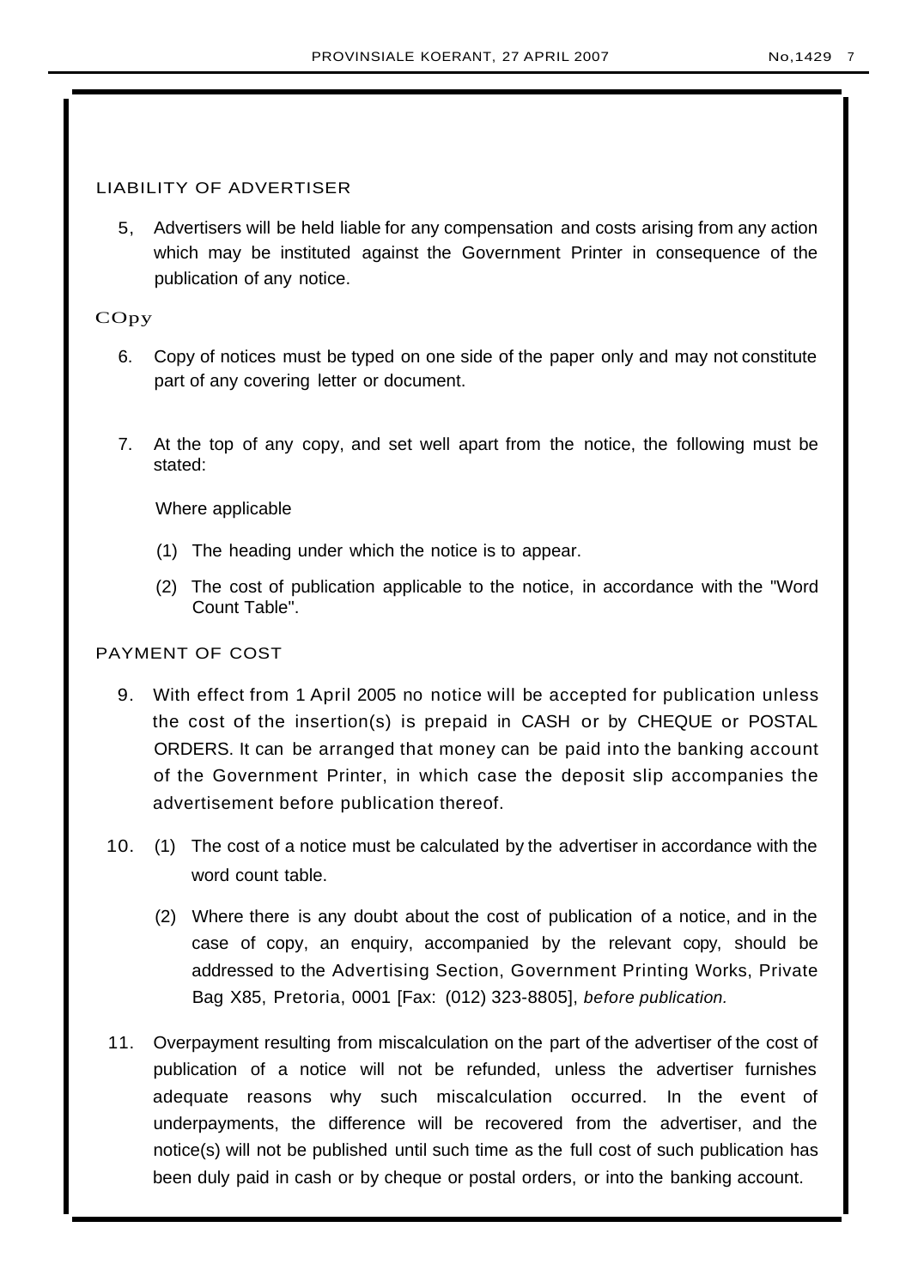## LIABILITY OF ADVERTISER

5, Advertisers will be held liable for any compensation and costs arising from any action which may be instituted against the Government Printer in consequence of the publication of any notice.

## COpy

- 6. Copy of notices must be typed on one side of the paper only and may not constitute part of any covering letter or document.
- 7. At the top of any copy, and set well apart from the notice, the following must be stated:

Where applicable

- (1) The heading under which the notice is to appear.
- (2) The cost of publication applicable to the notice, in accordance with the "Word Count Table".

## PAYMENT OF COST

- 9. With effect from 1 April 2005 no notice will be accepted for publication unless the cost of the insertion(s) is prepaid in CASH or by CHEQUE or POSTAL ORDERS. It can be arranged that money can be paid into the banking account of the Government Printer, in which case the deposit slip accompanies the advertisement before publication thereof.
- 10. (1) The cost of a notice must be calculated by the advertiser in accordance with the word count table.
	- (2) Where there is any doubt about the cost of publication of a notice, and in the case of copy, an enquiry, accompanied by the relevant copy, should be addressed to the Advertising Section, Government Printing Works, Private Bag X85, Pretoria, 0001 [Fax: (012) 323-8805], before publication.
- 11. Overpayment resulting from miscalculation on the part of the advertiser of the cost of publication of a notice will not be refunded, unless the advertiser furnishes adequate reasons why such miscalculation occurred. In the event of underpayments, the difference will be recovered from the advertiser, and the notice(s) will not be published until such time as the full cost of such publication has been duly paid in cash or by cheque or postal orders, or into the banking account.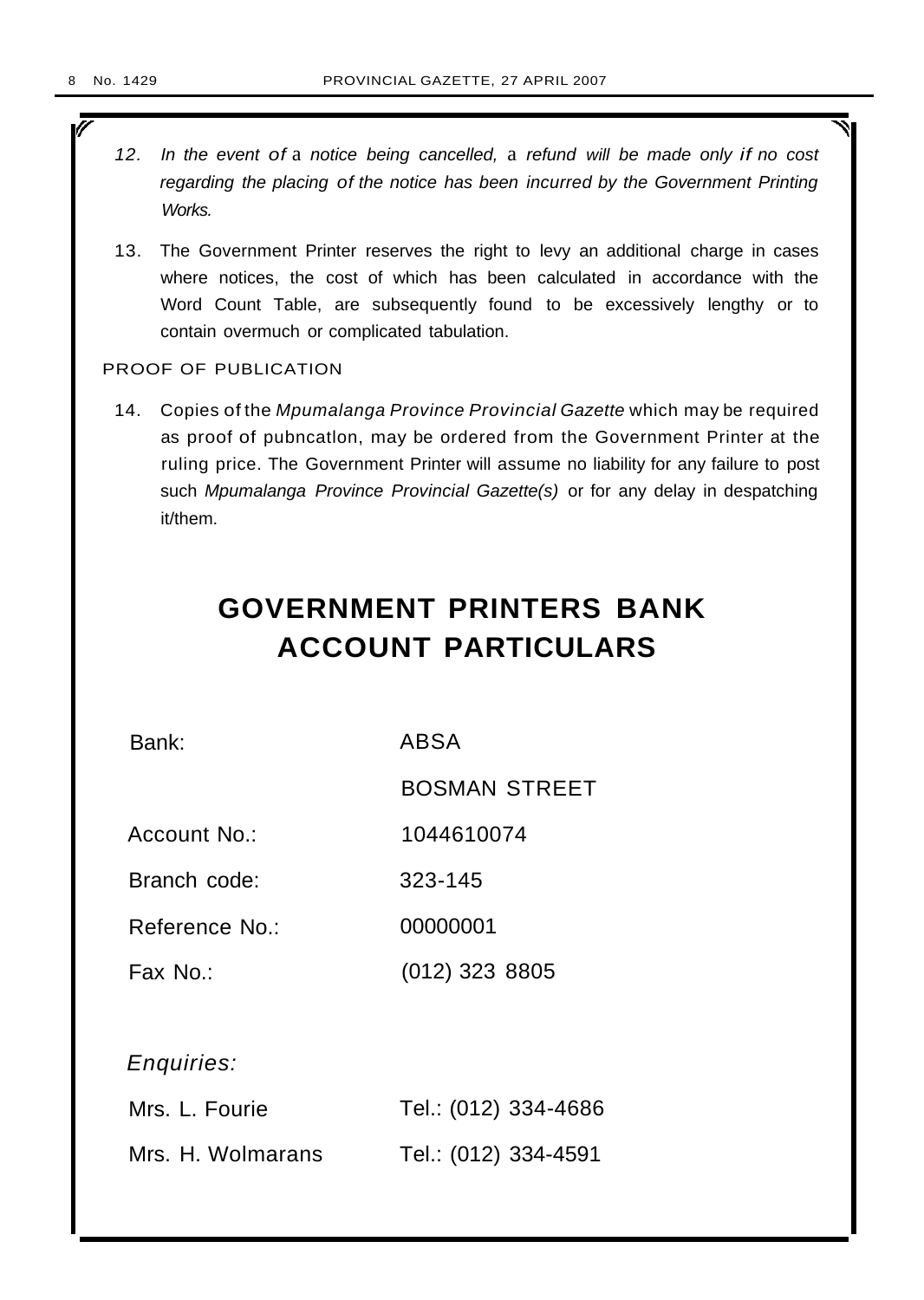ī

- 12. In the event of a notice being cancelled, a refund will be made only if no cost regarding the placing of the notice has been incurred by the Government Printing Works.
- 13. The Government Printer reserves the right to levy an additional charge in cases where notices, the cost of which has been calculated in accordance with the Word Count Table, are subsequently found to be excessively lengthy or to contain overmuch or complicated tabulation.

## PROOF OF PUBLICATION

14. Copies of the Mpumalanga Province Provincial Gazette which may be required as proof of pubncatlon, may be ordered from the Government Printer at the ruling price. The Government Printer will assume no liability for any failure to post such Mpumalanga Province Provincial Gazette(s) or for any delay in despatching it/them.

# **GOVERNMENT PRINTERS BANK ACCOUNT PARTICULARS**

Bank: ABSA

BOSMAN STREET

Account No.: 1044610074

Branch code: 323-145

Reference No.: 00000001

Fax No.: (012) 323 8805

Enquiries:

| Mrs. L. Fourie    | Tel.: (012) 334-4686 |
|-------------------|----------------------|
| Mrs. H. Wolmarans | Tel.: (012) 334-4591 |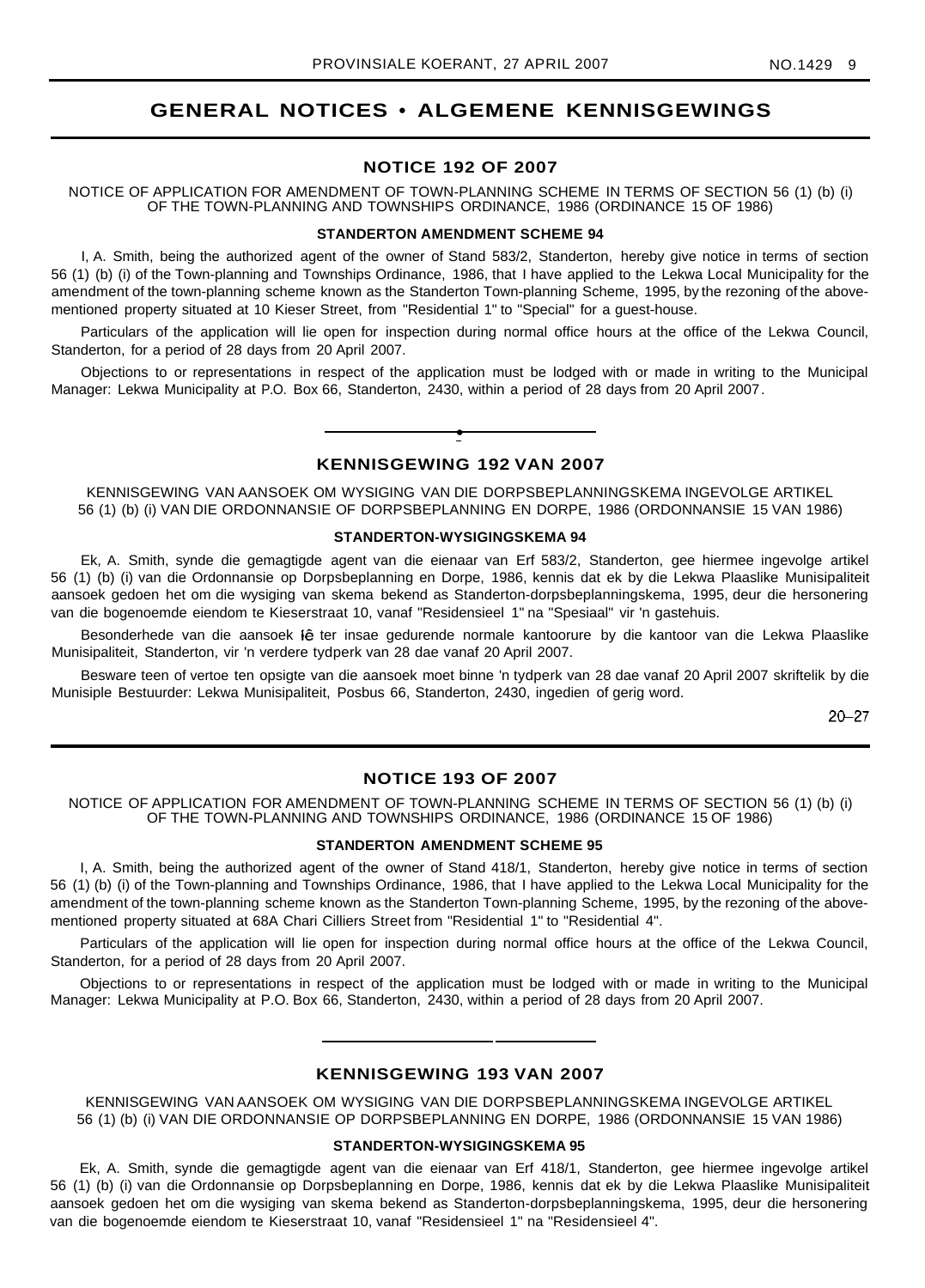## **GENERAL NOTICES • ALGEMENE KENNISGEWINGS**

## **NOTICE 192 OF 2007**

NOTICE OF APPLICATION FOR AMENDMENT OF TOWN-PLANNING SCHEME IN TERMS OF SECTION 56 (1) (b) (i) OF THE TOWN-PLANNING AND TOWNSHIPS ORDINANCE, 1986 (ORDINANCE 15 OF 1986)

## **STANDERTON AMENDMENT SCHEME 94**

I, A. Smith, being the authorized agent of the owner of Stand 583/2, Standerton, hereby give notice in terms of section 56 (1) (b) (i) of the Town-planning and Townships Ordinance, 1986, that I have applied to the Lekwa Local Municipality for the amendment of the town-planning scheme known as the Standerton Town-planning Scheme, 1995, by the rezoning of the abovementioned property situated at 10 Kieser Street, from "Residential 1" to "Special" for a guest-house.

Particulars of the application will lie open for inspection during normal office hours at the office of the Lekwa Council, Standerton, for a period of 28 days from 20 April 2007.

Objections to or representations in respect of the application must be lodged with or made in writing to the Municipal Manager: Lekwa Municipality at P.O. Box 66, Standerton, 2430, within a period of 28 days from 20 April 2007.

## **• KENNISGEWING 192 VAN 2007**

KENNISGEWING VAN AANSOEK OM WYSIGING VAN DIE DORPSBEPLANNINGSKEMA INGEVOLGE ARTIKEL 56 (1) (b) (i) VAN DIE ORDONNANSIE OF DORPSBEPLANNING EN DORPE, 1986 (ORDONNANSIE 15 VAN 1986)

#### **STANDERTON-WYSIGINGSKEMA 94**

Ek, A. Smith, synde die gemagtigde agent van die eienaar van Erf 583/2, Standerton, gee hiermee ingevolge artikel 56 (1) (b) (i) van die Ordonnansie op Dorpsbeplanning en Dorpe, 1986, kennis dat ek by die Lekwa Plaaslike Munisipaliteit aansoek gedoen het om die wysiging van skema bekend as Standerton-dorpsbeplanningskema, 1995, deur die hersonering van die bogenoemde eiendom te Kieserstraat 10, vanaf "Residensieel 1" na "Spesiaal" vir 'n gastehuis.

Besonderhede van die aansoek Iê ter insae gedurende normale kantoorure by die kantoor van die Lekwa Plaaslike Munisipaliteit, Standerton, vir 'n verdere tydperk van 28 dae vanaf 20 April 2007.

Besware teen of vertoe ten opsigte van die aansoek moet binne 'n tydperk van 28 dae vanaf 20 April 2007 skriftelik by die Munisiple Bestuurder: Lekwa Munisipaliteit, Posbus 66, Standerton, 2430, ingedien of gerig word.

20-27

## **NOTICE 193 OF 2007**

NOTICE OF APPLICATION FOR AMENDMENT OF TOWN-PLANNING SCHEME IN TERMS OF SECTION 56 (1) (b) (i) OF THE TOWN-PLANNING AND TOWNSHIPS ORDINANCE, 1986 (ORDINANCE 15 OF 1986)

## **STANDERTON AMENDMENT SCHEME 95**

I, A. Smith, being the authorized agent of the owner of Stand 418/1, Standerton, hereby give notice in terms of section 56 (1) (b) (i) of the Town-planning and Townships Ordinance, 1986, that I have applied to the Lekwa Local Municipality for the amendment of the town-planning scheme known as the Standerton Town-planning Scheme, 1995, by the rezoning of the abovementioned property situated at 68A Chari Cilliers Street from "Residential 1" to "Residential 4".

Particulars of the application will lie open for inspection during normal office hours at the office of the Lekwa Council, Standerton, for a period of 28 days from 20 April 2007.

Objections to or representations in respect of the application must be lodged with or made in writing to the Municipal Manager: Lekwa Municipality at P.O. Box 66, Standerton, 2430, within a period of 28 days from 20 April 2007.

## **KENNISGEWING 193 VAN 2007**

KENNISGEWING VAN AANSOEK OM WYSIGING VAN DIE DORPSBEPLANNINGSKEMA INGEVOLGE ARTIKEL 56 (1) (b) (i) VAN DIE ORDONNANSIE OP DORPSBEPLANNING EN DORPE, 1986 (ORDONNANSIE 15 VAN 1986)

#### **STANDERTON-WYSIGINGSKEMA 95**

Ek, A. Smith, synde die gemagtigde agent van die eienaar van Erf 418/1, Standerton, gee hiermee ingevolge artikel 56 (1) (b) (i) van die Ordonnansie op Dorpsbeplanning en Dorpe, 1986, kennis dat ek by die Lekwa Plaaslike Munisipaliteit aansoek gedoen het om die wysiging van skema bekend as Standerton-dorpsbeplanningskema, 1995, deur die hersonering van die bogenoemde eiendom te Kieserstraat 10, vanaf "Residensieel 1" na "Residensieel 4".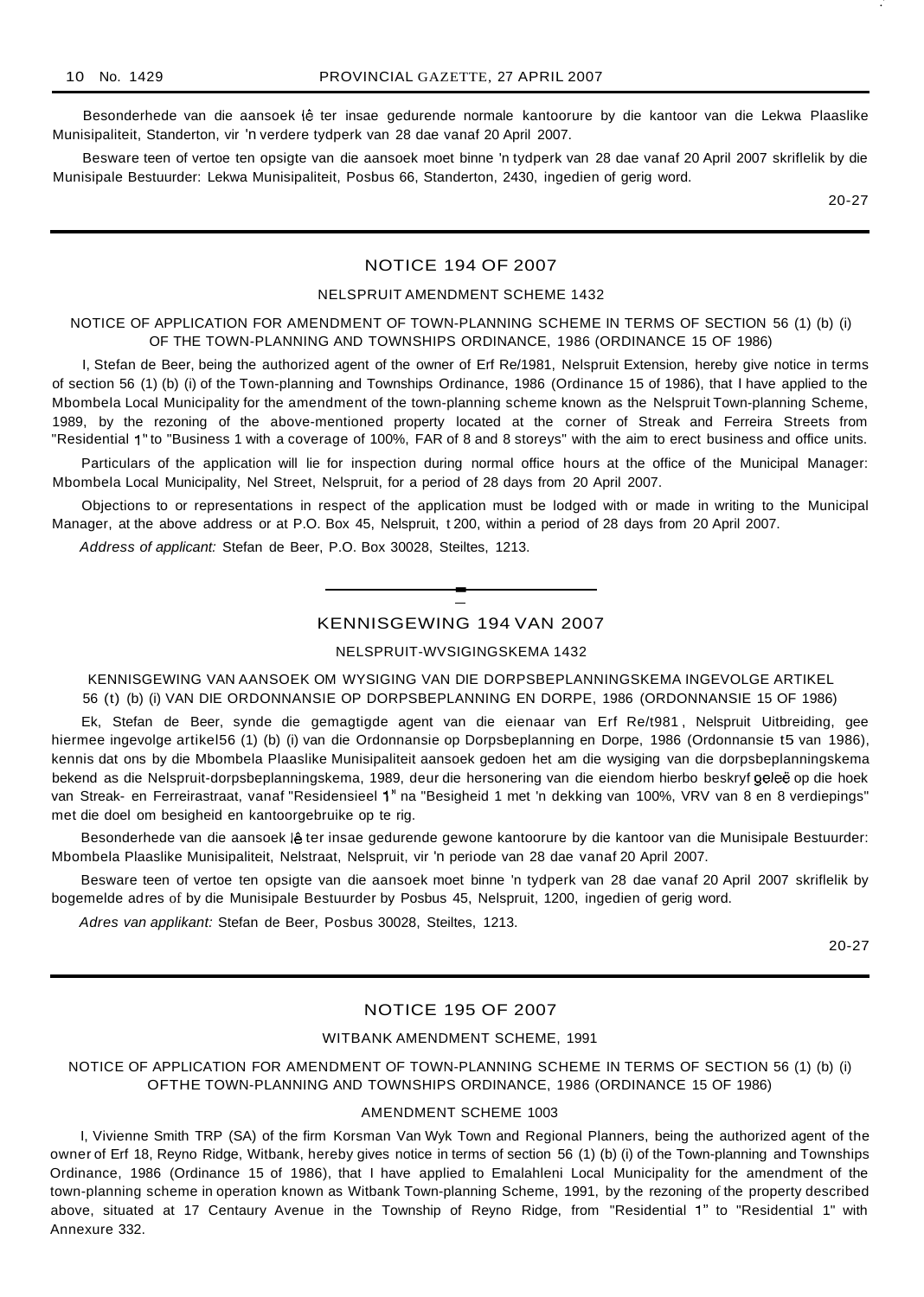Besonderhede van die aansoek lê ter insae gedurende normale kantoorure by die kantoor van die Lekwa Plaaslike Munisipaliteit, Standerton, vir 'n verdere tydperk van 28 dae vanaf 20 April 2007.

Besware teen of vertoe ten opsigte van die aansoek moet binne 'n tydperk van 28 dae vanaf 20 April 2007 skriflelik by die Munisipale Bestuurder: Lekwa Munisipaliteit, Posbus 66, Standerton, 2430, ingedien of gerig word.

20-27

.'

## NOTICE 194 OF 2007

#### NELSPRUIT AMENDMENT SCHEME 1432

### NOTICE OF APPLICATION FOR AMENDMENT OF TOWN-PLANNING SCHEME IN TERMS OF SECTION 56 (1) (b) (i) OF THE TOWN-PLANNING AND TOWNSHIPS ORDINANCE, 1986 (ORDINANCE 15 OF 1986)

I, Stefan de Beer, being the authorized agent of the owner of Erf Re/1981, Nelspruit Extension, hereby give notice in terms of section 56 (1) (b) (i) of the Town-planning and Townships Ordinance, 1986 (Ordinance 15 of 1986), that I have applied to the Mbombela Local Municipality for the amendment of the town-planning scheme known as the Nelspruit Town-planning Scheme, 1989, by the rezoning of the above-mentioned property located at the corner of Streak and Ferreira Streets from "Residential 1" to "Business 1 with a coverage of 100%, FAR of 8 and 8 storeys" with the aim to erect business and office units.

Particulars of the application will lie for inspection during normal office hours at the office of the Municipal Manager: Mbombela Local Municipality, Nel Street, Nelspruit, for a period of 28 days from 20 April 2007.

Objections to or representations in respect of the application must be lodged with or made in writing to the Municipal Manager, at the above address or at P.O. Box 45, Nelspruit, t 200, within a period of 28 days from 20 April 2007.

Address of applicant: Stefan de Beer, P.O. Box 30028, Steiltes, 1213.

## KENNISGEWING 194 VAN 2007

**-**

#### NELSPRUIT-WVSIGINGSKEMA 1432

KENNISGEWING VAN AANSOEK OM WYSIGING VAN DIE DORPSBEPLANNINGSKEMA INGEVOLGE ARTIKEL 56 (t) (b) (i) VAN DIE ORDONNANSIE OP DORPSBEPLANNING EN DORPE, 1986 (ORDONNANSIE 15 OF 1986)

Ek, Stefan de Beer, synde die gemagtigde agent van die eienaar van Erf Re/t981 , Nelspruit Uitbreiding, gee hiermee ingevolge artikel56 (1) (b) (i) van die Ordonnansie op Dorpsbeplanning en Dorpe, 1986 (Ordonnansie t5 van 1986), kennis dat ons by die Mbombela Plaaslike Munisipaliteit aansoek gedoen het am die wysiging van die dorpsbeplanningskema bekend as die Nelspruit-dorpsbeplanningskema, 1989, deur die hersonering van die eiendom hierbo beskryf geleë op die hoek van Streak- en Ferreirastraat, vanaf "Residensieel 1" na "Besigheid 1 met 'n dekking van 100%, VRV van 8 en 8 verdiepings" met die doel om besigheid en kantoorgebruike op te rig.

Besonderhede van die aansoek lê ter insae gedurende gewone kantoorure by die kantoor van die Munisipale Bestuurder: Mbombela Plaaslike Munisipaliteit, Nelstraat, Nelspruit, vir 'n periode van 28 dae vanaf 20 April 2007.

Besware teen of vertoe ten opsigte van die aansoek moet binne 'n tydperk van 28 dae vanaf 20 April 2007 skriflelik by bogemelde adres of by die Munisipale Bestuurder by Posbus 45, Nelspruit, 1200, ingedien of gerig word.

Adres van applikant: Stefan de Beer, Posbus 30028, Steiltes, 1213.

20-27

## NOTICE 195 OF 2007

#### WITBANK AMENDMENT SCHEME, 1991

NOTICE OF APPLICATION FOR AMENDMENT OF TOWN-PLANNING SCHEME IN TERMS OF SECTION 56 (1) (b) (i) OFTHE TOWN-PLANNING AND TOWNSHIPS ORDINANCE, 1986 (ORDINANCE 15 OF 1986)

#### AMENDMENT SCHEME 1003

I, Vivienne Smith TRP (SA) of the firm Korsman Van Wyk Town and Regional Planners, being the authorized agent of the owner of Erf 18, Reyno Ridge, Witbank, hereby gives notice in terms of section 56 (1) (b) (i) of the Town-planning and Townships Ordinance, 1986 (Ordinance 15 of 1986), that I have applied to Emalahleni Local Municipality for the amendment of the town-planning scheme in operation known as Witbank Town-planning Scheme, 1991, by the rezoning of the property described above, situated at 17 Centaury Avenue in the Township of Reyno Ridge, from "Residential 1" to "Residential 1" with Annexure 332.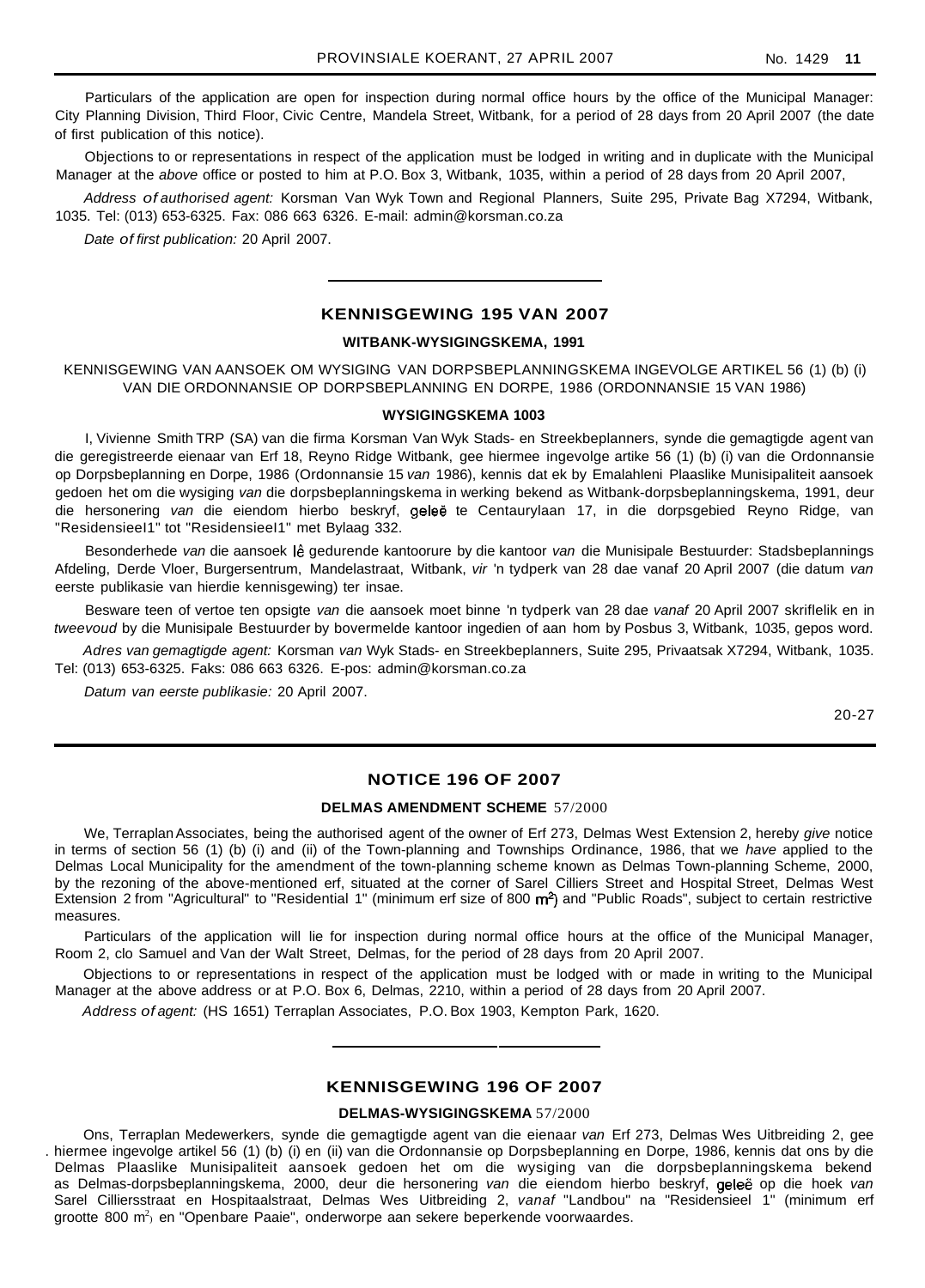Particulars of the application are open for inspection during normal office hours by the office of the Municipal Manager: City Planning Division, Third Floor, Civic Centre, Mandela Street, Witbank, for a period of 28 days from 20 April 2007 (the date of first publication of this notice).

Objections to or representations in respect of the application must be lodged in writing and in duplicate with the Municipal Manager at the above office or posted to him at P.O. Box 3, Witbank, 1035, within a period of 28 days from 20 April 2007,

Address of authorised agent: Korsman Van Wyk Town and Regional Planners, Suite 295, Private Bag X7294, Witbank, 1035. Tel: (013) 653-6325. Fax: 086 663 6326. E-mail: admin@korsman.co.za

Date of first publication: 20 April 2007.

### **KENNISGEWING 195 VAN 2007**

#### **WITBANK-WYSIGINGSKEMA, 1991**

KENNISGEWING VAN AANSOEK OM WYSIGING VAN DORPSBEPLANNINGSKEMA INGEVOLGE ARTIKEL 56 (1) (b) (i) VAN DIE ORDONNANSIE OP DORPSBEPLANNING EN DORPE, 1986 (ORDONNANSIE 15 VAN 1986)

#### **WYSIGINGSKEMA 1003**

I, Vivienne Smith TRP (SA) van die firma Korsman Van Wyk Stads- en Streekbeplanners, synde die gemagtigde agent van die geregistreerde eienaar van Erf 18, Reyno Ridge Witbank, gee hiermee ingevolge artike 56 (1) (b) (i) van die Ordonnansie op Dorpsbeplanning en Dorpe, 1986 (Ordonnansie 15 van 1986), kennis dat ek by Emalahleni Plaaslike Munisipaliteit aansoek gedoen het om die wysiging van die dorpsbeplanningskema in werking bekend as Witbank-dorpsbeplanningskema, 1991, deur die hersonering van die eiendom hierbo beskryf, geleë te Centaurylaan 17, in die dorpsgebied Reyno Ridge, van "ResidensieeI1" tot "ResidensieeI1" met Bylaag 332.

Besonderhede van die aansoek Iê gedurende kantoorure by die kantoor van die Munisipale Bestuurder: Stadsbeplannings Afdeling, Derde Vloer, Burgersentrum, Mandelastraat, Witbank, vir 'n tydperk van 28 dae vanaf 20 April 2007 (die datum van eerste publikasie van hierdie kennisgewing) ter insae.

Besware teen of vertoe ten opsigte van die aansoek moet binne 'n tydperk van 28 dae vanaf 20 April 2007 skriflelik en in tweevoud by die Munisipale Bestuurder by bovermelde kantoor ingedien of aan hom by Posbus 3, Witbank, 1035, gepos word.

Adres van gemagtigde agent: Korsman van Wyk Stads- en Streekbeplanners, Suite 295, Privaatsak X7294, Witbank, 1035. Tel: (013) 653-6325. Faks: 086 663 6326. E-pos: admin@korsman.co.za

Datum van eerste publikasie: 20 April 2007.

20-27

## **NOTICE 196 OF 2007**

#### **DELMAS AMENDMENT SCHEME** 57/2000

We, Terraplan Associates, being the authorised agent of the owner of Erf 273, Delmas West Extension 2, hereby give notice in terms of section 56 (1) (b) (i) and (ii) of the Town-planning and Townships Ordinance, 1986, that we have applied to the Delmas Local Municipality for the amendment of the town-planning scheme known as Delmas Town-planning Scheme, 2000, by the rezoning of the above-mentioned erf, situated at the corner of Sarel Cilliers Street and Hospital Street, Delmas West Extension 2 from "Agricultural" to "Residential 1" (minimum erf size of 800 m<sup>2</sup>) and "Public Roads", subject to certain restrictive measures.

Particulars of the application will lie for inspection during normal office hours at the office of the Municipal Manager, Room 2, clo Samuel and Van der Walt Street, Delmas, for the period of 28 days from 20 April 2007.

Objections to or representations in respect of the application must be lodged with or made in writing to the Municipal Manager at the above address or at P.O. Box 6, Delmas, 2210, within a period of 28 days from 20 April 2007.

Address of agent: (HS 1651) Terraplan Associates, P.O. Box 1903, Kempton Park, 1620.

## **KENNISGEWING 196 OF 2007**

## **DELMAS-WYSIGINGSKEMA** 57/2000

Ons, Terraplan Medewerkers, synde die gemagtigde agent van die eienaar van Erf 273, Delmas Wes Uitbreiding 2, gee . hiermee ingevolge artikel 56 (1) (b) (i) en (ii) van die Ordonnansie op Dorpsbeplanning en Dorpe, 1986, kennis dat ons by die Delmas Plaaslike Munisipaliteit aansoek gedoen het om die wysiging van die dorpsbeplanningskema bekend as Delmas-dorpsbeplanningskema, 2000, deur die hersonering van die eiendom hierbo beskryf, geleë op die hoek van Sarel Cilliersstraat en Hospitaalstraat, Delmas Wes Uitbreiding 2, vanaf "Landbou" na "Residensieel 1" (minimum erf grootte 800 m<sup>2</sup>) en "Openbare Paaie", onderworpe aan sekere beperkende voorwaardes.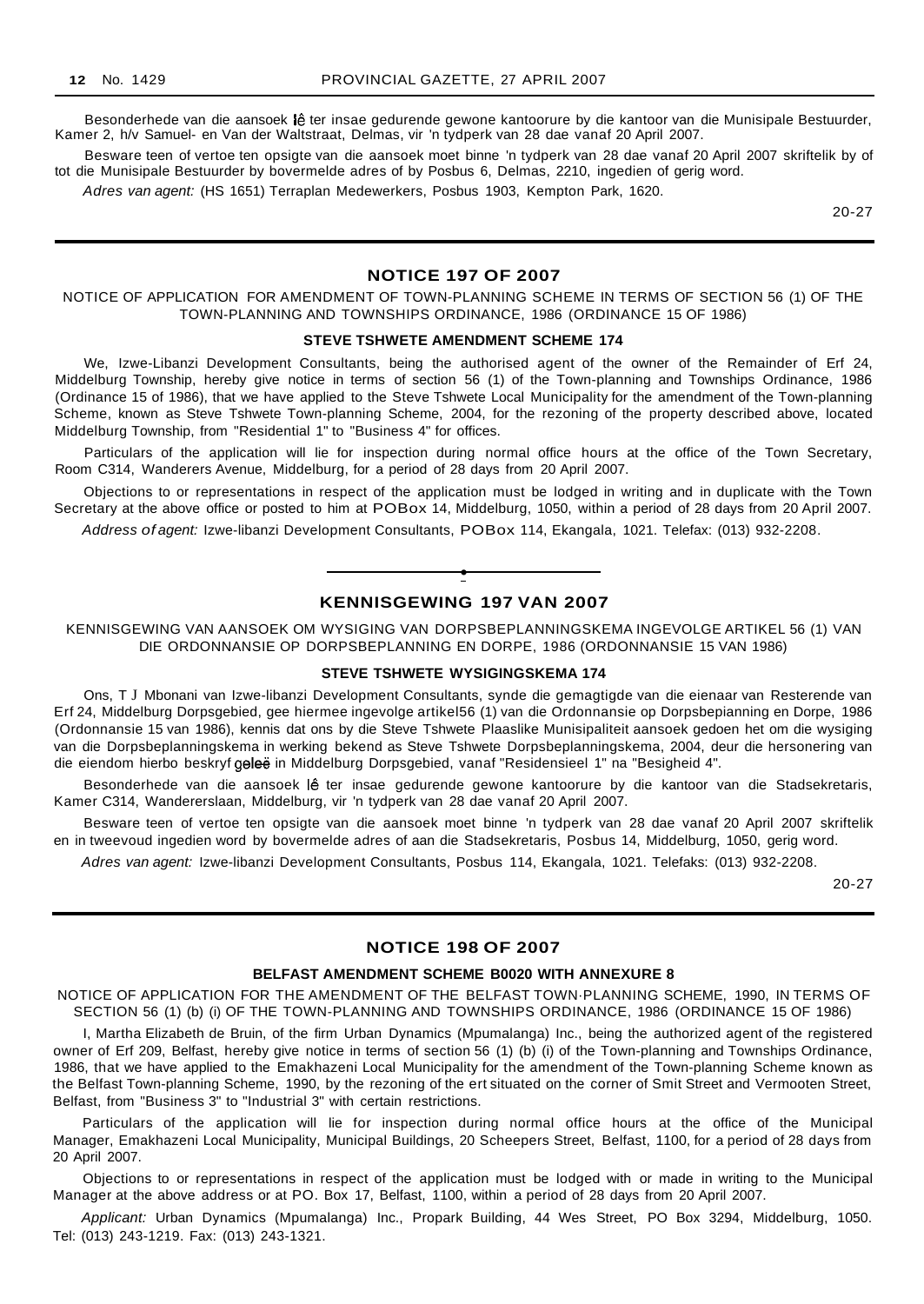Besonderhede van die aansoek lê ter insae gedurende gewone kantoorure by die kantoor van die Munisipale Bestuurder, Kamer 2, h/v Samuel- en Van der Waltstraat, Delmas, vir 'n tydperk van 28 dae vanaf 20 April 2007.

Besware teen of vertoe ten opsigte van die aansoek moet binne 'n tydperk van 28 dae vanaf 20 April 2007 skriftelik by of tot die Munisipale Bestuurder by bovermelde adres of by Posbus 6, Delmas, 2210, ingedien of gerig word.

Adres van agent: (HS 1651) Terraplan Medewerkers, Posbus 1903, Kempton Park, 1620.

20-27

## **NOTICE 197 OF 2007**

NOTICE OF APPLICATION FOR AMENDMENT OF TOWN-PLANNING SCHEME IN TERMS OF SECTION 56 (1) OF THE TOWN-PLANNING AND TOWNSHIPS ORDINANCE, 1986 (ORDINANCE 15 OF 1986)

#### **STEVE TSHWETE AMENDMENT SCHEME 174**

We, Izwe-Libanzi Development Consultants, being the authorised agent of the owner of the Remainder of Erf 24, Middelburg Township, hereby give notice in terms of section 56 (1) of the Town-planning and Townships Ordinance, 1986 (Ordinance 15 of 1986), that we have applied to the Steve Tshwete Local Municipality for the amendment of the Town-planning Scheme, known as Steve Tshwete Town-planning Scheme, 2004, for the rezoning of the property described above, located Middelburg Township, from "Residential 1" to "Business 4" for offices.

Particulars of the application will lie for inspection during normal office hours at the office of the Town Secretary, Room C314, Wanderers Avenue, Middelburg, for a period of 28 days from 20 April 2007.

Objections to or representations in respect of the application must be lodged in writing and in duplicate with the Town Secretary at the above office or posted to him at POBox 14, Middelburg, 1050, within a period of 28 days from 20 April 2007.

Address of agent: Izwe-libanzi Development Consultants, POBox 114, Ekangala, 1021. Telefax: (013) 932-2208.



KENNISGEWING VAN AANSOEK OM WYSIGING VAN DORPSBEPLANNINGSKEMA INGEVOLGE ARTIKEL 56 (1) VAN DIE ORDONNANSIE OP DORPSBEPLANNING EN DORPE, 1986 (ORDONNANSIE 15 VAN 1986)

#### **STEVE TSHWETE WYSIGINGSKEMA 174**

Ons, T J Mbonani van Izwe-libanzi Development Consultants, synde die gemagtigde van die eienaar van Resterende van Erf 24, Middelburg Dorpsgebied, gee hiermee ingevolge artikel56 (1) van die Ordonnansie op Dorpsbepianning en Dorpe, 1986 (Ordonnansie 15 van 1986), kennis dat ons by die Steve Tshwete Plaaslike Munisipaliteit aansoek gedoen het om die wysiging van die Dorpsbeplanningskema in werking bekend as Steve Tshwete Dorpsbeplanningskema, 2004, deur die hersonering van die eiendom hierbo beskryf geleë in Middelburg Dorpsgebied, vanaf "Residensieel 1" na "Besigheid 4".

Besonderhede van die aansoek |ê ter insae gedurende gewone kantoorure by die kantoor van die Stadsekretaris, Kamer C314, Wandererslaan, Middelburg, vir 'n tydperk van 28 dae vanaf 20 April 2007.

Besware teen of vertoe ten opsigte van die aansoek moet binne 'n tydperk van 28 dae vanaf 20 April 2007 skriftelik en in tweevoud ingedien word by bovermelde adres of aan die Stadsekretaris, Posbus 14, Middelburg, 1050, gerig word.

Adres van agent: Izwe-libanzi Development Consultants, Posbus 114, Ekangala, 1021. Telefaks: (013) 932-2208.

20-27

## **NOTICE 198 OF 2007**

#### **BELFAST AMENDMENT SCHEME B0020 WITH ANNEXURE 8**

NOTICE OF APPLICATION FOR THE AMENDMENT OF THE BELFAST TOWN·PLANNING SCHEME, 1990, IN TERMS OF SECTION 56 (1) (b) (i) OF THE TOWN-PLANNING AND TOWNSHIPS ORDINANCE, 1986 (ORDINANCE 15 OF 1986)

I, Martha Elizabeth de Bruin, of the firm Urban Dynamics (Mpumalanga) Inc., being the authorized agent of the registered owner of Erf 209, Belfast, hereby give notice in terms of section 56 (1) (b) (i) of the Town-planning and Townships Ordinance, 1986, that we have applied to the Emakhazeni Local Municipality for the amendment of the Town-planning Scheme known as the Belfast Town-planning Scheme, 1990, by the rezoning of the ert situated on the corner of Smit Street and Vermooten Street, Belfast, from "Business 3" to "Industrial 3" with certain restrictions.

Particulars of the application will lie for inspection during normal office hours at the office of the Municipal Manager, Emakhazeni Local Municipality, Municipal Buildings, 20 Scheepers Street, Belfast, 1100, for a period of 28 days from 20 April 2007.

Objections to or representations in respect of the application must be lodged with or made in writing to the Municipal Manager at the above address or at PO. Box 17, Belfast, 1100, within a period of 28 days from 20 April 2007.

Applicant: Urban Dynamics (Mpumalanga) Inc., Propark Building, 44 Wes Street, PO Box 3294, Middelburg, 1050. Tel: (013) 243-1219. Fax: (013) 243-1321.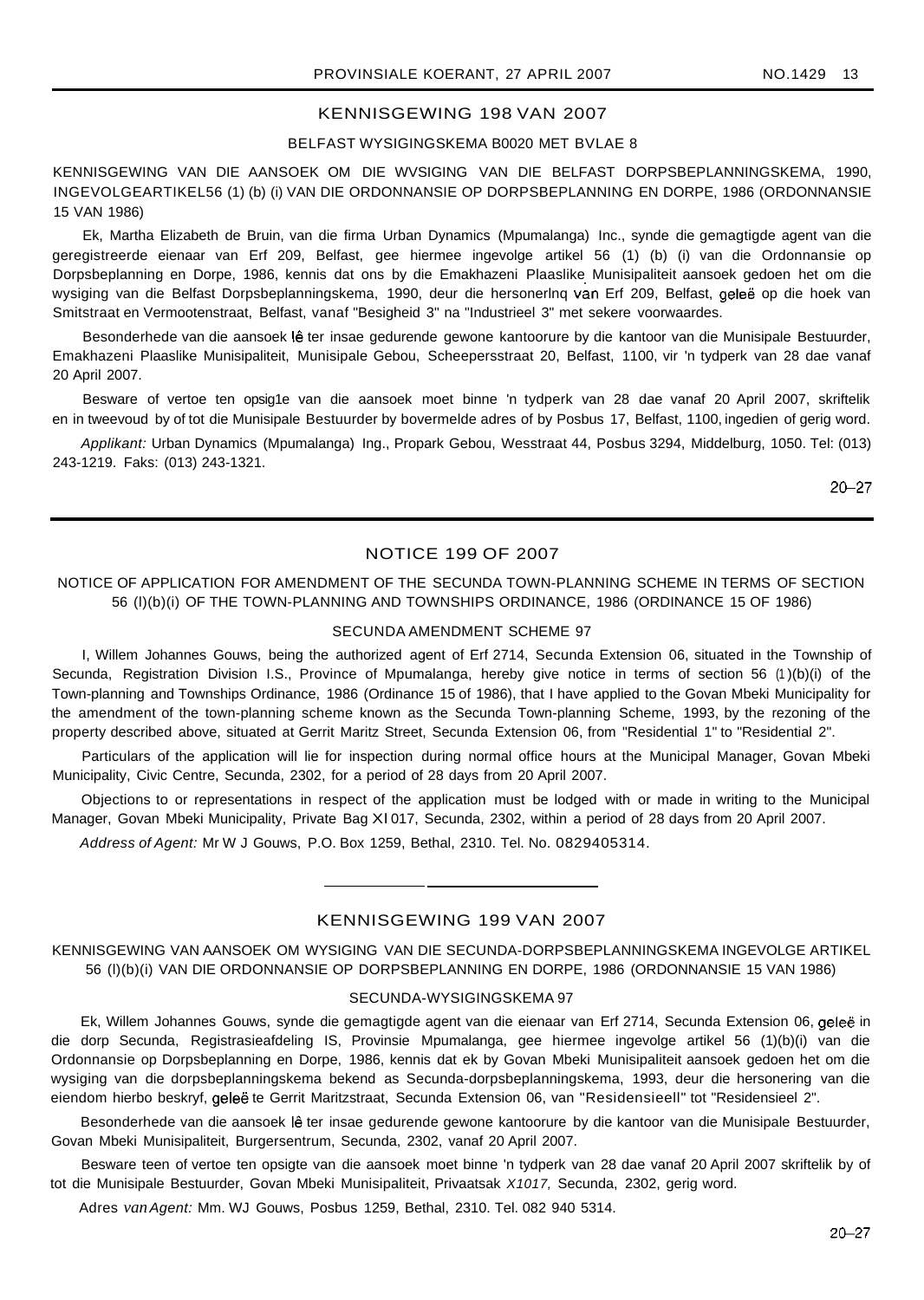## BELFAST WYSIGINGSKEMA B0020 MET BVLAE 8

KENNISGEWING VAN DIE AANSOEK OM DIE WVSIGING VAN DIE BELFAST DORPSBEPLANNINGSKEMA, 1990, INGEVOLGEARTIKEL56 (1) (b) (i) VAN DIE ORDONNANSIE OP DORPSBEPLANNING EN DORPE, 1986 (ORDONNANSIE 15 VAN 1986)

Ek, Martha Elizabeth de Bruin, van die firma Urban Dynamics (Mpumalanga) Inc., synde die gemagtigde agent van die geregistreerde eienaar van Erf 209, Belfast, gee hiermee ingevolge artikel 56 (1) (b) (i) van die Ordonnansie op Dorpsbeplanning en Dorpe, 1986, kennis dat ons by die Emakhazeni Plaaslike Munisipaliteit aansoek gedoen het om die wysiging van die Belfast Dorpsbeplanningskema, 1990, deur die hersonerlng van Erf 209, Belfast, geleë op die hoek van Smitstraat en Vermootenstraat, Belfast, vanaf "Besigheid 3" na "Industrieel 3" met sekere voorwaardes.

Besonderhede van die aansoek lê ter insae gedurende gewone kantoorure by die kantoor van die Munisipale Bestuurder, Emakhazeni Plaaslike Munisipaliteit, Munisipale Gebou, Scheepersstraat 20, Belfast, 1100, vir 'n tydperk van 28 dae vanaf 20 April 2007.

Besware of vertoe ten opsig1e van die aansoek moet binne 'n tydperk van 28 dae vanaf 20 April 2007, skriftelik en in tweevoud by of tot die Munisipale Bestuurder by bovermelde adres of by Posbus 17, Belfast, 1100, ingedien of gerig word.

Applikant: Urban Dynamics (Mpumalanga) Ing., Propark Gebou, Wesstraat 44, Posbus 3294, Middelburg, 1050. Tel: (013) 243-1219. Faks: (013) 243-1321.

20-27

## NOTICE 199 OF 2007

## NOTICE OF APPLICATION FOR AMENDMENT OF THE SECUNDA TOWN-PLANNING SCHEME IN TERMS OF SECTION 56 (l)(b)(i) OF THE TOWN-PLANNING AND TOWNSHIPS ORDINANCE, 1986 (ORDINANCE 15 OF 1986)

## SECUNDA AMENDMENT SCHEME 97

I, Willem Johannes Gouws, being the authorized agent of Erf 2714, Secunda Extension 06, situated in the Township of Secunda, Registration Division I.S., Province of Mpumalanga, hereby give notice in terms of section 56 (1 )(b)(i) of the Town-planning and Townships Ordinance, 1986 (Ordinance 15 of 1986), that I have applied to the Govan Mbeki Municipality for the amendment of the town-planning scheme known as the Secunda Town-planning Scheme, 1993, by the rezoning of the property described above, situated at Gerrit Maritz Street, Secunda Extension 06, from "Residential 1" to "Residential 2".

Particulars of the application will lie for inspection during normal office hours at the Municipal Manager, Govan Mbeki Municipality, Civic Centre, Secunda, 2302, for a period of 28 days from 20 April 2007.

Objections to or representations in respect of the application must be lodged with or made in writing to the Municipal Manager, Govan Mbeki Municipality, Private Bag Xl 017, Secunda, 2302, within a period of 28 days from 20 April 2007.

Address of Agent: Mr W J Gouws, P.O. Box 1259, Bethal, 2310. Tel. No. 0829405314.

## KENNISGEWING 199 VAN 2007

KENNISGEWING VAN AANSOEK OM WYSIGING VAN DIE SECUNDA-DORPSBEPLANNINGSKEMA INGEVOLGE ARTIKEL 56 (l)(b)(i) VAN DIE ORDONNANSIE OP DORPSBEPLANNING EN DORPE, 1986 (ORDONNANSIE 15 VAN 1986)

#### SECUNDA-WYSIGINGSKEMA 97

Ek, Willem Johannes Gouws, synde die gemagtigde agent van die eienaar van Erf 2714, Secunda Extension 06, geleë in die dorp Secunda, Registrasieafdeling IS, Provinsie Mpumalanga, gee hiermee ingevolge artikel 56 (1)(b)(i) van die Ordonnansie op Dorpsbeplanning en Dorpe, 1986, kennis dat ek by Govan Mbeki Munisipaliteit aansoek gedoen het om die wysiging van die dorpsbeplanningskema bekend as Secunda-dorpsbeplanningskema, 1993, deur die hersonering van die eiendom hierbo beskryf, geleë te Gerrit Maritzstraat, Secunda Extension 06, van "Residensieell" tot "Residensieel 2".

Besonderhede van die aansoek lê ter insae gedurende gewone kantoorure by die kantoor van die Munisipale Bestuurder, Govan Mbeki Munisipaliteit, Burgersentrum, Secunda, 2302, vanaf 20 April 2007.

Besware teen of vertoe ten opsigte van die aansoek moet binne 'n tydperk van 28 dae vanaf 20 April 2007 skriftelik by of tot die Munisipale Bestuurder, Govan Mbeki Munisipaliteit, Privaatsak X1017, Secunda, 2302, gerig word.

Adres *van*Agent: Mm. WJ Gouws, Posbus 1259, Bethal, 2310. Tel. 082 940 5314.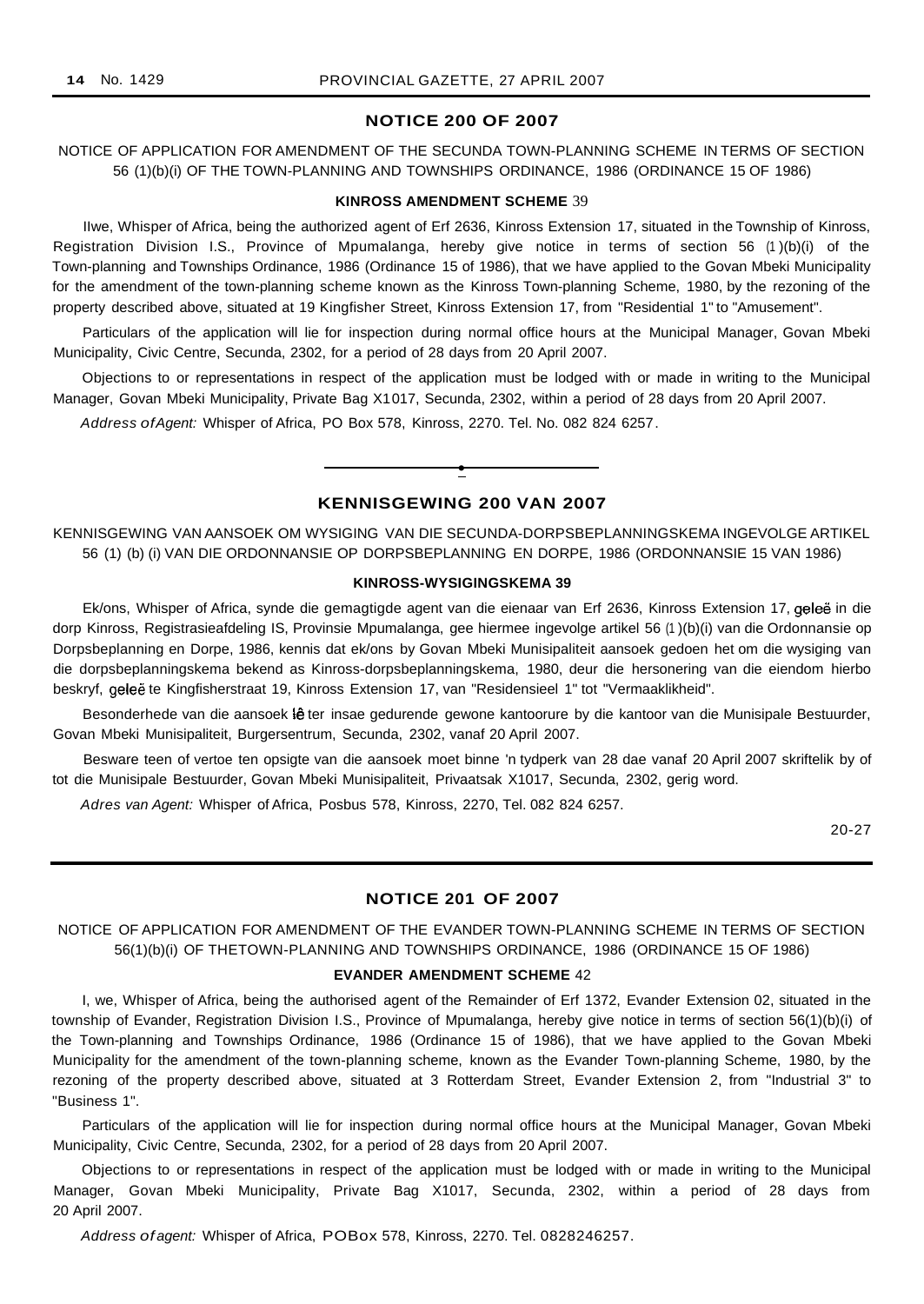## **NOTICE 200 OF 2007**

NOTICE OF APPLICATION FOR AMENDMENT OF THE SECUNDA TOWN-PLANNING SCHEME IN TERMS OF SECTION 56 (1)(b)(i) OF THE TOWN-PLANNING AND TOWNSHIPS ORDINANCE, 1986 (ORDINANCE 15 OF 1986)

#### **KINROSS AMENDMENT SCHEME** 39

IIwe, Whisper of Africa, being the authorized agent of Erf 2636, Kinross Extension 17, situated in the Township of Kinross, Registration Division I.S., Province of Mpumalanga, hereby give notice in terms of section 56 (1 )(b)(i) of the Town-planning and Townships Ordinance, 1986 (Ordinance 15 of 1986), that we have applied to the Govan Mbeki Municipality for the amendment of the town-planning scheme known as the Kinross Town-planning Scheme, 1980, by the rezoning of the property described above, situated at 19 Kingfisher Street, Kinross Extension 17, from "Residential 1" to "Amusement".

Particulars of the application will lie for inspection during normal office hours at the Municipal Manager, Govan Mbeki Municipality, Civic Centre, Secunda, 2302, for a period of 28 days from 20 April 2007.

Objections to or representations in respect of the application must be lodged with or made in writing to the Municipal Manager, Govan Mbeki Municipality, Private Bag X1017, Secunda, 2302, within a period of 28 days from 20 April 2007.

Address ofAgent: Whisper of Africa, PO Box 578, Kinross, 2270. Tel. No. 082 824 6257.

## **KENNISGEWING 200 VAN 2007**

**•**

KENNISGEWING VAN AANSOEK OM WYSIGING VAN DIE SECUNDA-DORPSBEPLANNINGSKEMA INGEVOLGE ARTIKEL 56 (1) (b) (i) VAN DIE ORDONNANSIE OP DORPSBEPLANNING EN DORPE, 1986 (ORDONNANSIE 15 VAN 1986)

#### **KINROSS-WYSIGINGSKEMA 39**

Ek/ons, Whisper of Africa, synde die gemagtigde agent van die eienaar van Erf 2636, Kinross Extension 17, geleë in die dorp Kinross, Registrasieafdeling IS, Provinsie Mpumalanga, gee hiermee ingevolge artikel 56 (1 )(b)(i) van die Ordonnansie op Dorpsbeplanning en Dorpe, 1986, kennis dat ek/ons by Govan Mbeki Munisipaliteit aansoek gedoen het om die wysiging van die dorpsbeplanningskema bekend as Kinross-dorpsbeplanningskema, 1980, deur die hersonering van die eiendom hierbo beskryf, geleë te Kingfisherstraat 19, Kinross Extension 17, van "Residensieel 1" tot "Vermaaklikheid".

Besonderhede van die aansoek lê ter insae gedurende gewone kantoorure by die kantoor van die Munisipale Bestuurder, Govan Mbeki Munisipaliteit, Burgersentrum, Secunda, 2302, vanaf 20 April 2007.

Besware teen of vertoe ten opsigte van die aansoek moet binne 'n tydperk van 28 dae vanaf 20 April 2007 skriftelik by of tot die Munisipale Bestuurder, Govan Mbeki Munisipaliteit, Privaatsak X1017, Secunda, 2302, gerig word.

Adres van Agent: Whisper of Africa, Posbus 578, Kinross, 2270, Tel. 082 824 6257.

20-27

## **NOTICE 201 OF 2007**

NOTICE OF APPLICATION FOR AMENDMENT OF THE EVANDER TOWN-PLANNING SCHEME IN TERMS OF SECTION 56(1)(b)(i) OF THETOWN-PLANNING AND TOWNSHIPS ORDINANCE, 1986 (ORDINANCE 15 OF 1986)

#### **EVANDER AMENDMENT SCHEME** 42

I, we, Whisper of Africa, being the authorised agent of the Remainder of Erf 1372, Evander Extension 02, situated in the township of Evander, Registration Division I.S., Province of Mpumalanga, hereby give notice in terms of section 56(1)(b)(i) of the Town-planning and Townships Ordinance, 1986 (Ordinance 15 of 1986), that we have applied to the Govan Mbeki Municipality for the amendment of the town-planning scheme, known as the Evander Town-planning Scheme, 1980, by the rezoning of the property described above, situated at 3 Rotterdam Street, Evander Extension 2, from "Industrial 3" to "Business 1".

Particulars of the application will lie for inspection during normal office hours at the Municipal Manager, Govan Mbeki Municipality, Civic Centre, Secunda, 2302, for a period of 28 days from 20 April 2007.

Objections to or representations in respect of the application must be lodged with or made in writing to the Municipal Manager, Govan Mbeki Municipality, Private Bag X1017, Secunda, 2302, within a period of 28 days from 20 April 2007.

Address of agent: Whisper of Africa, POBox 578, Kinross, 2270. Tel. 0828246257.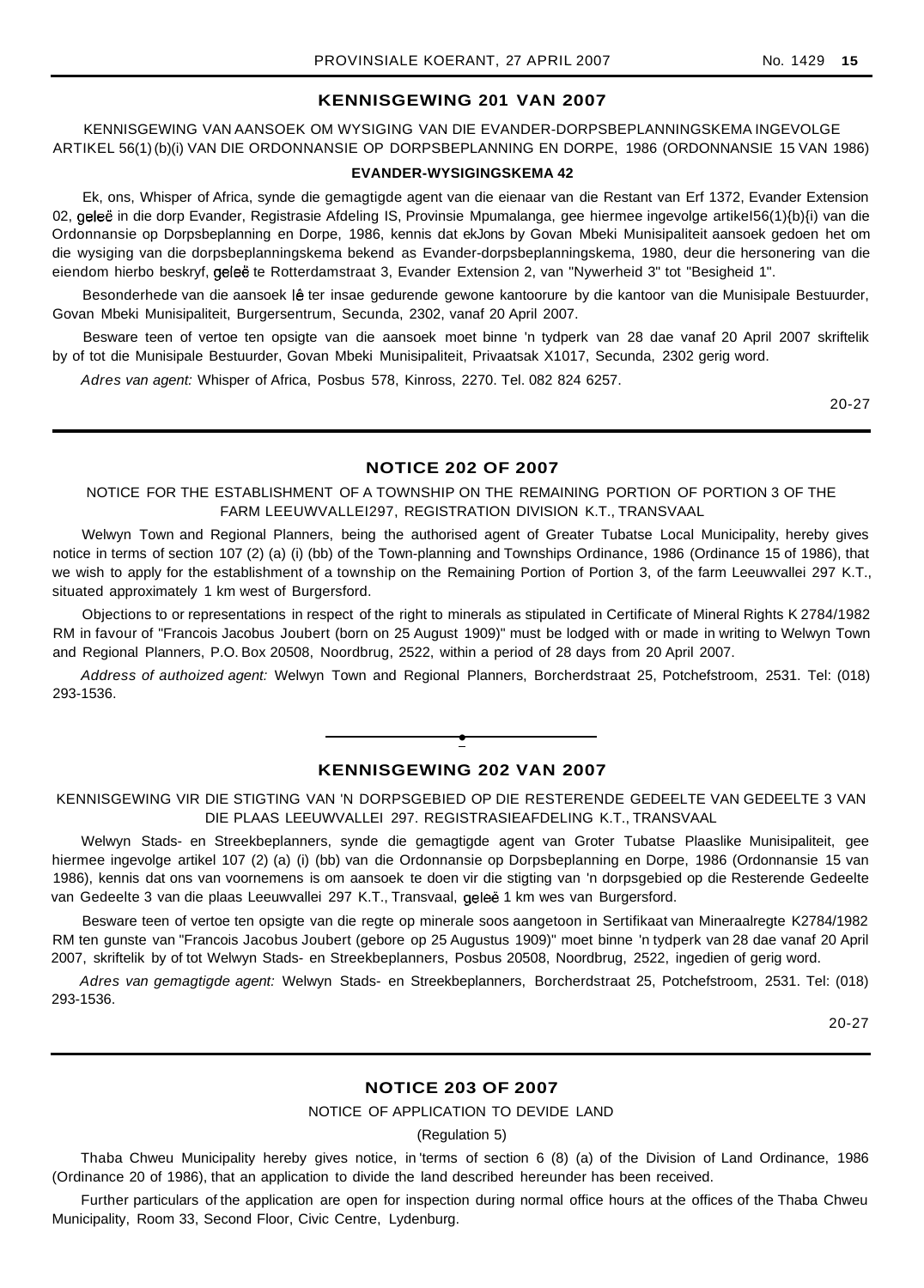## **KENNISGEWING 201 VAN 2007**

KENNISGEWING VAN AANSOEK OM WYSIGING VAN DIE EVANDER-DORPSBEPLANNINGSKEMA INGEVOLGE ARTIKEL 56(1) (b)(i) VAN DIE ORDONNANSIE OP DORPSBEPLANNING EN DORPE, 1986 (ORDONNANSIE 15 VAN 1986)

#### **EVANDER-WYSIGINGSKEMA 42**

Ek, ons, Whisper of Africa, synde die gemagtigde agent van die eienaar van die Restant van Erf 1372, Evander Extension 02, geleë in die dorp Evander, Registrasie Afdeling IS, Provinsie Mpumalanga, gee hiermee ingevolge artikeI56(1){b){i) van die Ordonnansie op Dorpsbeplanning en Dorpe, 1986, kennis dat ekJons by Govan Mbeki Munisipaliteit aansoek gedoen het om die wysiging van die dorpsbeplanningskema bekend as Evander-dorpsbeplanningskema, 1980, deur die hersonering van die eiendom hierbo beskryf, geleë te Rotterdamstraat 3, Evander Extension 2, van "Nywerheid 3" tot "Besigheid 1".

Besonderhede van die aansoek lê ter insae gedurende gewone kantoorure by die kantoor van die Munisipale Bestuurder, Govan Mbeki Munisipaliteit, Burgersentrum, Secunda, 2302, vanaf 20 April 2007.

Besware teen of vertoe ten opsigte van die aansoek moet binne 'n tydperk van 28 dae vanaf 20 April 2007 skriftelik by of tot die Munisipale Bestuurder, Govan Mbeki Munisipaliteit, Privaatsak X1017, Secunda, 2302 gerig word.

Adres van agent: Whisper of Africa, Posbus 578, Kinross, 2270. Tel. 082 824 6257.

20-27

#### **NOTICE 202 OF 2007**

NOTICE FOR THE ESTABLISHMENT OF A TOWNSHIP ON THE REMAINING PORTION OF PORTION 3 OF THE FARM LEEUWVALLEI297, REGISTRATION DIVISION K.T., TRANSVAAL

Welwyn Town and Regional Planners, being the authorised agent of Greater Tubatse Local Municipality, hereby gives notice in terms of section 107 (2) (a) (i) (bb) of the Town-planning and Townships Ordinance, 1986 (Ordinance 15 of 1986), that we wish to apply for the establishment of a township on the Remaining Portion of Portion 3, of the farm Leeuwvallei 297 K.T., situated approximately 1 km west of Burgersford.

Objections to or representations in respect of the right to minerals as stipulated in Certificate of Mineral Rights K 2784/1982 RM in favour of "Francois Jacobus Joubert (born on 25 August 1909)" must be lodged with or made in writing to Welwyn Town and Regional Planners, P.O. Box 20508, Noordbrug, 2522, within a period of 28 days from 20 April 2007.

Address of authoized agent: Welwyn Town and Regional Planners, Borcherdstraat 25, Potchefstroom, 2531. Tel: (018) 293-1536.

## **• KENNISGEWING 202 VAN 2007**

KENNISGEWING VIR DIE STIGTING VAN 'N DORPSGEBIED OP DIE RESTERENDE GEDEELTE VAN GEDEELTE 3 VAN DIE PLAAS LEEUWVALLEI 297. REGISTRASIEAFDELING K.T., TRANSVAAL

Welwyn Stads- en Streekbeplanners, synde die gemagtigde agent van Groter Tubatse Plaaslike Munisipaliteit, gee hiermee ingevolge artikel 107 (2) (a) (i) (bb) van die Ordonnansie op Dorpsbeplanning en Dorpe, 1986 (Ordonnansie 15 van 1986), kennis dat ons van voornemens is om aansoek te doen vir die stigting van 'n dorpsgebied op die Resterende Gedeelte van Gedeelte 3 van die plaas Leeuwvallei 297 K.T., Transvaal, gelee 1 km wes van Burgersford.

Besware teen of vertoe ten opsigte van die regte op minerale soos aangetoon in Sertifikaat van Mineraalregte K2784/1982 RM ten gunste van "Francois Jacobus Joubert (gebore op 25 Augustus 1909)" moet binne 'n tydperk van 28 dae vanaf 20 April 2007, skriftelik by of tot Welwyn Stads- en Streekbeplanners, Posbus 20508, Noordbrug, 2522, ingedien of gerig word.

Adres van gemagtigde agent: Welwyn Stads- en Streekbeplanners, Borcherdstraat 25, Potchefstroom, 2531. Tel: (018) 293-1536.

20-27

## **NOTICE 203 OF 2007**

## NOTICE OF APPLICATION TO DEVIDE LAND

(Regulation 5)

Thaba Chweu Municipality hereby gives notice, in 'terms of section 6 (8) (a) of the Division of Land Ordinance, 1986 (Ordinance 20 of 1986), that an application to divide the land described hereunder has been received.

Further particulars of the application are open for inspection during normal office hours at the offices of the Thaba Chweu Municipality, Room 33, Second Floor, Civic Centre, Lydenburg.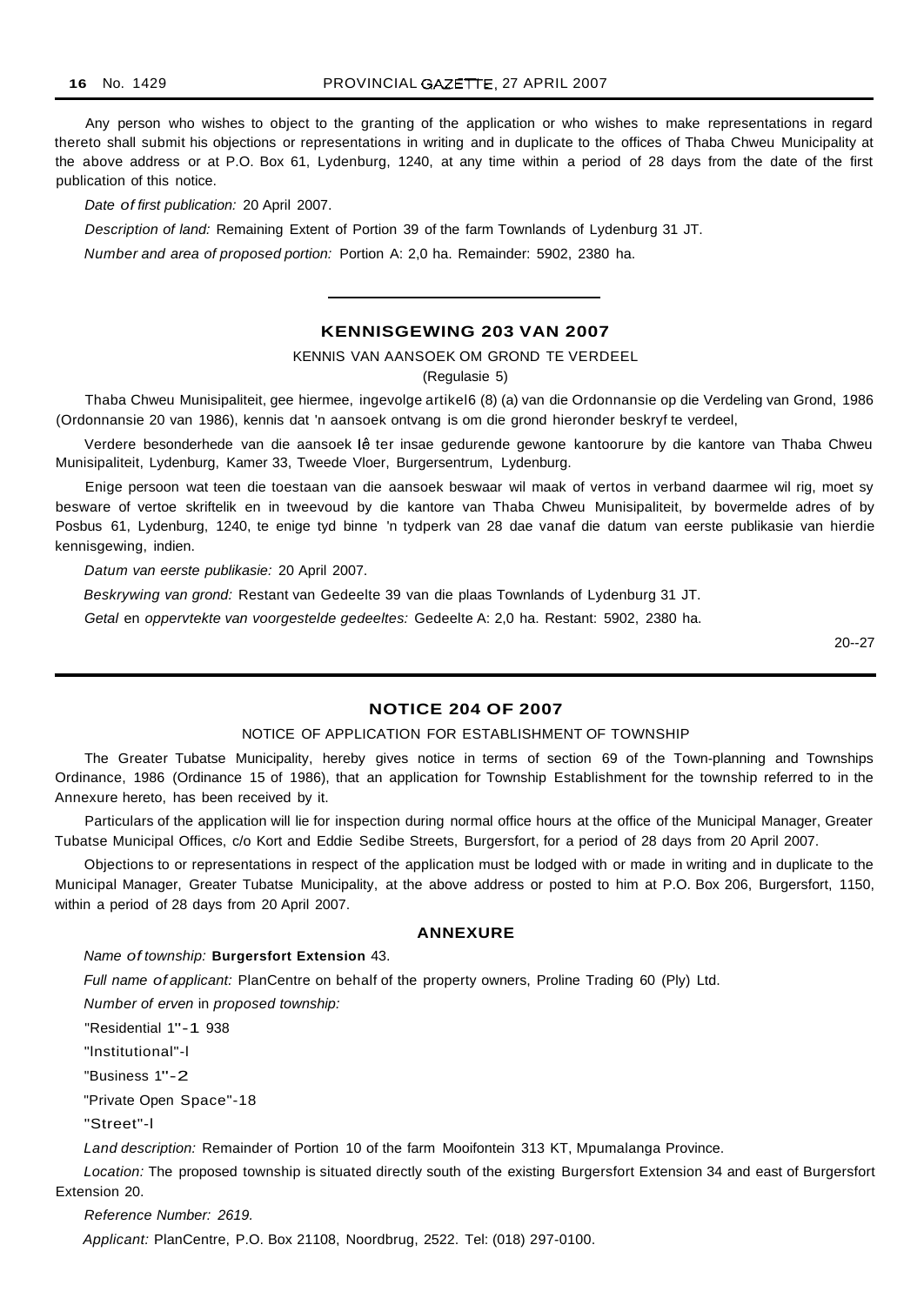Any person who wishes to object to the granting of the application or who wishes to make representations in regard thereto shall submit his objections or representations in writing and in duplicate to the offices of Thaba Chweu Municipality at the above address or at P.O. Box 61, Lydenburg, 1240, at any time within a period of 28 days from the date of the first publication of this notice.

Date of first publication: 20 April 2007.

Description of land: Remaining Extent of Portion 39 of the farm Townlands of Lydenburg 31 JT.

Number and area of proposed portion: Portion A: 2,0 ha. Remainder: 5902, 2380 ha.

## **KENNISGEWING 203 VAN 2007**

KENNIS VAN AANSOEK OM GROND TE VERDEEL

(Regulasie 5)

Thaba Chweu Munisipaliteit, gee hiermee, ingevolge artikel6 (8) (a) van die Ordonnansie op die Verdeling van Grond, 1986 (Ordonnansie 20 van 1986), kennis dat 'n aansoek ontvang is om die grond hieronder beskryf te verdeel,

Verdere besonderhede van die aansoek lê ter insae gedurende gewone kantoorure by die kantore van Thaba Chweu Munisipaliteit, Lydenburg, Kamer 33, Tweede Vloer, Burgersentrum, Lydenburg.

Enige persoon wat teen die toestaan van die aansoek beswaar wil maak of vertos in verband daarmee wil rig, moet sy besware of vertoe skriftelik en in tweevoud by die kantore van Thaba Chweu Munisipaliteit, by bovermelde adres of by Posbus 61, Lydenburg, 1240, te enige tyd binne 'n tydperk van 28 dae vanaf die datum van eerste publikasie van hierdie kennisgewing, indien.

Datum van eerste publikasie: 20 April 2007.

Beskrywing van grond: Restant van Gedeelte 39 van die plaas Townlands of Lydenburg 31 JT.

Getal en oppervtekte van voorgestelde gedeeltes: Gedeelte A: 2,0 ha. Restant: 5902, 2380 ha.

20--27

## **NOTICE 204 OF 2007**

#### NOTICE OF APPLICATION FOR ESTABLISHMENT OF TOWNSHIP

The Greater Tubatse Municipality, hereby gives notice in terms of section 69 of the Town-planning and Townships Ordinance, 1986 (Ordinance 15 of 1986), that an application for Township Establishment for the township referred to in the Annexure hereto, has been received by it.

Particulars of the application will lie for inspection during normal office hours at the office of the Municipal Manager, Greater Tubatse Municipal Offices, c/o Kort and Eddie Sedibe Streets, Burgersfort, for a period of 28 days from 20 April 2007.

Objections to or representations in respect of the application must be lodged with or made in writing and in duplicate to the Municipal Manager, Greater Tubatse Municipality, at the above address or posted to him at P.O. Box 206, Burgersfort, 1150, within a period of 28 days from 20 April 2007.

## **ANNEXURE**

#### Name of township: **Burgersfort Extension** 43.

Full name of applicant: PlanCentre on behalf of the property owners, Proline Trading 60 (Ply) Ltd.

Number of erven in proposed township:

"Residential 1"-1 938

"lnstitutional"-l

"Business 1"-2

"Private Open Space"-18

"Street"-l

Land description: Remainder of Portion 10 of the farm Mooifontein 313 KT, Mpumalanga Province.

Location: The proposed township is situated directly south of the existing Burgersfort Extension 34 and east of Burgersfort Extension 20.

Reference Number: 2619.

Applicant: PlanCentre, P.O. Box 21108, Noordbrug, 2522. Tel: (018) 297-0100.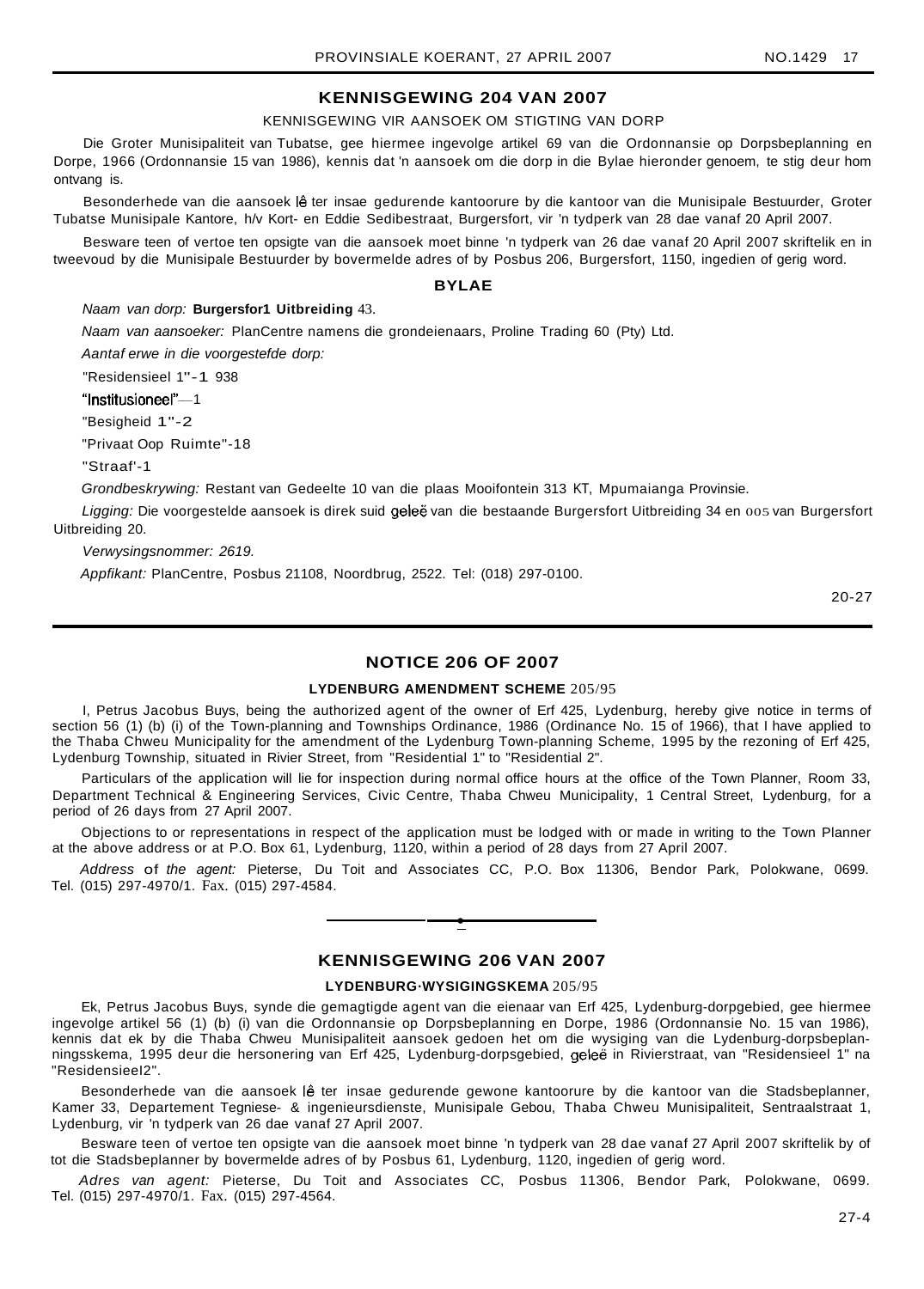## **KENNISGEWING 204 VAN 2007**

#### KENNISGEWING VIR AANSOEK OM STIGTING VAN DORP

Die Groter Munisipaliteit van Tubatse, gee hiermee ingevolge artikel 69 van die Ordonnansie op Dorpsbeplanning en Dorpe, 1966 (Ordonnansie 15 van 1986), kennis dat 'n aansoek om die dorp in die Bylae hieronder genoem, te stig deur hom ontvang is.

Besonderhede van die aansoek lê ter insae gedurende kantoorure by die kantoor van die Munisipale Bestuurder, Groter Tubatse Munisipale Kantore, h/v Kort- en Eddie Sedibestraat, Burgersfort, vir 'n tydperk van 28 dae vanaf 20 April 2007.

Besware teen of vertoe ten opsigte van die aansoek moet binne 'n tydperk van 26 dae vanaf 20 April 2007 skriftelik en in tweevoud by die Munisipale Bestuurder by bovermelde adres of by Posbus 206, Burgersfort, 1150, ingedien of gerig word.

#### **BYLAE**

#### Naam van dorp: **Burgersfor1 Uitbreiding** 43.

Naam van aansoeker: PlanCentre namens die grondeienaars, Proline Trading 60 (Pty) Ltd. Aantaf erwe in die voorgestefde dorp:

"Residensieel 1"-1 938

"Institusioneel"~1

"Besigheid 1"-2

"Privaat Oop Ruimte"-18

"Straaf'-1

Grondbeskrywing: Restant van Gedeelte 10 van die plaas Mooifontein 313 KT, Mpumaianga Provinsie.

Ligging: Die voorgestelde aansoek is direk suid geleë van die bestaande Burgersfort Uitbreiding 34 en 005 van Burgersfort Uitbreiding 20.

Verwysingsnommer: 2619.

Appfikant: PlanCentre, Posbus 21108, Noordbrug, 2522. Tel: (018) 297-0100.

20-27

## **NOTICE 206 OF 2007**

#### **LYDENBURG AMENDMENT SCHEME** 205/95

I, Petrus Jacobus Buys, being the authorized agent of the owner of Erf 425, Lydenburg, hereby give notice in terms of section 56 (1) (b) (i) of the Town-planning and Townships Ordinance, 1986 (Ordinance No. 15 of 1966), that I have applied to the Thaba Chweu Municipality for the amendment of the Lydenburg Town-planning Scheme, 1995 by the rezoning of Erf 425, Lydenburg Township, situated in Rivier Street, from "Residential 1" to "Residential 2".

Particulars of the application will lie for inspection during normal office hours at the office of the Town Planner, Room 33, Department Technical & Engineering Services, Civic Centre, Thaba Chweu Municipality, 1 Central Street, Lydenburg, for a period of 26 days from 27 April 2007.

Objections to or representations in respect of the application must be lodged with or made in writing to the Town Planner at the above address or at P.O. Box 61, Lydenburg, 1120, within a period of 28 days from 27 April 2007.

Address of the agent: Pieterse, Du Toit and Associates CC, P.O. Box 11306, Bendor Park, Polokwane, 0699. Tel. (015) 297-4970/1. Fax. (015) 297-4584.

**•**



#### **LYDENBURG·WYSIGINGSKEMA** 205/95

Ek, Petrus Jacobus Buys, synde die gemagtigde agent van die eienaar van Erf 425, Lydenburg-dorpgebied, gee hiermee ingevolge artikel 56 (1) (b) (i) van die Ordonnansie op Dorpsbeplanning en Dorpe, 1986 (Ordonnansie No. 15 van 1986), kennis dat ek by die Thaba Chweu Munisipaliteit aansoek gedoen het om die wysiging van die Lydenburg-dorpsbeplanningsskema, 1995 deur die hersonering van Erf 425, Lydenburg-dorpsgebied, geleë in Rivierstraat, van "Residensieel 1" na "ResidensieeI2".

Besonderhede van die aansoek  $\hat{\theta}$  ter insae gedurende gewone kantoorure by die kantoor van die Stadsbeplanner, Kamer 33, Departement Tegniese- & ingenieursdienste, Munisipale Gebou, Thaba Chweu Munisipaliteit, Sentraalstraat 1, Lydenburg, vir 'n tydperk van 26 dae vanaf 27 April 2007.

Besware teen of vertoe ten opsigte van die aansoek moet binne 'n tydperk van 28 dae vanaf 27 April 2007 skriftelik by of tot die Stadsbeplanner by bovermelde adres of by Posbus 61, Lydenburg, 1120, ingedien of gerig word.

Adres van agent: Pieterse, Du Toit and Associates CC, Posbus 11306, Bendor Park, Polokwane, 0699. Tel. (015) 297-4970/1. Fax. (015) 297-4564.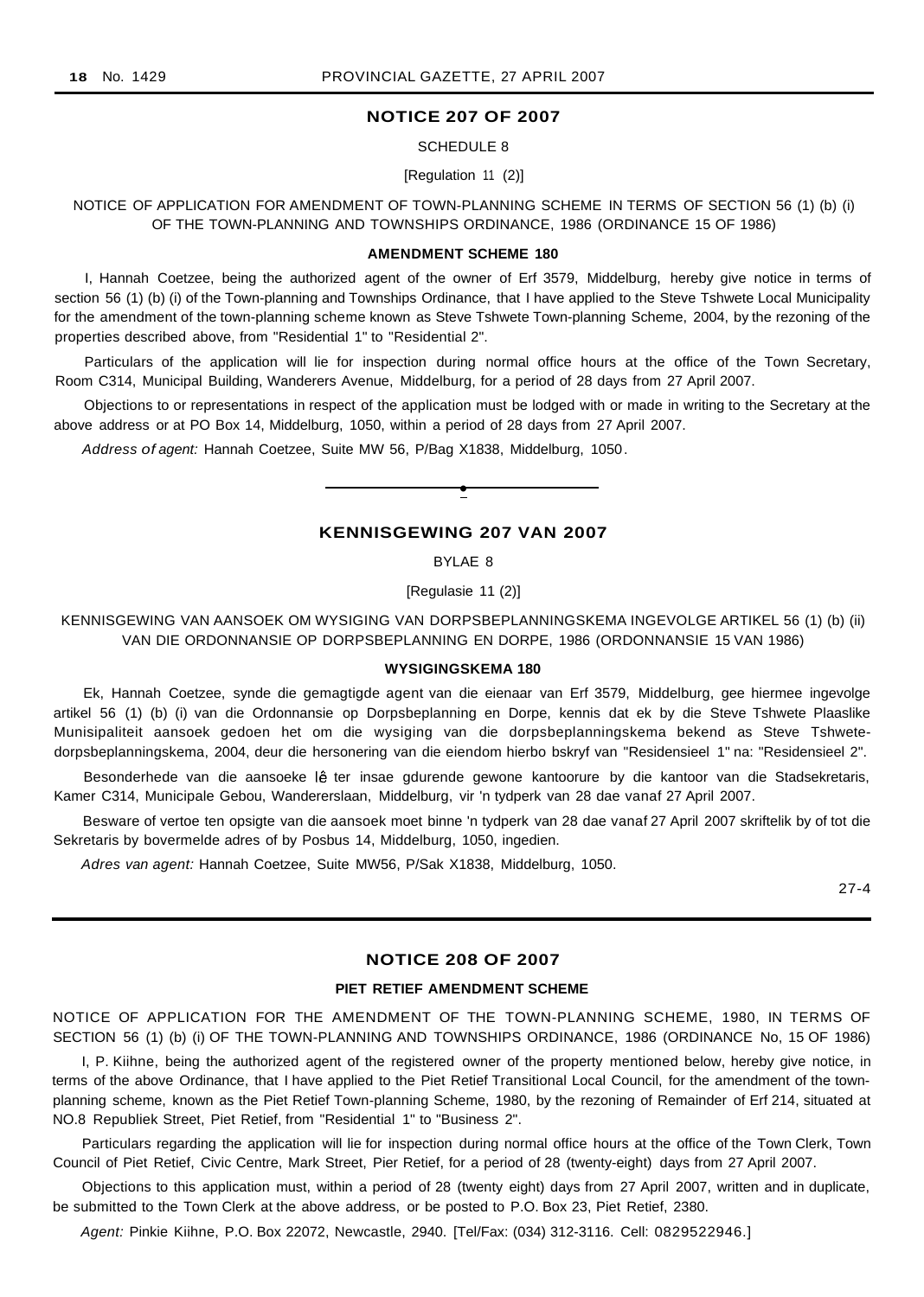## **NOTICE 207 OF 2007**

SCHEDULE 8

[Regulation 11 (2)]

NOTICE OF APPLICATION FOR AMENDMENT OF TOWN-PLANNING SCHEME IN TERMS OF SECTION 56 (1) (b) (i) OF THE TOWN-PLANNING AND TOWNSHIPS ORDINANCE, 1986 (ORDINANCE 15 OF 1986)

#### **AMENDMENT SCHEME 180**

I, Hannah Coetzee, being the authorized agent of the owner of Erf 3579, Middelburg, hereby give notice in terms of section 56 (1) (b) (i) of the Town-planning and Townships Ordinance, that I have applied to the Steve Tshwete Local Municipality for the amendment of the town-planning scheme known as Steve Tshwete Town-planning Scheme, 2004, by the rezoning of the properties described above, from "Residential 1" to "Residential 2".

Particulars of the application will lie for inspection during normal office hours at the office of the Town Secretary, Room C314, Municipal Building, Wanderers Avenue, Middelburg, for a period of 28 days from 27 April 2007.

Objections to or representations in respect of the application must be lodged with or made in writing to the Secretary at the above address or at PO Box 14, Middelburg, 1050, within a period of 28 days from 27 April 2007.

Address of agent: Hannah Coetzee, Suite MW 56, P/Bag X1838, Middelburg, 1050.

## **KENNISGEWING 207 VAN 2007**

**•**

BYLAE 8

[Regulasie 11 (2)]

KENNISGEWING VAN AANSOEK OM WYSIGING VAN DORPSBEPLANNINGSKEMA INGEVOLGE ARTIKEL 56 (1) (b) (ii) VAN DIE ORDONNANSIE OP DORPSBEPLANNING EN DORPE, 1986 (ORDONNANSIE 15 VAN 1986)

#### **WYSIGINGSKEMA 180**

Ek, Hannah Coetzee, synde die gemagtigde agent van die eienaar van Erf 3579, Middelburg, gee hiermee ingevolge artikel 56 (1) (b) (i) van die Ordonnansie op Dorpsbeplanning en Dorpe, kennis dat ek by die Steve Tshwete Plaaslike Munisipaliteit aansoek gedoen het om die wysiging van die dorpsbeplanningskema bekend as Steve Tshwetedorpsbeplanningskema, 2004, deur die hersonering van die eiendom hierbo bskryf van "Residensieel 1" na: "Residensieel 2".

Besonderhede van die aansoeke lê ter insae gdurende gewone kantoorure by die kantoor van die Stadsekretaris, Kamer C314, Municipale Gebou, Wandererslaan, Middelburg, vir 'n tydperk van 28 dae vanaf 27 April 2007.

Besware of vertoe ten opsigte van die aansoek moet binne 'n tydperk van 28 dae vanaf 27 April 2007 skriftelik by of tot die Sekretaris by bovermelde adres of by Posbus 14, Middelburg, 1050, ingedien.

Adres van agent: Hannah Coetzee, Suite MW56, P/Sak X1838, Middelburg, 1050.

27-4

## **NOTICE 208 OF 2007**

#### **PIET RETIEF AMENDMENT SCHEME**

NOTICE OF APPLICATION FOR THE AMENDMENT OF THE TOWN-PLANNING SCHEME, 1980, IN TERMS OF SECTION 56 (1) (b) (i) OF THE TOWN-PLANNING AND TOWNSHIPS ORDINANCE, 1986 (ORDINANCE No, 15 OF 1986)

I, P. Kiihne, being the authorized agent of the registered owner of the property mentioned below, hereby give notice, in terms of the above Ordinance, that I have applied to the Piet Retief Transitional Local Council, for the amendment of the townplanning scheme, known as the Piet Retief Town-planning Scheme, 1980, by the rezoning of Remainder of Erf 214, situated at NO.8 Republiek Street, Piet Retief, from "Residential 1" to "Business 2".

Particulars regarding the application will lie for inspection during normal office hours at the office of the Town Clerk, Town Council of Piet Retief, Civic Centre, Mark Street, Pier Retief, for a period of 28 (twenty-eight) days from 27 April 2007.

Objections to this application must, within a period of 28 (twenty eight) days from 27 April 2007, written and in duplicate, be submitted to the Town Clerk at the above address, or be posted to P.O. Box 23, Piet Retief, 2380.

Agent: Pinkie Kiihne, P.O. Box 22072, Newcastle, 2940. [Tel/Fax: (034) 312-3116. Cell: 0829522946.]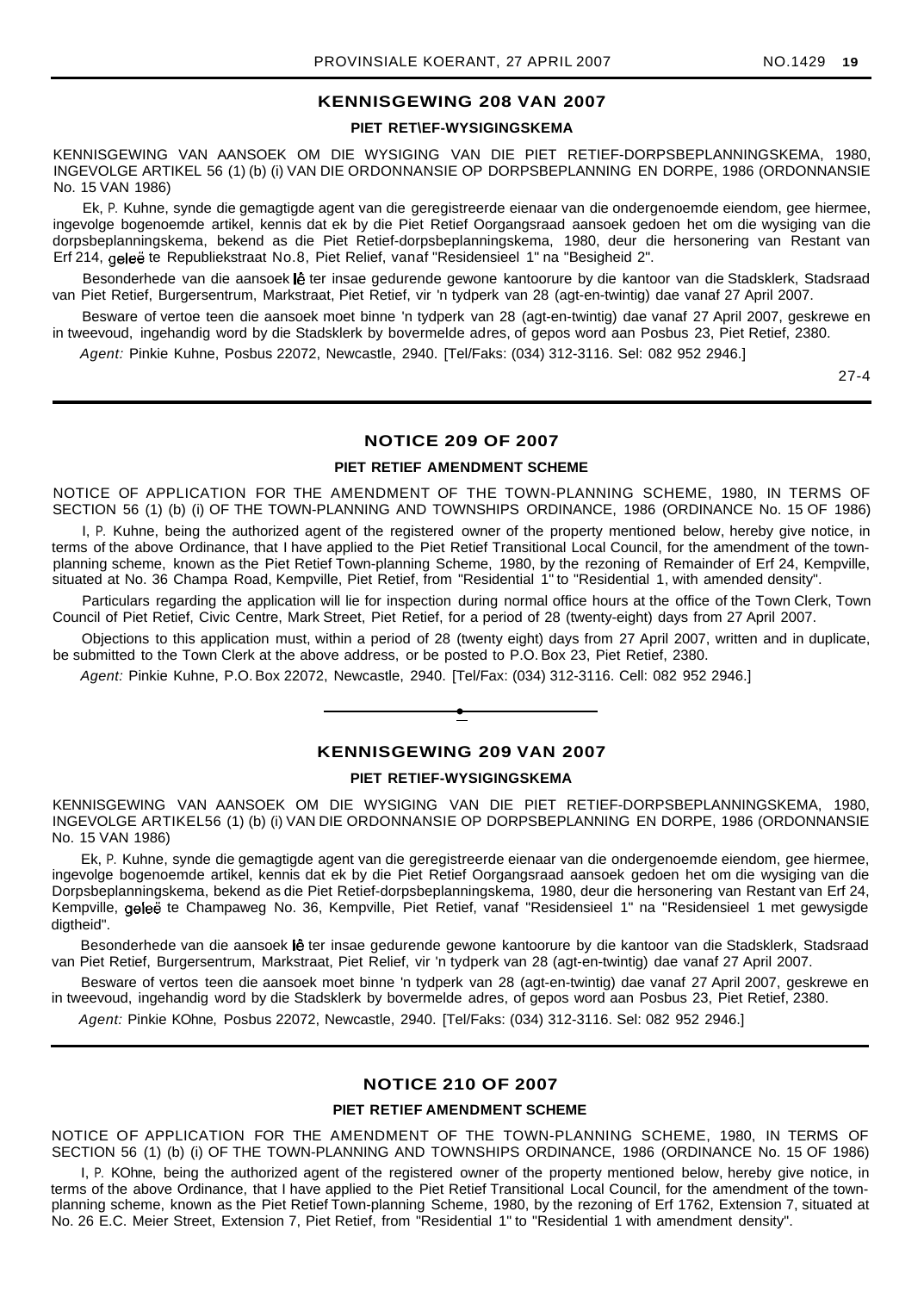## **KENNISGEWING 208 VAN 2007**

## **PIET RET\EF-WYSIGINGSKEMA**

KENNISGEWING VAN AANSOEK OM DIE WYSIGING VAN DIE PIET RETIEF-DORPSBEPLANNINGSKEMA, 1980, INGEVOLGE ARTIKEL 56 (1) (b) (i) VAN DIE ORDONNANSIE OP DORPSBEPLANNING EN DORPE, 1986 (ORDONNANSIE No. 15 VAN 1986)

Ek, P. Kuhne, synde die gemagtigde agent van die geregistreerde eienaar van die ondergenoemde eiendom, gee hiermee, ingevolge bogenoemde artikel, kennis dat ek by die Piet Retief Oorgangsraad aansoek gedoen het om die wysiging van die dorpsbeplanningskema, bekend as die Piet Retief-dorpsbeplanningskema, 1980, deur die hersonering van Restant van Erf 214, geleë te Republiekstraat No.8, Piet Relief, vanaf "Residensieel 1" na "Besigheid 2".

Besonderhede van die aansoek lê ter insae gedurende gewone kantoorure by die kantoor van die Stadsklerk, Stadsraad van Piet Retief, Burgersentrum, Markstraat, Piet Retief, vir 'n tydperk van 28 (agt-en-twintig) dae vanaf 27 April 2007.

Besware of vertoe teen die aansoek moet binne 'n tydperk van 28 (agt-en-twintig) dae vanaf 27 April 2007, geskrewe en in tweevoud, ingehandig word by die Stadsklerk by bovermelde adres, of gepos word aan Posbus 23, Piet Retief, 2380.

Agent: Pinkie Kuhne, Posbus 22072, Newcastle, 2940. [Tel/Faks: (034) 312-3116. Sel: 082 952 2946.]

27-4

## **NOTICE 209 OF 2007**

## **PIET RETIEF AMENDMENT SCHEME**

NOTICE OF APPLICATION FOR THE AMENDMENT OF THE TOWN-PLANNING SCHEME, 1980, IN TERMS OF SECTION 56 (1) (b) (i) OF THE TOWN-PLANNING AND TOWNSHIPS ORDINANCE, 1986 (ORDINANCE No. 15 OF 1986)

I, P. Kuhne, being the authorized agent of the registered owner of the property mentioned below, hereby give notice, in terms of the above Ordinance, that I have applied to the Piet Retief Transitional Local Council, for the amendment of the townplanning scheme, known as the Piet Retief Town-planning Scheme, 1980, by the rezoning of Remainder of Erf 24, Kempville, situated at No. 36 Champa Road, Kempville, Piet Retief, from "Residential 1" to "Residential 1, with amended density".

Particulars regarding the application will lie for inspection during normal office hours at the office of the Town Clerk, Town Council of Piet Retief, Civic Centre, Mark Street, Piet Retief, for a period of 28 (twenty-eight) days from 27 April 2007.

Objections to this application must, within a period of 28 (twenty eight) days from 27 April 2007, written and in duplicate, be submitted to the Town Clerk at the above address, or be posted to P.O. Box 23, Piet Retief, 2380.

Agent: Pinkie Kuhne, P.O. Box 22072, Newcastle, 2940. [Tel/Fax: (034) 312-3116. Cell: 082 952 2946.]

## **KENNISGEWING 209 VAN 2007**

**•**

#### **PIET RETIEF-WYSIGINGSKEMA**

KENNISGEWING VAN AANSOEK OM DIE WYSIGING VAN DIE PIET RETIEF-DORPSBEPLANNINGSKEMA, 1980, INGEVOLGE ARTIKEL56 (1) (b) (i) VAN DIE ORDONNANSIE OP DORPSBEPLANNING EN DORPE, 1986 (ORDONNANSIE No. 15 VAN 1986)

Ek, P. Kuhne, synde die gemagtigde agent van die geregistreerde eienaar van die ondergenoemde eiendom, gee hiermee, ingevolge bogenoemde artikel, kennis dat ek by die Piet Retief Oorgangsraad aansoek gedoen het om die wysiging van die Dorpsbeplanningskema, bekend as die Piet Retief-dorpsbeplanningskema, 1980, deur die hersonering van Restant van Erf 24, Kempville, geleë te Champaweg No. 36, Kempville, Piet Retief, vanaf "Residensieel 1" na "Residensieel 1 met gewysigde digtheid".

Besonderhede van die aansoek lê ter insae gedurende gewone kantoorure by die kantoor van die Stadsklerk, Stadsraad van Piet Retief, Burgersentrum, Markstraat, Piet Relief, vir 'n tydperk van 28 (agt-en-twintig) dae vanaf 27 April 2007.

Besware of vertos teen die aansoek moet binne 'n tydperk van 28 (agt-en-twintig) dae vanaf 27 April 2007, geskrewe en in tweevoud, ingehandig word by die Stadsklerk by bovermelde adres, of gepos word aan Posbus 23, Piet Retief, 2380.

Agent: Pinkie KOhne, Posbus 22072, Newcastle, 2940. [Tel/Faks: (034) 312-3116. Sel: 082 952 2946.]

## **NOTICE 210 OF 2007**

#### **PIET RETIEF AMENDMENT SCHEME**

NOTICE OF APPLICATION FOR THE AMENDMENT OF THE TOWN-PLANNING SCHEME, 1980, IN TERMS OF SECTION 56 (1) (b) (i) OF THE TOWN-PLANNING AND TOWNSHIPS ORDINANCE, 1986 (ORDINANCE No. 15 OF 1986)

I, P. KOhne, being the authorized agent of the registered owner of the property mentioned below, hereby give notice, in terms of the above Ordinance, that I have applied to the Piet Retief Transitional Local Council, for the amendment of the townplanning scheme, known as the Piet Retief Town-planning Scheme, 1980, by the rezoning of Erf 1762, Extension 7, situated at No. 26 E.C. Meier Street, Extension 7, Piet Retief, from "Residential 1" to "Residential 1 with amendment density".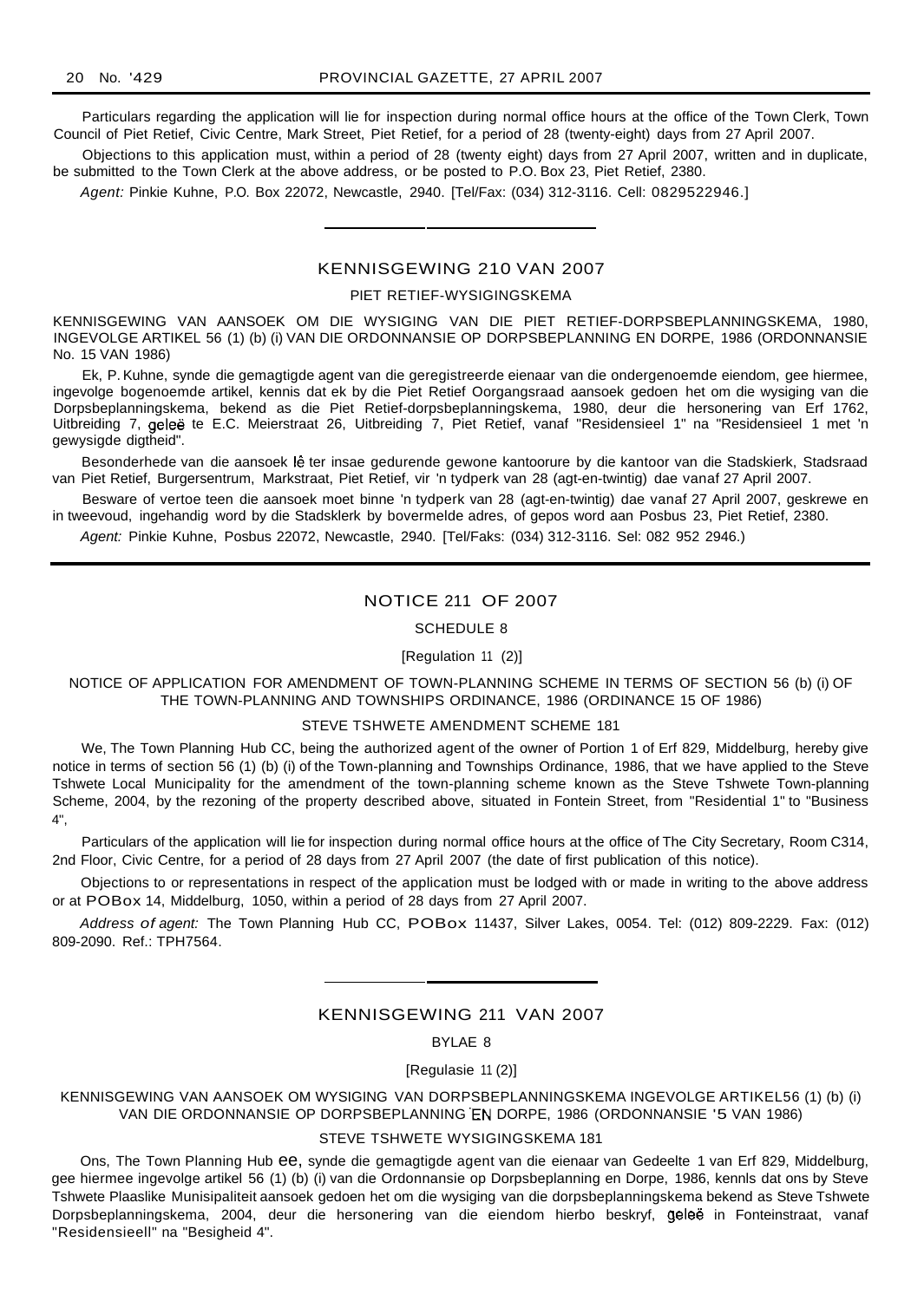Particulars regarding the application will lie for inspection during normal office hours at the office of the Town Clerk, Town Council of Piet Retief, Civic Centre, Mark Street, Piet Retief, for a period of 28 (twenty-eight) days from 27 April 2007.

Objections to this application must, within a period of 28 (twenty eight) days from 27 April 2007, written and in duplicate, be submitted to the Town Clerk at the above address, or be posted to P.O. Box 23, Piet Retief, 2380.

Agent: Pinkie Kuhne, P.O. Box 22072, Newcastle, 2940. [Tel/Fax: (034) 312-3116. Cell: 0829522946.]

## KENNISGEWING 210 VAN 2007

#### PIET RETIEF-WYSIGINGSKEMA

KENNISGEWING VAN AANSOEK OM DIE WYSIGING VAN DIE PIET RETIEF-DORPSBEPLANNINGSKEMA, 1980, INGEVOLGE ARTIKEL 56 (1) (b) (i) VAN DIE ORDONNANSIE OP DORPSBEPLANNING EN DORPE, 1986 (ORDONNANSIE No. 15 VAN 1986)

Ek, P. Kuhne, synde die gemagtigde agent van die geregistreerde eienaar van die ondergenoemde eiendom, gee hiermee, ingevolge bogenoemde artikel, kennis dat ek by die Piet Retief Oorgangsraad aansoek gedoen het om die wysiging van die Dorpsbeplanningskema, bekend as die Piet Retief-dorpsbeplanningskema, 1980, deur die hersonering van Erf 1762, Uitbreiding 7, gelee te E.C. Meierstraat 26, Uitbreiding 7, Piet Retief, vanaf "Residensieel 1" na "Residensieel 1 met 'n gewysigde digtheid".

Besonderhede van die aansoek lê ter insae gedurende gewone kantoorure by die kantoor van die Stadskierk, Stadsraad van Piet Retief, Burgersentrum, Markstraat, Piet Retief, vir 'n tydperk van 28 (agt-en-twintig) dae vanaf 27 April 2007.

Besware of vertoe teen die aansoek moet binne 'n tydperk van 28 (agt-en-twintig) dae vanaf 27 April 2007, geskrewe en in tweevoud, ingehandig word by die Stadsklerk by bovermelde adres, of gepos word aan Posbus 23, Piet Retief, 2380.

Agent: Pinkie Kuhne, Posbus 22072, Newcastle, 2940. [Tel/Faks: (034) 312-3116. Sel: 082 952 2946.)

## NOTICE 211 OF 2007

#### SCHEDULE 8

[Regulation 11 (2)]

NOTICE OF APPLICATION FOR AMENDMENT OF TOWN-PLANNING SCHEME IN TERMS OF SECTION 56 (b) (i) OF THE TOWN-PLANNING AND TOWNSHIPS ORDINANCE, 1986 (ORDINANCE 15 OF 1986)

#### STEVE TSHWETE AMENDMENT SCHEME 181

We, The Town Planning Hub CC, being the authorized agent of the owner of Portion 1 of Erf 829, Middelburg, hereby give notice in terms of section 56 (1) (b) (i) of the Town-planning and Townships Ordinance, 1986, that we have applied to the Steve Tshwete Local Municipality for the amendment of the town-planning scheme known as the Steve Tshwete Town-planning Scheme, 2004, by the rezoning of the property described above, situated in Fontein Street, from "Residential 1" to "Business 4",

Particulars of the application will lie for inspection during normal office hours at the office of The City Secretary, Room C314, 2nd Floor, Civic Centre, for a period of 28 days from 27 April 2007 (the date of first publication of this notice).

Objections to or representations in respect of the application must be lodged with or made in writing to the above address or at POBox 14, Middelburg, 1050, within a period of 28 days from 27 April 2007.

Address of agent: The Town Planning Hub CC, POBox 11437, Silver Lakes, 0054. Tel: (012) 809-2229. Fax: (012) 809-2090. Ref.: TPH7564.

## KENNISGEWING 211 VAN 2007

BYLAE 8

[Regulasie 11 (2)]

KENNISGEWING VAN AANSOEK OM WYSIGING VAN DORPSBEPLANNINGSKEMA INGEVOLGE ARTIKEL56 (1) (b) (i) VAN DIE ORDONNANSIE OP DORPSBEPLANNING EN DORPE, 1986 (ORDONNANSIE '5 VAN 1986)

#### STEVE TSHWETE WYSIGINGSKEMA 181

Ons, The Town Planning Hub ee, synde die gemagtigde agent van die eienaar van Gedeelte 1 van Erf 829, Middelburg, gee hiermee ingevolge artikel 56 (1) (b) (i) van die Ordonnansie op Dorpsbeplanning en Dorpe, 1986, kennls dat ons by Steve Tshwete Plaaslike Munisipaliteit aansoek gedoen het om die wysiging van die dorpsbeplanningskema bekend as Steve Tshwete Dorpsbeplanningskema, 2004, deur die hersonering van die eiendom hierbo beskryf, gelee in Fonteinstraat, vanaf "Residensieell" na "Besigheid 4".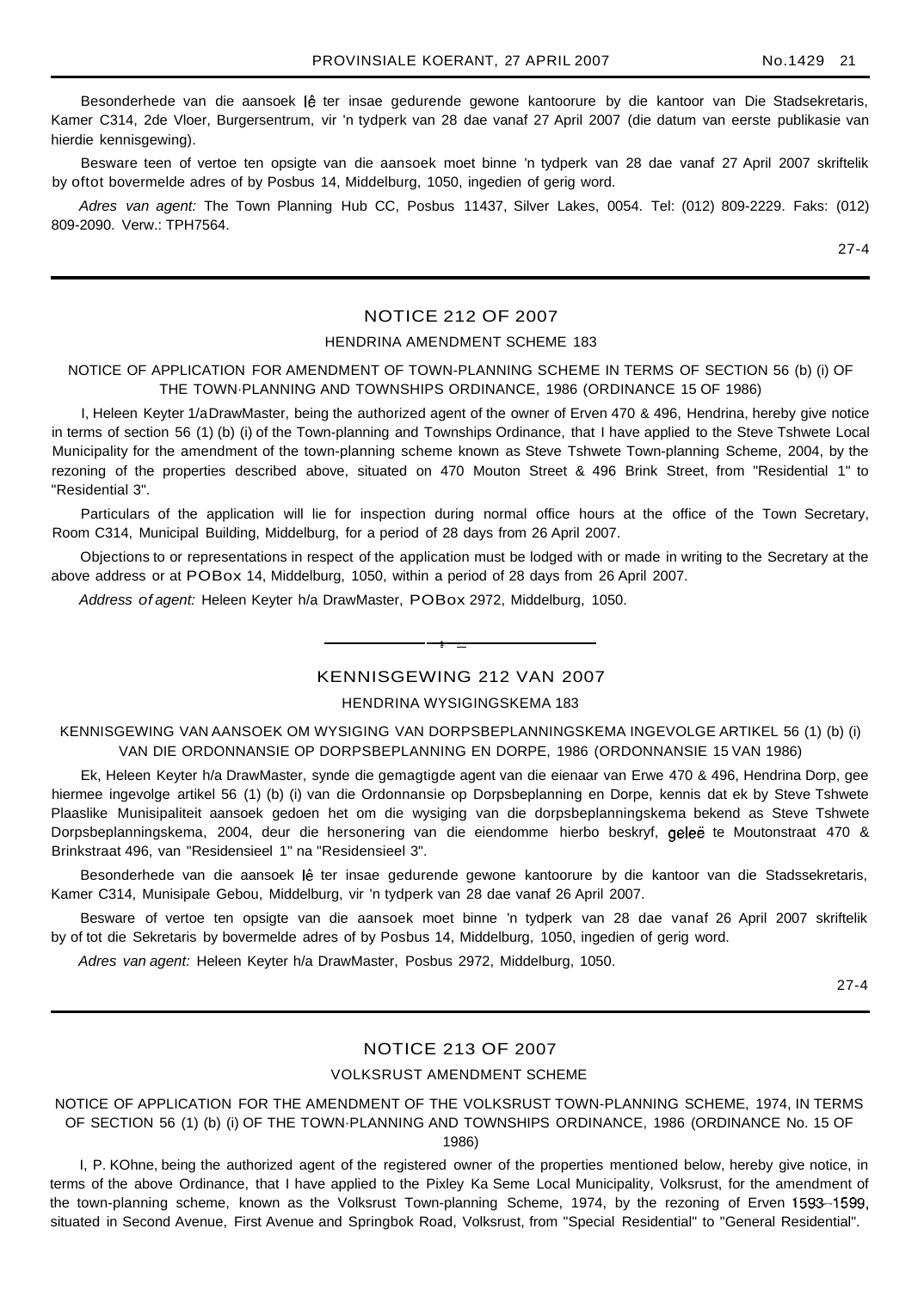Besonderhede van die aansoek lê ter insae gedurende gewone kantoorure by die kantoor van Die Stadsekretaris, Kamer C314, 2de Vloer, Burgersentrum, vir 'n tydperk van 28 dae vanaf 27 April 2007 (die datum van eerste publikasie van hierdie kennisgewing).

Besware teen of vertoe ten opsigte van die aansoek moet binne 'n tydperk van 28 dae vanaf 27 April 2007 skriftelik by oftot bovermelde adres of by Posbus 14, Middelburg, 1050, ingedien of gerig word.

Adres van agent: The Town Planning Hub CC, Posbus 11437, Silver Lakes, 0054. Tel: (012) 809-2229. Faks: (012) 809-2090. Verw.: TPH7564.

27-4

## NOTICE 212 OF 2007

#### HENDRINA AMENDMENT SCHEME 183

## NOTICE OF APPLICATION FOR AMENDMENT OF TOWN-PLANNING SCHEME IN TERMS OF SECTION 56 (b) (i) OF THE TOWN·PLANNING AND TOWNSHIPS ORDINANCE, 1986 (ORDINANCE 15 OF 1986)

I, Heleen Keyter 1/aDrawMaster, being the authorized agent of the owner of Erven 470 & 496, Hendrina, hereby give notice in terms of section 56 (1) (b) (i) of the Town-planning and Townships Ordinance, that I have applied to the Steve Tshwete Local Municipality for the amendment of the town-planning scheme known as Steve Tshwete Town-planning Scheme, 2004, by the rezoning of the properties described above, situated on 470 Mouton Street & 496 Brink Street, from "Residential 1" to "Residential 3".

Particulars of the application will lie for inspection during normal office hours at the office of the Town Secretary, Room C314, Municipal Building, Middelburg, for a period of 28 days from 26 April 2007.

Objections to or representations in respect of the application must be lodged with or made in writing to the Secretary at the above address or at POBox 14, Middelburg, 1050, within a period of 28 days from 26 April 2007.

Address of agent: Heleen Keyter h/a DrawMaster, POBox 2972, Middelburg, 1050.

## KENNISGEWING 212 VAN 2007

**1 •**

## HENDRINA WYSIGINGSKEMA 183

KENNISGEWING VAN AANSOEK OM WYSIGING VAN DORPSBEPLANNINGSKEMA INGEVOLGE ARTIKEL 56 (1) (b) (i) VAN DIE ORDONNANSIE OP DORPSBEPLANNING EN DORPE, 1986 (ORDONNANSIE 15 VAN 1986)

Ek, Heleen Keyter h/a DrawMaster, synde die gemagtigde agent van die eienaar van Erwe 470 & 496, Hendrina Dorp, gee hiermee ingevolge artikel 56 (1) (b) (i) van die Ordonnansie op Dorpsbeplanning en Dorpe, kennis dat ek by Steve Tshwete Plaaslike Munisipaliteit aansoek gedoen het om die wysiging van die dorpsbeplanningskema bekend as Steve Tshwete Dorpsbeplanningskema, 2004, deur die hersonering van die eiendomme hierbo beskryf, gelee te Moutonstraat 470 & Brinkstraat 496, van "Residensieel 1" na "Residensieel 3".

Besonderhede van die aansoek lê ter insae gedurende gewone kantoorure by die kantoor van die Stadssekretaris, Kamer C314, Munisipale Gebou, Middelburg, vir 'n tydperk van 28 dae vanaf 26 April 2007.

Besware of vertoe ten opsigte van die aansoek moet binne 'n tydperk van 28 dae vanaf 26 April 2007 skriftelik by of tot die Sekretaris by bovermelde adres of by Posbus 14, Middelburg, 1050, ingedien of gerig word.

Adres van agent: Heleen Keyter h/a DrawMaster, Posbus 2972, Middelburg, 1050.

27-4

## NOTICE 213 OF 2007

#### VOLKSRUST AMENDMENT SCHEME

NOTICE OF APPLICATION FOR THE AMENDMENT OF THE VOLKSRUST TOWN-PLANNING SCHEME, 1974, IN TERMS OF SECTION 56 (1) (b) (i) OF THE TOWN·PLANNING AND TOWNSHIPS ORDINANCE, 1986 (ORDINANCE No. 15 OF 1986)

I, P. KOhne, being the authorized agent of the registered owner of the properties mentioned below, hereby give notice, in terms of the above Ordinance, that I have applied to the Pixley Ka Seme Local Municipality, Volksrust, for the amendment of the town-planning scheme, known as the Volksrust Town-planning Scheme, 1974, by the rezoning of Erven 1593-1599, situated in Second Avenue, First Avenue and Springbok Road, Volksrust, from "Special Residential" to "General Residential".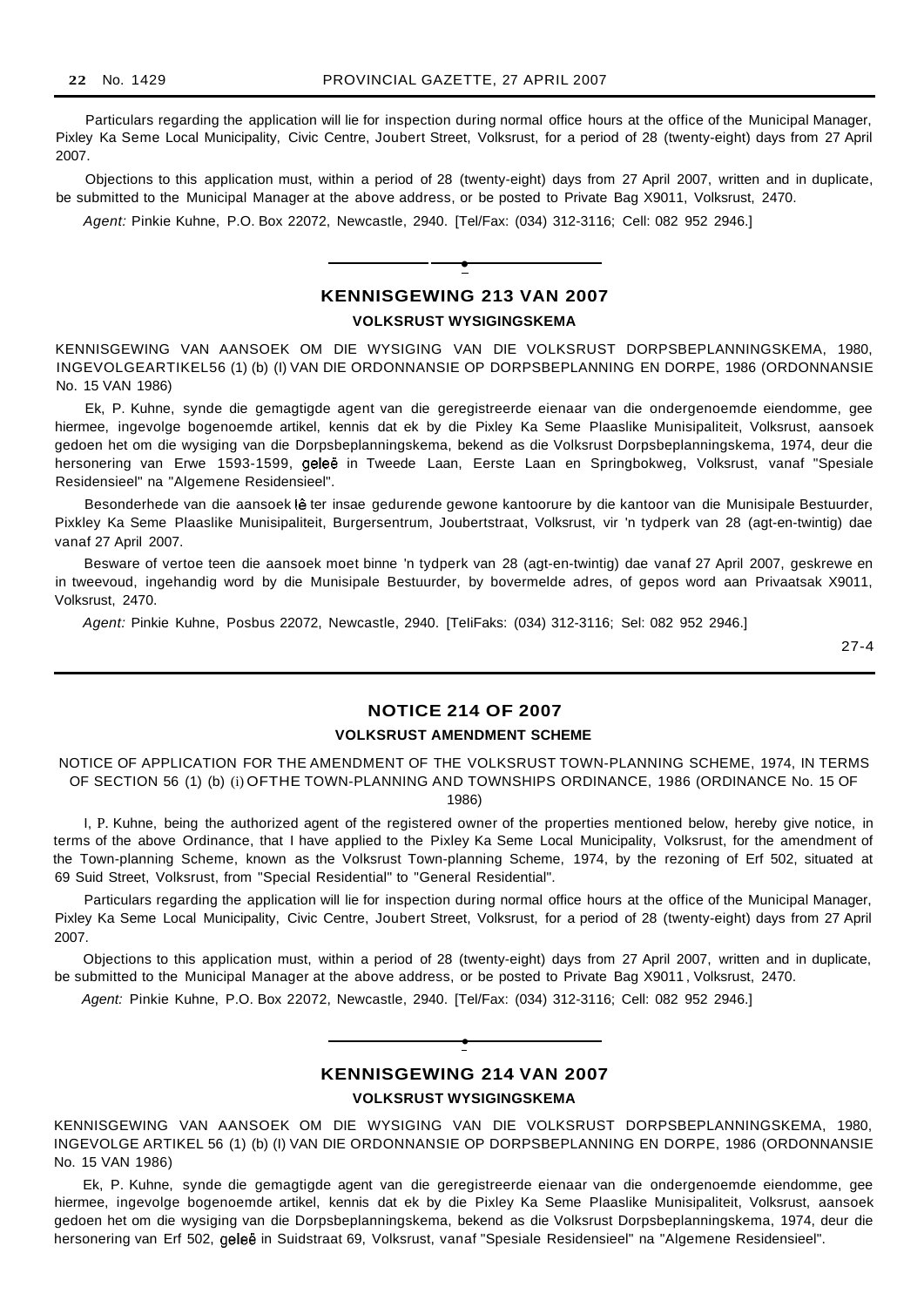Particulars regarding the application will lie for inspection during normal office hours at the office of the Municipal Manager, Pixley Ka Seme Local Municipality, Civic Centre, Joubert Street, Volksrust, for a period of 28 (twenty-eight) days from 27 April 2007.

Objections to this application must, within a period of 28 (twenty-eight) days from 27 April 2007, written and in duplicate, be submitted to the Municipal Manager at the above address, or be posted to Private Bag X9011, Volksrust, 2470.

Agent: Pinkie Kuhne, P.O. Box 22072, Newcastle, 2940. [Tel/Fax: (034) 312-3116; Cell: 082 952 2946.]

## **KENNISGEWING 213 VAN 2007 VOLKSRUST WYSIGINGSKEMA**

**•**

KENNISGEWING VAN AANSOEK OM DIE WYSIGING VAN DIE VOLKSRUST DORPSBEPLANNINGSKEMA, 1980, INGEVOLGEARTIKEL56 (1) (b) (I) VAN DIE ORDONNANSIE OP DORPSBEPLANNING EN DORPE, 1986 (ORDONNANSIE No. 15 VAN 1986)

Ek, P. Kuhne, synde die gemagtigde agent van die geregistreerde eienaar van die ondergenoemde eiendomme, gee hiermee, ingevolge bogenoemde artikel, kennis dat ek by die Pixley Ka Seme Plaaslike Munisipaliteit, Volksrust, aansoek gedoen het om die wysiging van die Dorpsbeplanningskema, bekend as die Volksrust Dorpsbeplanningskema, 1974, deur die hersonering van Erwe 1593-1599, geleë in Tweede Laan, Eerste Laan en Springbokweg, Volksrust, vanaf "Spesiale Residensieel" na "Algemene Residensieel".

Besonderhede van die aansoek lê ter insae gedurende gewone kantoorure by die kantoor van die Munisipale Bestuurder, Pixkley Ka Seme Plaaslike Munisipaliteit, Burgersentrum, Joubertstraat, Volksrust, vir 'n tydperk van 28 (agt-en-twintig) dae vanaf 27 April 2007.

Besware of vertoe teen die aansoek moet binne 'n tydperk van 28 (agt-en-twintig) dae vanaf 27 April 2007, geskrewe en in tweevoud, ingehandig word by die Munisipale Bestuurder, by bovermelde adres, of gepos word aan Privaatsak X9011, Volksrust, 2470.

Agent: Pinkie Kuhne, Posbus 22072, Newcastle, 2940. [TeIiFaks: (034) 312-3116; Sel: 082 952 2946.]

27-4

## **NOTICE 214 OF 2007**

#### **VOLKSRUST AMENDMENT SCHEME**

NOTICE OF APPLICATION FOR THE AMENDMENT OF THE VOLKSRUST TOWN-PLANNING SCHEME, 1974, IN TERMS OF SECTION 56 (1) (b) (i) OFTHE TOWN-PLANNING AND TOWNSHIPS ORDINANCE, 1986 (ORDINANCE No. 15 OF 1986)

I, P. Kuhne, being the authorized agent of the registered owner of the properties mentioned below, hereby give notice, in terms of the above Ordinance, that I have applied to the Pixley Ka Seme Local Municipality, Volksrust, for the amendment of the Town-planning Scheme, known as the Volksrust Town-planning Scheme, 1974, by the rezoning of Erf 502, situated at 69 Suid Street, Volksrust, from "Special Residential" to "General Residential".

Particulars regarding the application will lie for inspection during normal office hours at the office of the Municipal Manager, Pixley Ka Seme Local Municipality, Civic Centre, Joubert Street, Volksrust, for a period of 28 (twenty-eight) days from 27 April 2007.

Objections to this application must, within a period of 28 (twenty-eight) days from 27 April 2007, written and in duplicate, be submitted to the Municipal Manager at the above address, or be posted to Private Bag X9011 , Volksrust, 2470.

Agent: Pinkie Kuhne, P.O. Box 22072, Newcastle, 2940. [Tel/Fax: (034) 312-3116; Cell: 082 952 2946.]



## **KENNISGEWING 214 VAN 2007**

**VOLKSRUST WYSIGINGSKEMA**

KENNISGEWING VAN AANSOEK OM DIE WYSIGING VAN DIE VOLKSRUST DORPSBEPLANNINGSKEMA, 1980, INGEVOLGE ARTIKEL 56 (1) (b) (I) VAN DIE ORDONNANSIE OP DORPSBEPLANNING EN DORPE, 1986 (ORDONNANSIE No. 15 VAN 1986)

Ek, P. Kuhne, synde die gemagtigde agent van die geregistreerde eienaar van die ondergenoemde eiendomme, gee hiermee, ingevolge bogenoemde artikel, kennis dat ek by die Pixley Ka Seme Plaaslike Munisipaliteit, Volksrust, aansoek gedoen het om die wysiging van die Dorpsbeplanningskema, bekend as die Volksrust Dorpsbeplanningskema, 1974, deur die hersonering van Erf 502, geleë in Suidstraat 69, Volksrust, vanaf "Spesiale Residensieel" na "Algemene Residensieel".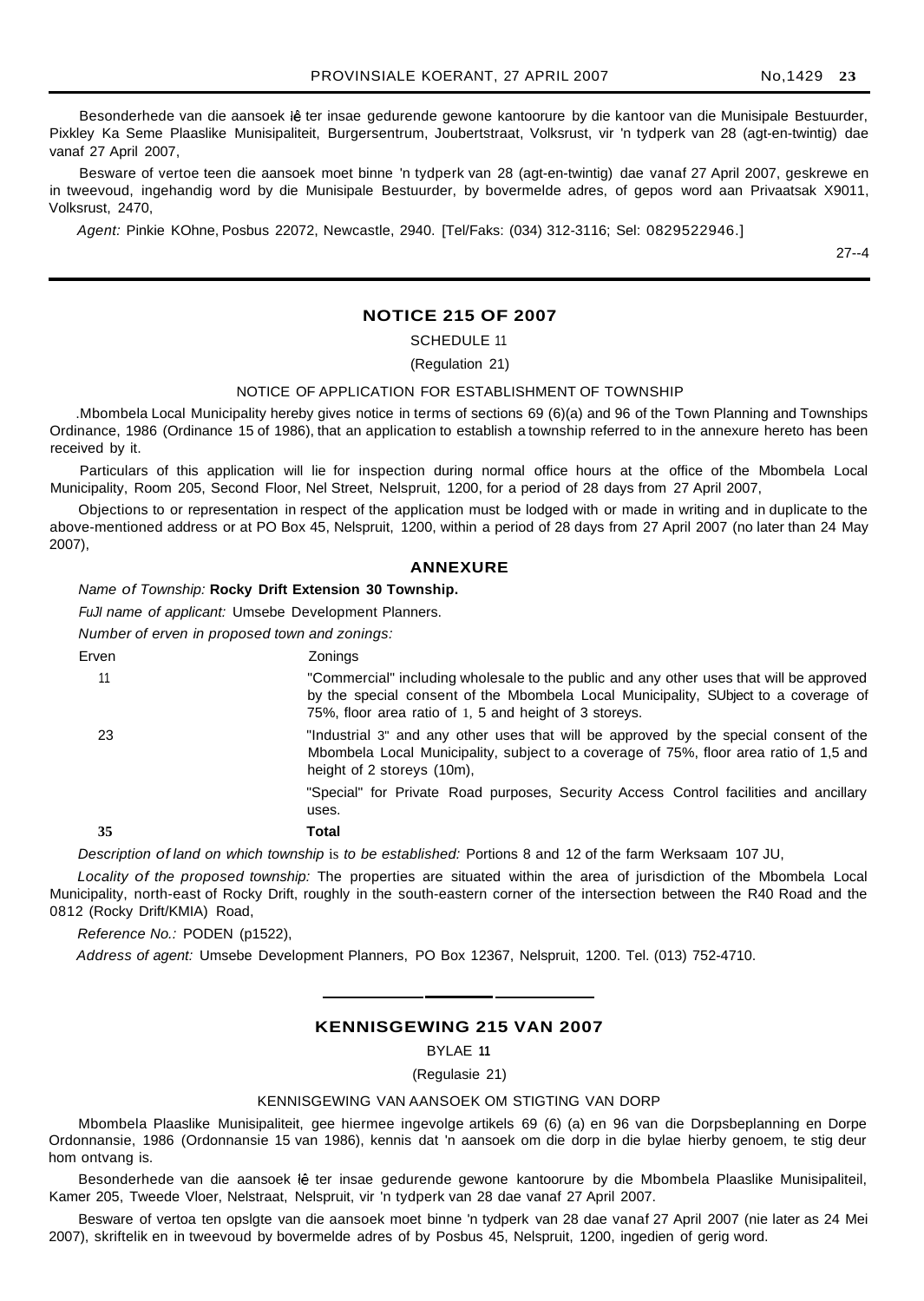Besonderhede van die aansoek lê ter insae gedurende gewone kantoorure by die kantoor van die Munisipale Bestuurder, Pixkley Ka Seme Plaaslike Munisipaliteit, Burgersentrum, Joubertstraat, Volksrust, vir 'n tydperk van 28 (agt-en-twintig) dae vanaf 27 April 2007,

Besware of vertoe teen die aansoek moet binne 'n tydperk van 28 (agt-en-twintig) dae vanaf 27 April 2007, geskrewe en in tweevoud, ingehandig word by die Munisipale Bestuurder, by bovermelde adres, of gepos word aan Privaatsak X9011, Volksrust, 2470,

Agent: Pinkie KOhne, Posbus 22072, Newcastle, 2940. [Tel/Faks: (034) 312-3116; Sel: 0829522946.]

27--4

## **NOTICE 215 OF 2007**

SCHEDULE 11

(Regulation 21)

#### NOTICE OF APPLICATION FOR ESTABLISHMENT OF TOWNSHIP

.Mbombela Local Municipality hereby gives notice in terms of sections 69 (6)(a) and 96 of the Town Planning and Townships Ordinance, 1986 (Ordinance 15 of 1986), that an application to establish a township referred to in the annexure hereto has been received by it.

Particulars of this application will lie for inspection during normal office hours at the office of the Mbombela Local Municipality, Room 205, Second Floor, Nel Street, Nelspruit, 1200, for a period of 28 days from 27 April 2007,

Objections to or representation in respect of the application must be lodged with or made in writing and in duplicate to the above-mentioned address or at PO Box 45, Nelspruit, 1200, within a period of 28 days from 27 April 2007 (no later than 24 May 2007),

#### **ANNEXURE**

Name of Township: **Rocky Drift Extension 30 Township.**

FuJI name of applicant: Umsebe Development Planners.

Number of erven in proposed town and zonings:

| Erven | Zonings                                                                                                                                                                                                                                  |
|-------|------------------------------------------------------------------------------------------------------------------------------------------------------------------------------------------------------------------------------------------|
| 11    | "Commercial" including wholesale to the public and any other uses that will be approved<br>by the special consent of the Mbombela Local Municipality, SUbject to a coverage of<br>75%, floor area ratio of 1, 5 and height of 3 storeys. |
| 23    | "Industrial 3" and any other uses that will be approved by the special consent of the<br>Mbombela Local Municipality, subject to a coverage of 75%, floor area ratio of 1,5 and<br>height of 2 storeys (10m),                            |
|       | "Special" for Private Road purposes, Security Access Control facilities and ancillary<br>uses.                                                                                                                                           |
| 35    | Total                                                                                                                                                                                                                                    |

Description of land on which township is to be established: Portions 8 and 12 of the farm Werksaam 107 JU,

Locality of the proposed township: The properties are situated within the area of jurisdiction of the Mbombela Local Municipality, north-east of Rocky Drift, roughly in the south-eastern corner of the intersection between the R40 Road and the 0812 (Rocky Drift/KMIA) Road,

Reference No.: PODEN (p1522),

Address of agent: Umsebe Development Planners, PO Box 12367, Nelspruit, 1200. Tel. (013) 752-4710.

## **KENNISGEWING 215 VAN 2007**

BYLAE **11**

(Regulasie 21)

#### KENNISGEWING VAN AANSOEK OM STIGTING VAN DORP

Mbombela Plaaslike Munisipaliteit, gee hiermee ingevolge artikels 69 (6) (a) en 96 van die Dorpsbeplanning en Dorpe Ordonnansie, 1986 (Ordonnansie 15 van 1986), kennis dat 'n aansoek om die dorp in die bylae hierby genoem, te stig deur hom ontvang is.

Besonderhede van die aansoek lê ter insae gedurende gewone kantoorure by die Mbombela Plaaslike Munisipaliteil, Kamer 205, Tweede Vloer, Nelstraat, Nelspruit, vir 'n tydperk van 28 dae vanaf 27 April 2007.

Besware of vertoa ten opslgte van die aansoek moet binne 'n tydperk van 28 dae vanaf 27 April 2007 (nie later as 24 Mei 2007), skriftelik en in tweevoud by bovermelde adres of by Posbus 45, Nelspruit, 1200, ingedien of gerig word.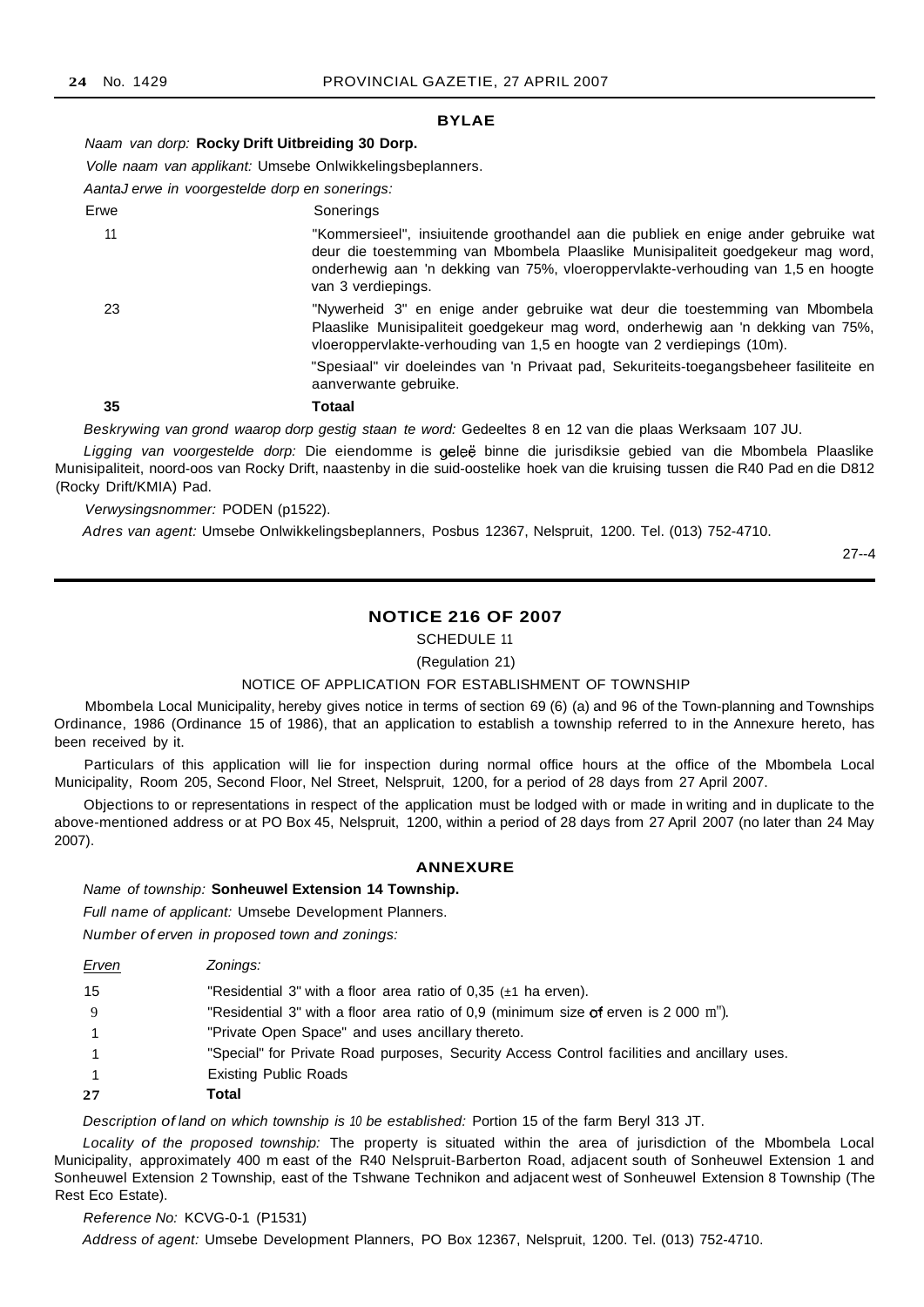#### **BYLAE**

Naam van dorp: **Rocky Drift Uitbreiding 30 Dorp.**

Volle naam van applikant: Umsebe Onlwikkelingsbeplanners.

AantaJ erwe in voorgestelde dorp en sonerings:

| Erwe | Sonerings                                                                                                                                                                                                                                                                       |
|------|---------------------------------------------------------------------------------------------------------------------------------------------------------------------------------------------------------------------------------------------------------------------------------|
| 11   | "Kommersieel", insiuitende groothandel aan die publiek en enige ander gebruike wat<br>deur die toestemming van Mbombela Plaaslike Munisipaliteit goedgekeur mag word,<br>onderhewig aan 'n dekking van 75%, vloeroppervlakte-verhouding van 1,5 en hoogte<br>van 3 verdiepings. |
| 23   | "Nywerheid 3" en enige ander gebruike wat deur die toestemming van Mbombela<br>Plaaslike Munisipaliteit goedgekeur mag word, onderhewig aan 'n dekking van 75%,<br>vloeroppervlakte-verhouding van 1,5 en hoogte van 2 verdiepings (10m).                                       |
|      | "Spesiaal" vir doeleindes van 'n Privaat pad. Sekuriteits-toegangsbeheer fasiliteite en<br>aanverwante gebruike.                                                                                                                                                                |
| 35   | Totaal                                                                                                                                                                                                                                                                          |
|      | Beskrywing van grond waarop dorp gestig staan te word: Gedeeltes 8 en 12 van die plaas Werksaam 107 JU.                                                                                                                                                                         |
|      |                                                                                                                                                                                                                                                                                 |

Ligging van voorgestelde dorp: Die eiendomme is geleë binne die jurisdiksie gebied van die Mbombela Plaaslike Munisipaliteit, noord-oos van Rocky Drift, naastenby in die suid-oostelike hoek van die kruising tussen die R40 Pad en die D812 (Rocky Drift/KMIA) Pad.

#### Verwysingsnommer: PODEN (p1522).

Adres van agent: Umsebe Onlwikkelingsbeplanners, Posbus 12367, Nelspruit, 1200. Tel. (013) 752-4710.

27--4

## **NOTICE 216 OF 2007**

SCHEDULE 11

(Regulation 21)

#### NOTICE OF APPLICATION FOR ESTABLISHMENT OF TOWNSHIP

Mbombela Local Municipality, hereby gives notice in terms of section 69 (6) (a) and 96 of the Town-planning and Townships Ordinance, 1986 (Ordinance 15 of 1986), that an application to establish a township referred to in the Annexure hereto, has been received by it.

Particulars of this application will lie for inspection during normal office hours at the office of the Mbombela Local Municipality, Room 205, Second Floor, Nel Street, Nelspruit, 1200, for a period of 28 days from 27 April 2007.

Objections to or representations in respect of the application must be lodged with or made in writing and in duplicate to the above-mentioned address or at PO Box 45, Nelspruit, 1200, within a period of 28 days from 27 April 2007 (no later than 24 May 2007).

## **ANNEXURE**

Name of township: **Sonheuwel Extension 14 Township.**

Full name of applicant: Umsebe Development Planners.

Number of erven in proposed town and zonings:

| Erven | Zonings:                                                                                    |
|-------|---------------------------------------------------------------------------------------------|
| 15    | "Residential 3" with a floor area ratio of 0.35 $(\pm 1)$ ha erven).                        |
| 9     | "Residential 3" with a floor area ratio of 0,9 (minimum size of erven is 2 000 m").         |
|       | "Private Open Space" and uses ancillary thereto.                                            |
|       | "Special" for Private Road purposes, Security Access Control facilities and ancillary uses. |
|       | <b>Existing Public Roads</b>                                                                |
| 27    | Total                                                                                       |

Description of land on which township is 10 be established: Portion 15 of the farm Beryl 313 JT.

Locality of the proposed township: The property is situated within the area of jurisdiction of the Mbombela Local Municipality, approximately 400 m east of the R40 Nelspruit-Barberton Road, adjacent south of Sonheuwel Extension 1 and Sonheuwel Extension 2 Township, east of the Tshwane Technikon and adjacent west of Sonheuwel Extension 8 Township (The Rest Eco Estate).

#### Reference No: KCVG-0-1 (P1531)

Address of agent: Umsebe Development Planners, PO Box 12367, Nelspruit, 1200. Tel. (013) 752-4710.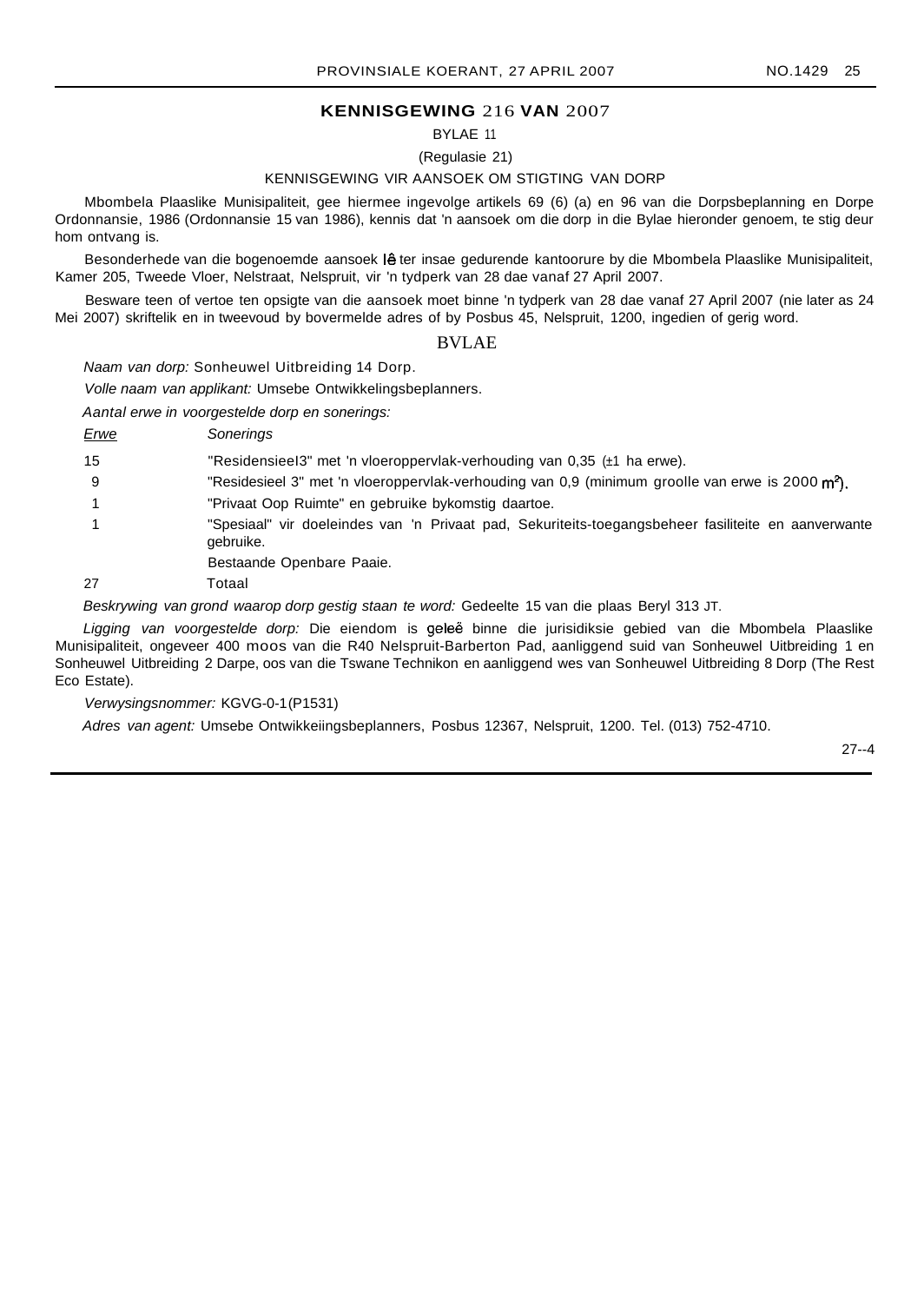## **KENNISGEWING** 216 **VAN** 2007

BYLAE 11

(Regulasie 21)

## KENNISGEWING VIR AANSOEK OM STIGTING VAN DORP

Mbombela Plaaslike Munisipaliteit, gee hiermee ingevolge artikels 69 (6) (a) en 96 van die Dorpsbeplanning en Dorpe Ordonnansie, 1986 (Ordonnansie 15 van 1986), kennis dat 'n aansoek om die dorp in die Bylae hieronder genoem, te stig deur hom ontvang is.

Besonderhede van die bogenoemde aansoek lê ter insae gedurende kantoorure by die Mbombela Plaaslike Munisipaliteit, Kamer 205, Tweede Vloer, Nelstraat, Nelspruit, vir 'n tydperk van 28 dae vanaf 27 April 2007.

Besware teen of vertoe ten opsigte van die aansoek moet binne 'n tydperk van 28 dae vanaf 27 April 2007 (nie later as 24 Mei 2007) skriftelik en in tweevoud by bovermelde adres of by Posbus 45, Nelspruit, 1200, ingedien of gerig word.

#### BVLAE

Naam van dorp: Sonheuwel Uitbreiding 14 Dorp.

Volle naam van applikant: Umsebe Ontwikkelingsbeplanners.

Aantal erwe in voorgestelde dorp en sonerings:

Erwe Sonerings

15 "ResidensieeI3" met 'n vloeroppervlak-verhouding van 0,35 (±1 ha erwe).

- 9 "Residesieel 3" met 'n vloeroppervlak-verhouding van 0,9 (minimum groolle van erwe is 2000 m<sup>2</sup>).
- 1 "Privaat Oop Ruimte" en gebruike bykomstig daartoe.
- 1 "Spesiaal" vir doeleindes van 'n Privaat pad, Sekuriteits-toegangsbeheer fasiliteite en aanverwante gebruike.

Bestaande Openbare Paaie.

27 Totaal

Beskrywing van grond waarop dorp gestig staan te word: Gedeelte 15 van die plaas Beryl 313 JT.

Ligging van voorgestelde dorp: Die eiendom is geleë binne die jurisidiksie gebied van die Mbombela Plaaslike Munisipaliteit, ongeveer 400 moos van die R40 Nelspruit-Barberton Pad, aanliggend suid van Sonheuwel Uitbreiding 1 en Sonheuwel Uitbreiding 2 Darpe, oos van die Tswane Technikon en aanliggend wes van Sonheuwel Uitbreiding 8 Dorp (The Rest Eco Estate).

Verwysingsnommer: KGVG-0-1(P1531)

Adres van agent: Umsebe Ontwikkeiingsbeplanners, Posbus 12367, Nelspruit, 1200. Tel. (013) 752-4710.

27--4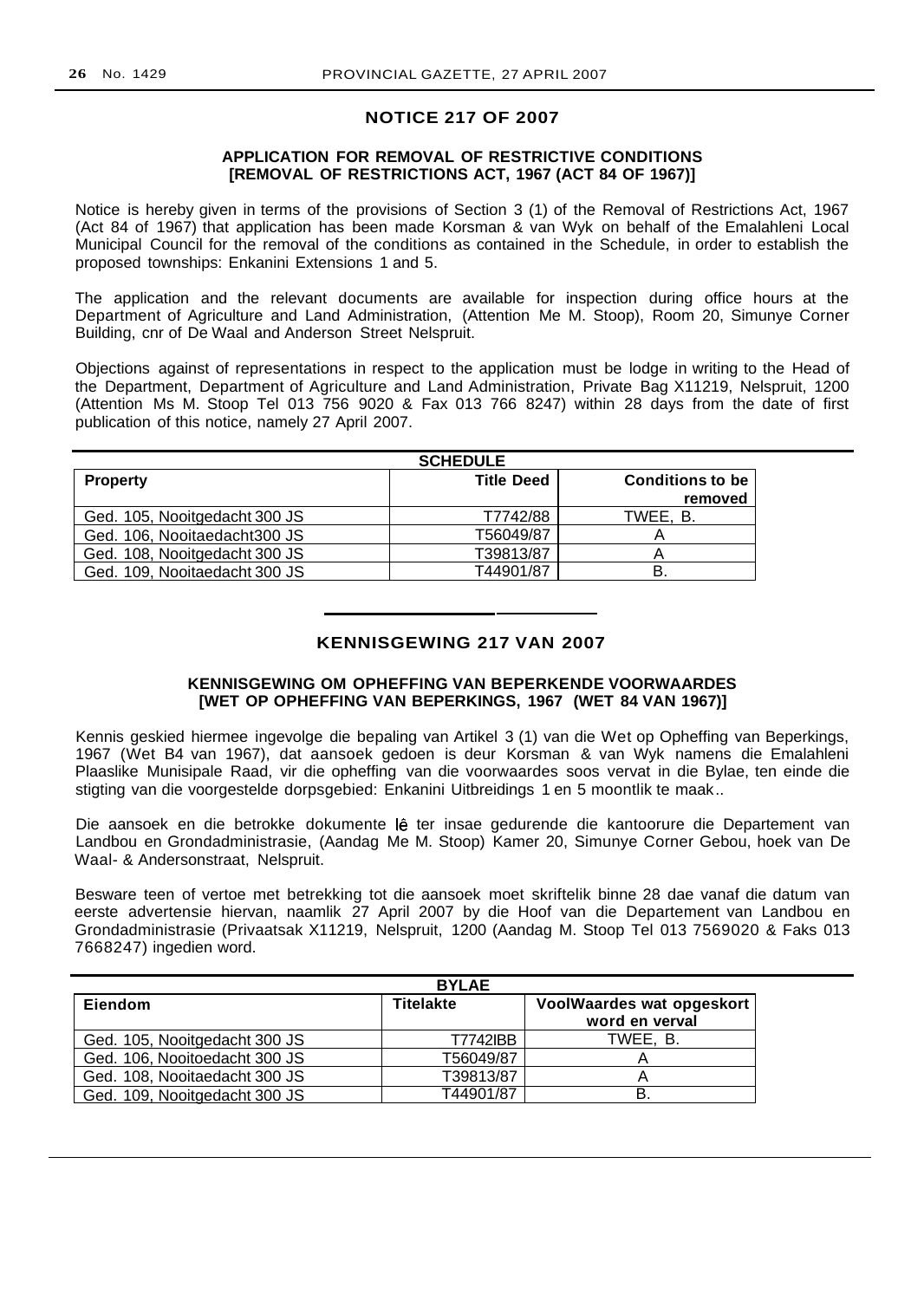## **NOTICE 217 OF 2007**

## **APPLICATION FOR REMOVAL OF RESTRICTIVE CONDITIONS [REMOVAL OF RESTRICTIONS ACT, 1967 (ACT 84 OF 1967)]**

Notice is hereby given in terms of the provisions of Section 3 (1) of the Removal of Restrictions Act, 1967 (Act 84 of 1967) that application has been made Korsman & van Wyk on behalf of the Emalahleni Local Municipal Council for the removal of the conditions as contained in the Schedule, in order to establish the proposed townships: Enkanini Extensions 1 and 5.

The application and the relevant documents are available for inspection during office hours at the Department of Agriculture and Land Administration, (Attention Me M. Stoop), Room 20, Simunye Corner Building, cnr of De Waal and Anderson Street Nelspruit.

Objections against of representations in respect to the application must be lodge in writing to the Head of the Department, Department of Agriculture and Land Administration, Private Bag X11219, Nelspruit, 1200 (Attention Ms M. Stoop Tel 013 756 9020 & Fax 013 766 8247) within 28 days from the date of first publication of this notice, namely 27 April 2007.

|                               | <b>SCHEDULE</b>   |                         |
|-------------------------------|-------------------|-------------------------|
| <b>Property</b>               | <b>Title Deed</b> | <b>Conditions to be</b> |
|                               |                   | removed                 |
| Ged. 105, Nooitgedacht 300 JS | T7742/88          | TWEE. B.                |
| Ged. 106, Nooitaedacht300 JS  | T56049/87         |                         |
| Ged. 108, Nooitgedacht 300 JS | T39813/87         |                         |
| Ged. 109, Nooitaedacht 300 JS | T44901/87         | в                       |

## **KENNISGEWING 217 VAN 2007**

## **KENNISGEWING OM OPHEFFING VAN BEPERKENDE VOORWAARDES [WET OP OPHEFFING VAN BEPERKINGS, 1967 (WET 84 VAN 1967)]**

Kennis geskied hiermee ingevolge die bepaling van Artikel 3 (1) van die Wet op Opheffing van Beperkings, 1967 (Wet B4 van 1967), dat aansoek gedoen is deur Korsman & van Wyk namens die Emalahleni Plaaslike Munisipale Raad, vir die opheffing van die voorwaardes soos vervat in die Bylae, ten einde die stigting van die voorgestelde dorpsgebied: Enkanini Uitbreidings 1 en 5 moontlik te maak..

Die aansoek en die betrokke dokumente lê ter insae gedurende die kantoorure die Departement van Landbou en Grondadministrasie, (Aandag Me M. Stoop) Kamer 20, Simunye Corner Gebou, hoek van De Waal- & Andersonstraat, Nelspruit.

Besware teen of vertoe met betrekking tot die aansoek moet skriftelik binne 28 dae vanaf die datum van eerste advertensie hiervan, naamlik 27 April 2007 by die Hoof van die Departement van Landbou en Grondadministrasie (Privaatsak X11219, Nelspruit, 1200 (Aandag M. Stoop Tel 013 7569020 & Faks 013 7668247) ingedien word.

|                               | <b>BYLAE</b>     |                           |
|-------------------------------|------------------|---------------------------|
| Eiendom                       | <b>Titelakte</b> | VoolWaardes wat opgeskort |
|                               |                  | word en verval            |
| Ged. 105, Nooitgedacht 300 JS | <b>T7742IBB</b>  | TWEE. B.                  |
| Ged. 106, Nooitoedacht 300 JS | T56049/87        |                           |
| Ged. 108, Nooitaedacht 300 JS | T39813/87        |                           |
| Ged. 109, Nooitgedacht 300 JS | T44901/87        |                           |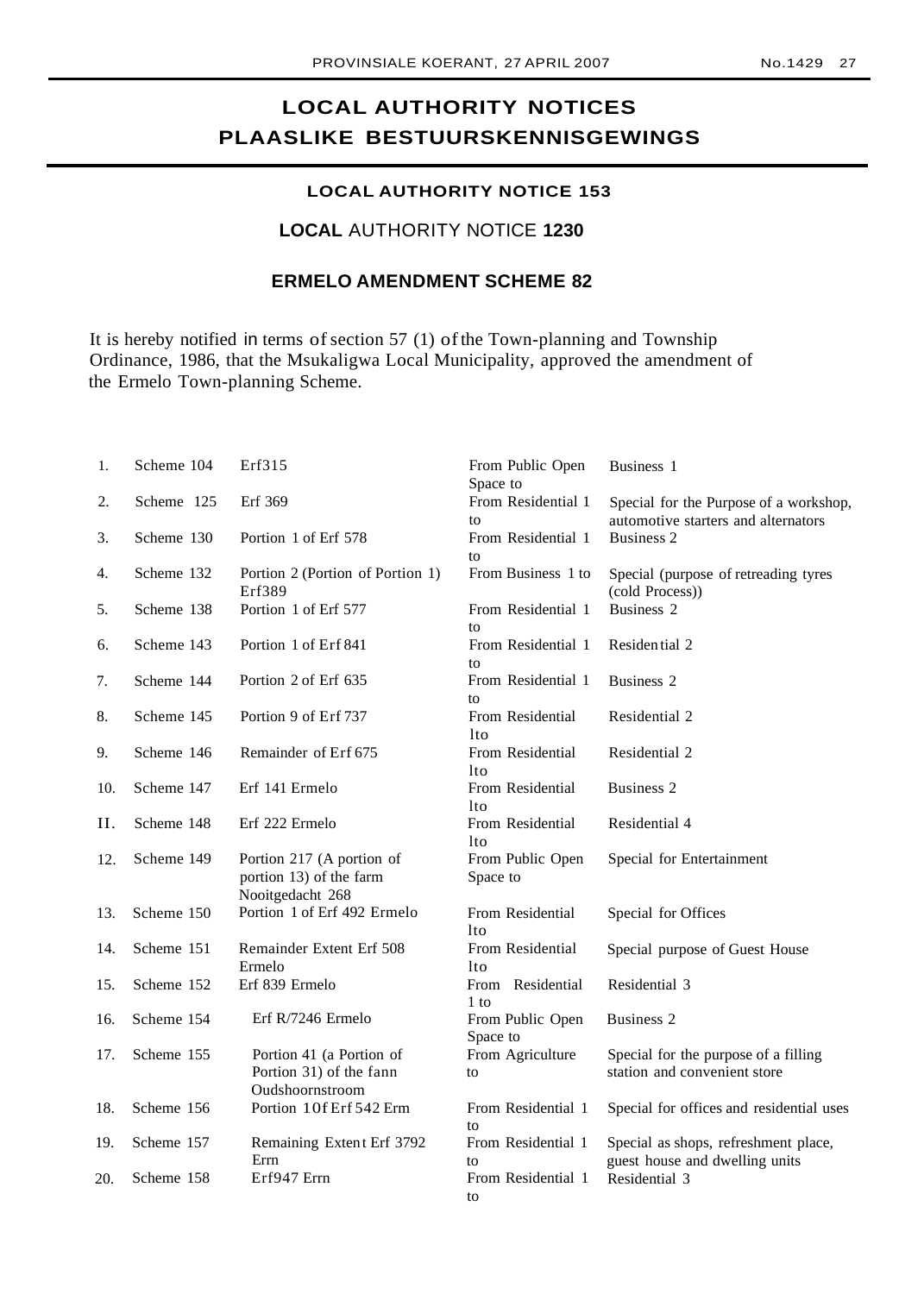## **LOCAL AUTHORITY NOTICES PLAASLIKE BESTUURSKENNISGEWINGS**

## **LOCAL AUTHORITY NOTICE 153**

## **LOCAL** AUTHORITY NOTICE **1230**

## **ERMELO AMENDMENT SCHEME 82**

It is hereby notified in terms of section 57 (1) of the Town-planning and Township Ordinance, 1986, that the Msukaligwa Local Municipality, approved the amendment of the Ermelo Town-planning Scheme.

| 1.  | Scheme 104 | Erf315                                                                   | From Public Open<br>Space to        | Business 1                                                                    |
|-----|------------|--------------------------------------------------------------------------|-------------------------------------|-------------------------------------------------------------------------------|
| 2.  | Scheme 125 | Erf 369                                                                  | From Residential 1<br>to            | Special for the Purpose of a workshop,<br>automotive starters and alternators |
| 3.  | Scheme 130 | Portion 1 of Erf 578                                                     | From Residential 1<br>to            | <b>Business 2</b>                                                             |
| 4.  | Scheme 132 | Portion 2 (Portion of Portion 1)<br>Erf389                               | From Business 1 to                  | Special (purpose of retreading tyres<br>(cold Process))                       |
| 5.  | Scheme 138 | Portion 1 of Erf 577                                                     | From Residential 1<br>to            | <b>Business 2</b>                                                             |
| 6.  | Scheme 143 | Portion 1 of Erf 841                                                     | From Residential 1<br>to            | Residential 2                                                                 |
| 7.  | Scheme 144 | Portion 2 of Erf 635                                                     | From Residential 1<br>to            | <b>Business 2</b>                                                             |
| 8.  | Scheme 145 | Portion 9 of Erf 737                                                     | From Residential<br>1to             | Residential 2                                                                 |
| 9.  | Scheme 146 | Remainder of Erf 675                                                     | From Residential<br>1to             | Residential 2                                                                 |
| 10. | Scheme 147 | Erf 141 Ermelo                                                           | From Residential<br>1to             | Business 2                                                                    |
| Η.  | Scheme 148 | Erf 222 Ermelo                                                           | From Residential<br>lto             | Residential 4                                                                 |
| 12. | Scheme 149 | Portion 217 (A portion of<br>portion 13) of the farm<br>Nooitgedacht 268 | From Public Open<br>Space to        | Special for Entertainment                                                     |
| 13. | Scheme 150 | Portion 1 of Erf 492 Ermelo                                              | From Residential<br>1to             | Special for Offices                                                           |
| 14. | Scheme 151 | Remainder Extent Erf 508<br>Ermelo                                       | From Residential<br><sup>1</sup> to | Special purpose of Guest House                                                |
| 15. | Scheme 152 | Erf 839 Ermelo                                                           | From Residential<br>$1$ to          | Residential 3                                                                 |
| 16. | Scheme 154 | Erf R/7246 Ermelo                                                        | From Public Open<br>Space to        | <b>Business 2</b>                                                             |
| 17. | Scheme 155 | Portion 41 (a Portion of<br>Portion 31) of the fann<br>Oudshoornstroom   | From Agriculture<br>to              | Special for the purpose of a filling<br>station and convenient store          |
| 18. | Scheme 156 | Portion 10f Erf 542 Erm                                                  | From Residential 1<br>to            | Special for offices and residential uses                                      |
| 19. | Scheme 157 | Remaining Extent Erf 3792<br>Errn                                        | From Residential 1<br>to            | Special as shops, refreshment place,<br>guest house and dwelling units        |
| 20. | Scheme 158 | Erf947 Errn                                                              | From Residential 1<br>to            | Residential 3                                                                 |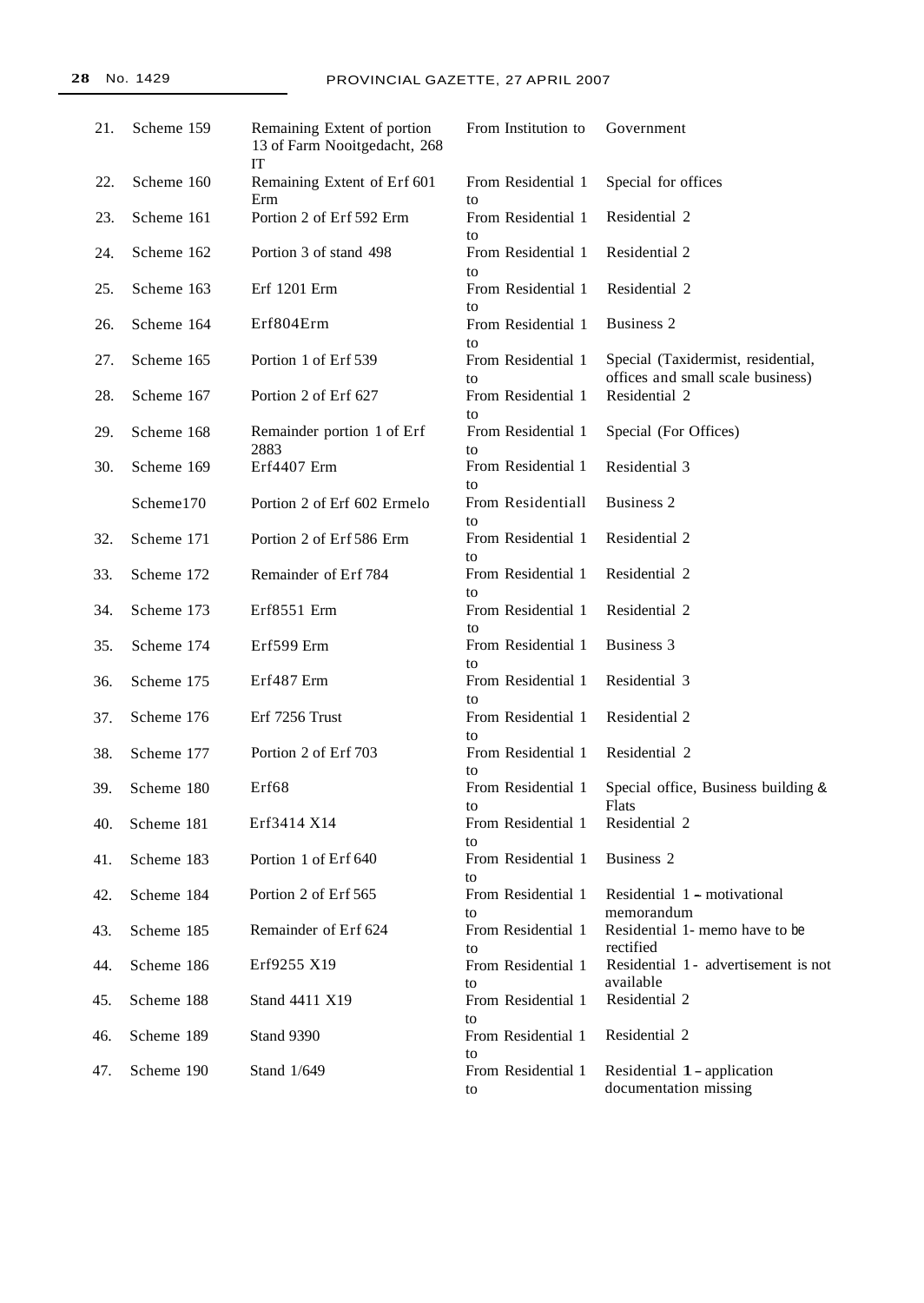| 21. | Scheme 159 | Remaining Extent of portion<br>13 of Farm Nooitgedacht, 268<br>IT | From Institution to      | Government                                                              |
|-----|------------|-------------------------------------------------------------------|--------------------------|-------------------------------------------------------------------------|
| 22. | Scheme 160 | Remaining Extent of Erf 601<br>Erm                                | From Residential 1<br>to | Special for offices                                                     |
| 23. | Scheme 161 | Portion 2 of Erf 592 Erm                                          | From Residential 1<br>to | Residential 2                                                           |
| 24. | Scheme 162 | Portion 3 of stand 498                                            | From Residential 1<br>to | Residential 2                                                           |
| 25. | Scheme 163 | Erf 1201 Erm                                                      | From Residential 1<br>to | Residential 2                                                           |
| 26. | Scheme 164 | Erf804Erm                                                         | From Residential 1<br>to | Business 2                                                              |
| 27. | Scheme 165 | Portion 1 of Erf 539                                              | From Residential 1<br>to | Special (Taxidermist, residential,<br>offices and small scale business) |
| 28. | Scheme 167 | Portion 2 of Erf 627                                              | From Residential 1<br>to | Residential 2                                                           |
| 29. | Scheme 168 | Remainder portion 1 of Erf<br>2883                                | From Residential 1<br>to | Special (For Offices)                                                   |
| 30. | Scheme 169 | Erf4407 Erm                                                       | From Residential 1<br>to | Residential 3                                                           |
|     | Scheme170  | Portion 2 of Erf 602 Ermelo                                       | From Residentiall<br>to  | <b>Business 2</b>                                                       |
| 32. | Scheme 171 | Portion 2 of Erf 586 Erm                                          | From Residential 1<br>to | Residential 2                                                           |
| 33. | Scheme 172 | Remainder of Erf 784                                              | From Residential 1<br>to | Residential 2                                                           |
| 34. | Scheme 173 | Erf8551 Erm                                                       | From Residential 1<br>to | Residential 2                                                           |
| 35. | Scheme 174 | Erf599 Erm                                                        | From Residential 1<br>to | Business 3                                                              |
| 36. | Scheme 175 | Erf487 Erm                                                        | From Residential 1<br>to | Residential 3                                                           |
| 37. | Scheme 176 | Erf 7256 Trust                                                    | From Residential 1<br>to | Residential 2                                                           |
| 38. | Scheme 177 | Portion 2 of Erf 703                                              | From Residential 1<br>to | Residential 2                                                           |
| 39. | Scheme 180 | Erf68                                                             | From Residential 1<br>to | Special office, Business building &<br>Flats                            |
| 40. | Scheme 181 | Erf3414 X14                                                       | From Residential 1<br>to | Residential 2                                                           |
| 41. | Scheme 183 | Portion 1 of Erf 640                                              | From Residential 1<br>to | Business 2                                                              |
| 42. | Scheme 184 | Portion 2 of Erf 565                                              | From Residential 1<br>to | Residential 1 - motivational<br>memorandum                              |
| 43. | Scheme 185 | Remainder of Erf 624                                              | From Residential 1<br>to | Residential 1- memo have to be<br>rectified                             |
| 44. | Scheme 186 | Erf9255 X19                                                       | From Residential 1<br>to | Residential 1 - advertisement is not<br>available                       |
| 45. | Scheme 188 | Stand 4411 X19                                                    | From Residential 1<br>to | Residential 2                                                           |
| 46. | Scheme 189 | Stand 9390                                                        | From Residential 1<br>to | Residential 2                                                           |
| 47. | Scheme 190 | Stand 1/649                                                       | From Residential 1<br>to | Residential 1 - application<br>documentation missing                    |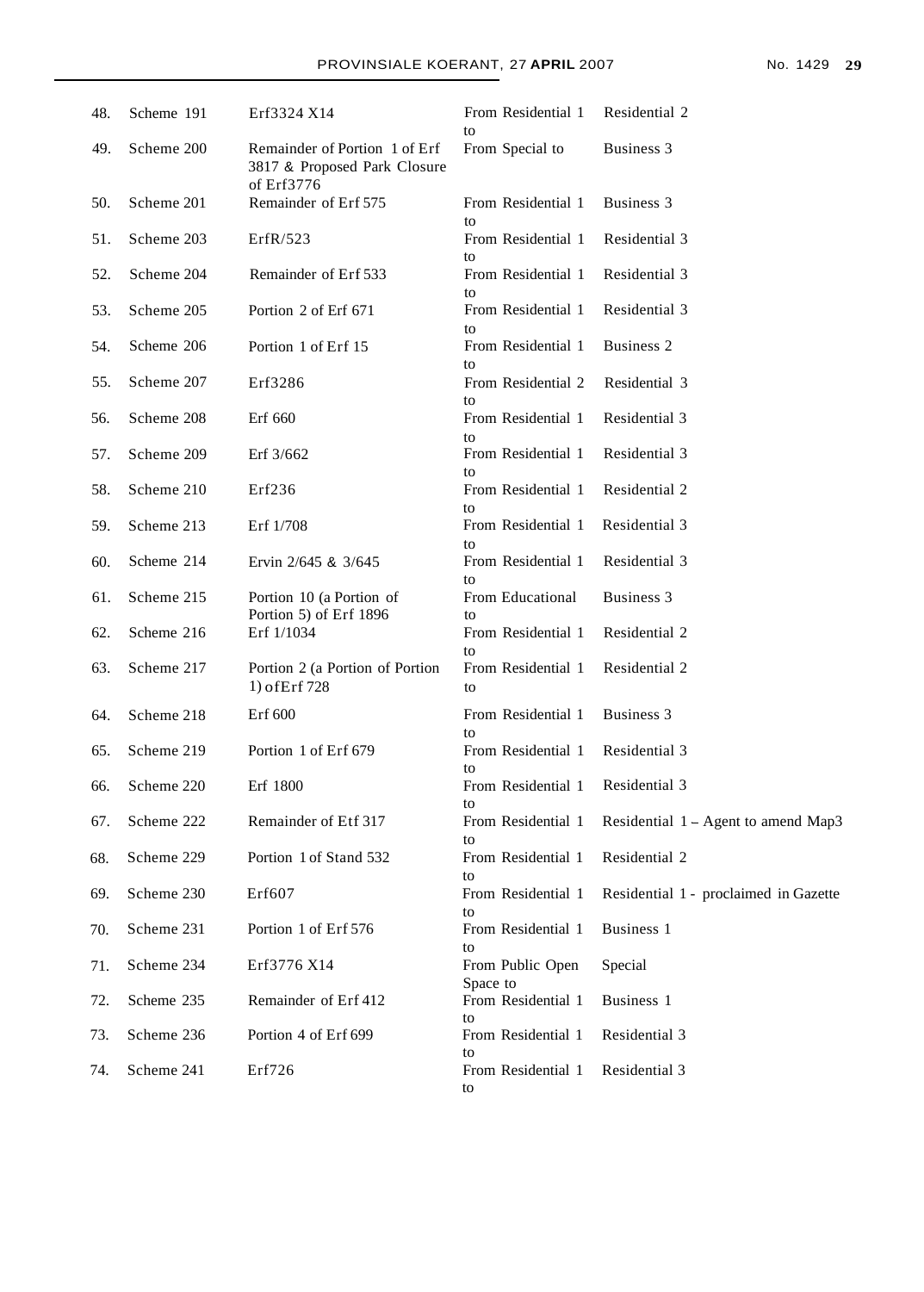|     |            | <b>FROVINSIALE ROERANT, 27 AFRIL 2007</b>                                   |                          |                                     | <b>NO. 1429</b> |
|-----|------------|-----------------------------------------------------------------------------|--------------------------|-------------------------------------|-----------------|
| 48. | Scheme 191 | Erf3324 X14                                                                 | From Residential 1       | Residential 2                       |                 |
| 49. | Scheme 200 | Remainder of Portion 1 of Erf<br>3817 & Proposed Park Closure<br>of Erf3776 | to<br>From Special to    | Business 3                          |                 |
| 50. | Scheme 201 | Remainder of Erf 575                                                        | From Residential 1<br>to | Business 3                          |                 |
| 51. | Scheme 203 | ErfR/523                                                                    | From Residential 1<br>to | Residential 3                       |                 |
| 52. | Scheme 204 | Remainder of Erf 533                                                        | From Residential 1<br>to | Residential 3                       |                 |
| 53. | Scheme 205 | Portion 2 of Erf 671                                                        | From Residential 1<br>to | Residential 3                       |                 |
| 54. | Scheme 206 | Portion 1 of Erf 15                                                         | From Residential 1<br>to | <b>Business 2</b>                   |                 |
| 55. | Scheme 207 | Erf3286                                                                     | From Residential 2<br>to | Residential 3                       |                 |
| 56. | Scheme 208 | Erf 660                                                                     | From Residential 1<br>to | Residential 3                       |                 |
| 57. | Scheme 209 | Erf 3/662                                                                   | From Residential 1<br>to | Residential 3                       |                 |
| 58. | Scheme 210 | Erf236                                                                      | From Residential 1<br>to | Residential 2                       |                 |
| 59. | Scheme 213 | Erf 1/708                                                                   | From Residential 1<br>to | Residential 3                       |                 |
| 60. | Scheme 214 | Ervin 2/645 & 3/645                                                         | From Residential 1<br>to | Residential 3                       |                 |
| 61. | Scheme 215 | Portion 10 (a Portion of<br>Portion 5) of Erf 1896                          | From Educational<br>to   | Business 3                          |                 |
| 62. | Scheme 216 | Erf 1/1034                                                                  | From Residential 1<br>to | Residential 2                       |                 |
| 63. | Scheme 217 | Portion 2 (a Portion of Portion<br>1) of Erf 728                            | From Residential 1<br>to | Residential 2                       |                 |
| 64. | Scheme 218 | Erf 600                                                                     | From Residential 1<br>to | Business 3                          |                 |
| 65. | Scheme 219 | Portion 1 of Erf 679                                                        | From Residential 1<br>to | Residential 3                       |                 |
| 66. | Scheme 220 | Erf 1800                                                                    | From Residential 1<br>to | Residential 3                       |                 |
| 67. | Scheme 222 | Remainder of Etf 317                                                        | From Residential 1       | Residential 1 - Agent to amend Map3 |                 |

|     | 69. Scheme 230 | Erf607               |                                  | From Residential 1 Residential 1 - proclaimed in Gazette |
|-----|----------------|----------------------|----------------------------------|----------------------------------------------------------|
|     |                |                      | to                               |                                                          |
| 70. | Scheme 231     | Portion 1 of Erf 576 | From Residential 1               | Business 1                                               |
|     |                |                      | to                               |                                                          |
| 71. | Scheme 234     | Erf3776 X14          | From Public Open                 | Special                                                  |
|     |                |                      | Space to                         |                                                          |
| 72. | Scheme 235     | Remainder of Erf 412 | From Residential 1               | Business 1                                               |
|     |                |                      | to                               |                                                          |
| 73. | Scheme 236     | Portion 4 of Erf 699 | From Residential 1               | Residential 3                                            |
|     |                |                      | to                               |                                                          |
| 74. | Scheme 241     | Erf726               | From Residential 1 Residential 3 |                                                          |

68. Scheme 229 Portion 1 of Stand 532 From Residential 1 Residential 2

to

to

to<br>From Residential 1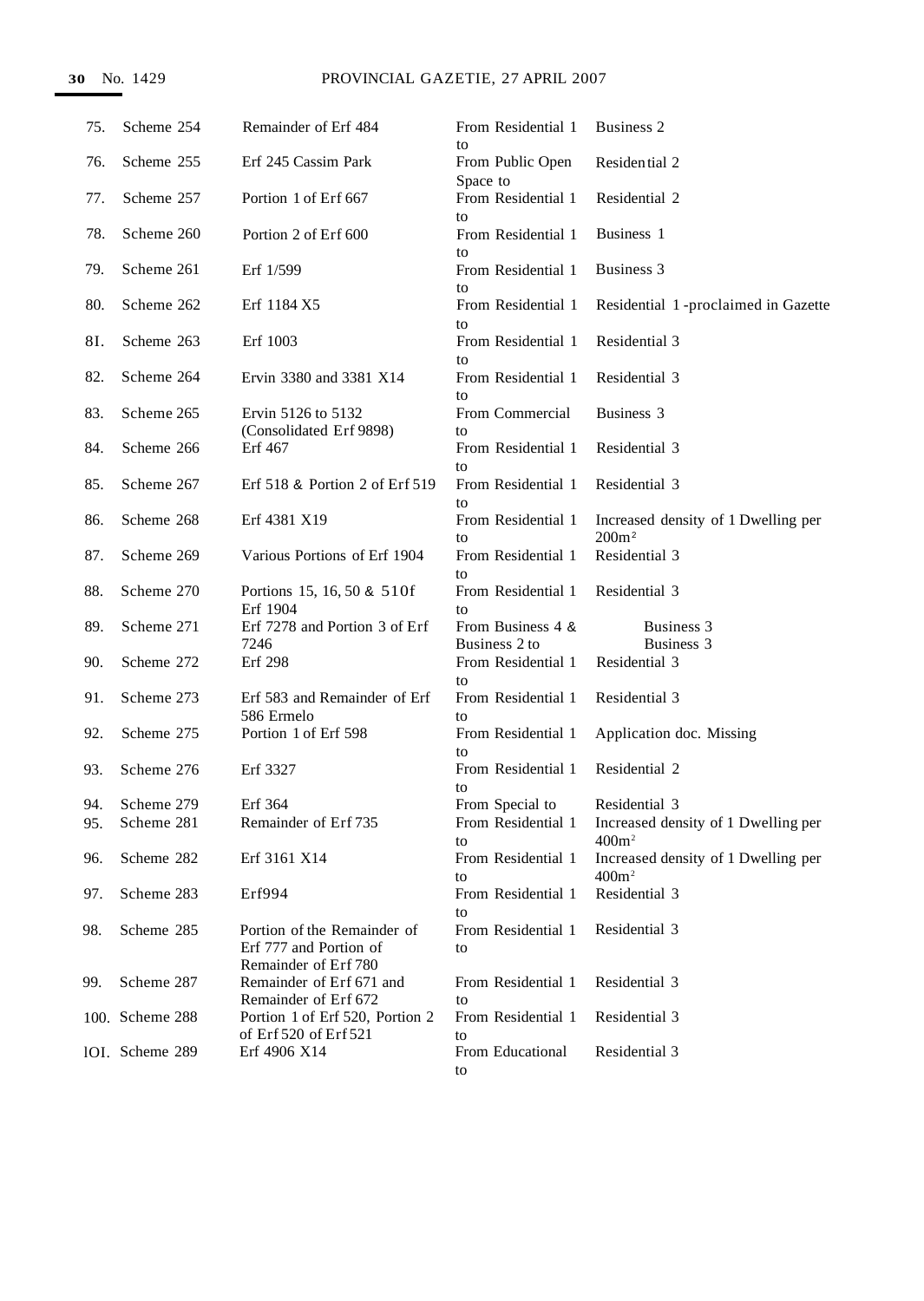| 75.        | Scheme 254               | Remainder of Erf 484                                                          | From Residential 1<br>to              | Business 2                                                                    |
|------------|--------------------------|-------------------------------------------------------------------------------|---------------------------------------|-------------------------------------------------------------------------------|
| 76.        | Scheme 255               | Erf 245 Cassim Park                                                           | From Public Open<br>Space to          | Residential 2                                                                 |
| 77.        | Scheme 257               | Portion 1 of Erf 667                                                          | From Residential 1<br>to              | Residential 2                                                                 |
| 78.        | Scheme 260               | Portion 2 of Erf 600                                                          | From Residential 1<br>to              | Business 1                                                                    |
| 79.        | Scheme 261               | Erf 1/599                                                                     | From Residential 1<br>to              | Business 3                                                                    |
| 80.        | Scheme 262               | Erf 1184 X5                                                                   | From Residential 1<br>to              | Residential 1-proclaimed in Gazette                                           |
| 8I.        | Scheme 263               | Erf 1003                                                                      | From Residential 1<br>to              | Residential 3                                                                 |
| 82.        | Scheme 264               | Ervin 3380 and 3381 X14                                                       | From Residential 1<br>to              | Residential 3                                                                 |
| 83.        | Scheme 265               | Ervin 5126 to 5132<br>(Consolidated Erf 9898)                                 | From Commercial<br>to                 | Business 3                                                                    |
| 84.        | Scheme 266               | Erf 467                                                                       | From Residential 1<br>to              | Residential 3                                                                 |
| 85.        | Scheme 267               | Erf 518 & Portion 2 of Erf 519                                                | From Residential 1<br>to              | Residential 3                                                                 |
| 86.        | Scheme 268               | Erf 4381 X19                                                                  | From Residential 1<br>to              | Increased density of 1 Dwelling per<br>200m <sup>2</sup>                      |
| 87.        | Scheme 269               | Various Portions of Erf 1904                                                  | From Residential 1<br>to              | Residential 3                                                                 |
| 88.        | Scheme 270               | Portions 15, 16, 50 & 510f<br>Erf 1904                                        | From Residential 1<br>to              | Residential 3                                                                 |
| 89.        | Scheme 271               | Erf 7278 and Portion 3 of Erf<br>7246                                         | From Business 4 &<br>Business 2 to    | Business 3<br>Business 3                                                      |
| 90.        | Scheme 272               | <b>Erf</b> 298                                                                | From Residential 1<br>to              | Residential 3                                                                 |
| 91.        | Scheme 273               | Erf 583 and Remainder of Erf<br>586 Ermelo                                    | From Residential 1<br>to              | Residential 3                                                                 |
| 92.        | Scheme 275               | Portion 1 of Erf 598                                                          | From Residential 1<br>to              | Application doc. Missing                                                      |
| 93.        | Scheme 276               | Erf 3327                                                                      | From Residential 1<br>to              | Residential 2                                                                 |
| 94.<br>95. | Scheme 279<br>Scheme 281 | Erf 364<br>Remainder of Erf 735                                               | From Special to<br>From Residential 1 | Residential 3<br>Increased density of 1 Dwelling per                          |
| 96.        | Scheme 282               | Erf 3161 X14                                                                  | to<br>From Residential 1              | 400m <sup>2</sup><br>Increased density of 1 Dwelling per<br>400m <sup>2</sup> |
| 97.        | Scheme 283               | Erf994                                                                        | to<br>From Residential 1              | Residential 3                                                                 |
| 98.        | Scheme 285               | Portion of the Remainder of<br>Erf 777 and Portion of<br>Remainder of Erf 780 | to<br>From Residential 1<br>to        | Residential 3                                                                 |
| 99.        | Scheme 287               | Remainder of Erf 671 and<br>Remainder of Erf 672                              | From Residential 1<br>to              | Residential 3                                                                 |
|            | 100. Scheme 288          | Portion 1 of Erf 520, Portion 2<br>of Erf 520 of Erf 521                      | From Residential 1<br>to              | Residential 3                                                                 |
|            | 10I. Scheme 289          | Erf 4906 X14                                                                  | From Educational<br>to                | Residential 3                                                                 |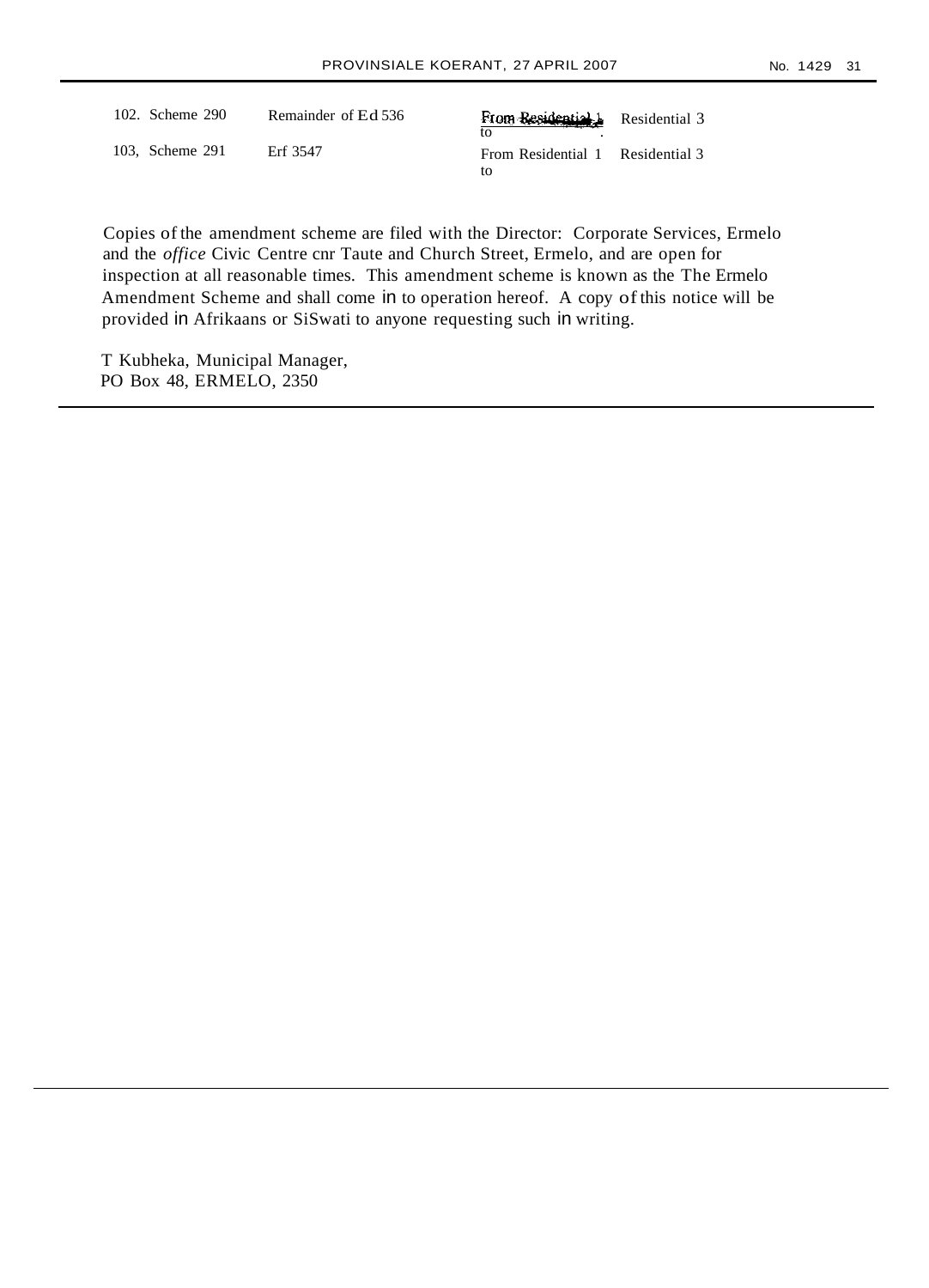|--|

Residential 3

Residential 3

| 102. Scheme 290 | Remainder of Ed 536 | From Residential<br>tΩ   |
|-----------------|---------------------|--------------------------|
| 103. Scheme 291 | Erf 3547            | From Residential 1<br>tο |

Copies of the amendment scheme are filed with the Director: Corporate Services, Ermelo and the *office* Civic Centre cnr Taute and Church Street, Ermelo, and are open for inspection at all reasonable times. This amendment scheme is known as the The Ermelo Amendment Scheme and shall come in to operation hereof. A copy ofthis notice will be provided in Afrikaans or SiSwati to anyone requesting such in writing.

T Kubheka, Municipal Manager, PO Box 48, ERMELO, 2350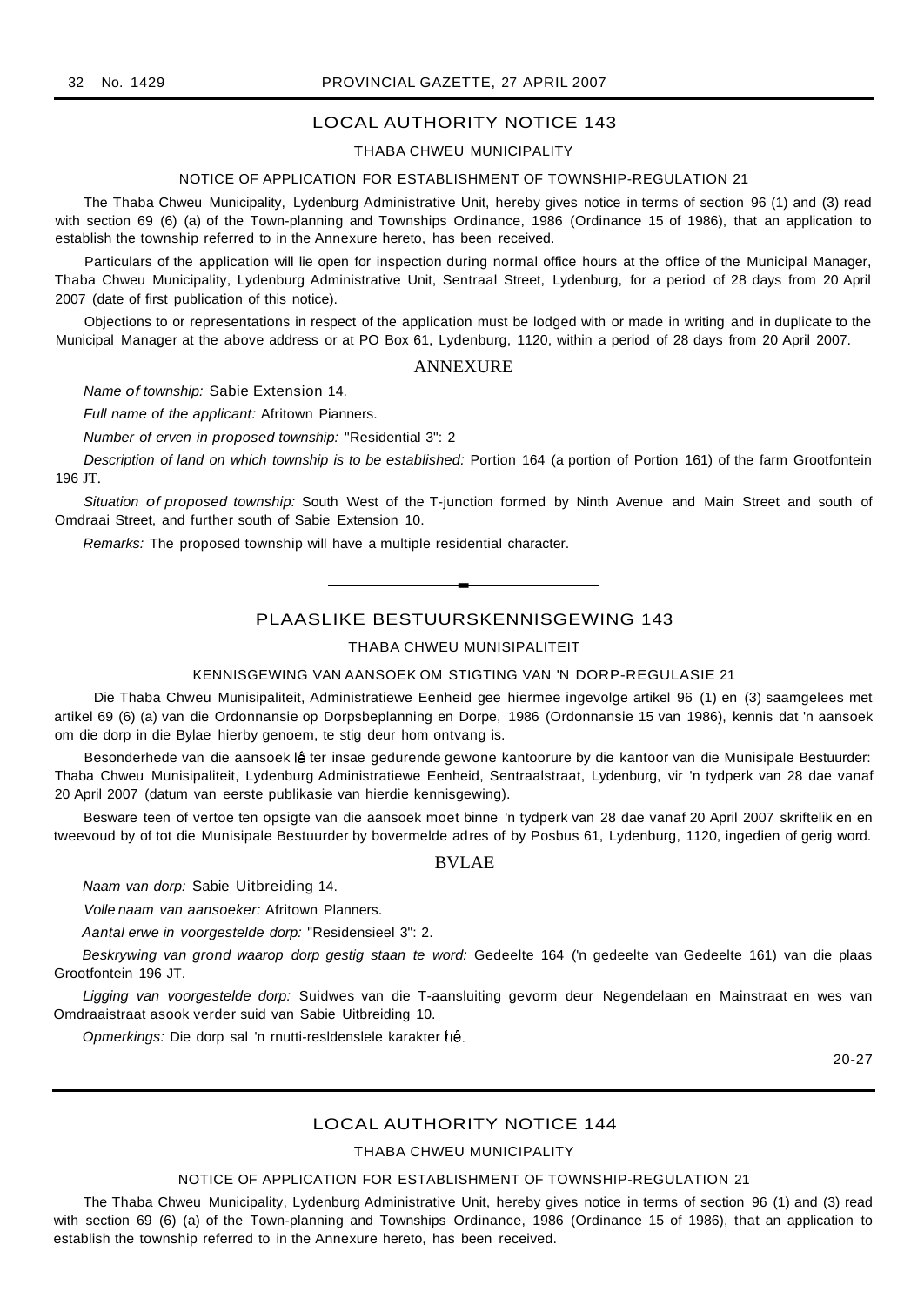## LOCAL AUTHORITY NOTICE 143

#### THABA CHWEU MUNICIPALITY

#### NOTICE OF APPLICATION FOR ESTABLISHMENT OF TOWNSHIP-REGULATION 21

The Thaba Chweu Municipality, Lydenburg Administrative Unit, hereby gives notice in terms of section 96 (1) and (3) read with section 69 (6) (a) of the Town-planning and Townships Ordinance, 1986 (Ordinance 15 of 1986), that an application to establish the township referred to in the Annexure hereto, has been received.

Particulars of the application will lie open for inspection during normal office hours at the office of the Municipal Manager, Thaba Chweu Municipality, Lydenburg Administrative Unit, Sentraal Street, Lydenburg, for a period of 28 days from 20 April 2007 (date of first publication of this notice).

Objections to or representations in respect of the application must be lodged with or made in writing and in duplicate to the Municipal Manager at the above address or at PO Box 61, Lydenburg, 1120, within a period of 28 days from 20 April 2007.

#### ANNEXURE

Name of township: Sabie Extension 14.

Full name of the applicant: Afritown Pianners.

Number of erven in proposed township: "Residential 3": 2

Description of land on which township is to be established: Portion 164 (a portion of Portion 161) of the farm Grootfontein 196 JT.

Situation of proposed township: South West of the T-junction formed by Ninth Avenue and Main Street and south of Omdraai Street, and further south of Sabie Extension 10.

Remarks: The proposed township will have a multiple residential character.

PLAASLIKE BESTUURSKENNISGEWING 143

**-**

## THABA CHWEU MUNISIPALITEIT

#### KENNISGEWING VAN AANSOEK OM STIGTING VAN 'N DORP-REGULASIE 21

Die Thaba Chweu Munisipaliteit, Administratiewe Eenheid gee hiermee ingevolge artikel 96 (1) en (3) saamgelees met artikel 69 (6) (a) van die Ordonnansie op Dorpsbeplanning en Dorpe, 1986 (Ordonnansie 15 van 1986), kennis dat 'n aansoek om die dorp in die Bylae hierby genoem, te stig deur hom ontvang is.

Besonderhede van die aansoek lê ter insae gedurende gewone kantoorure by die kantoor van die Munisipale Bestuurder: Thaba Chweu Munisipaliteit, Lydenburg Administratiewe Eenheid, Sentraalstraat, Lydenburg, vir 'n tydperk van 28 dae vanaf 20 April 2007 (datum van eerste publikasie van hierdie kennisgewing).

Besware teen of vertoe ten opsigte van die aansoek moet binne 'n tydperk van 28 dae vanaf 20 April 2007 skriftelik en en tweevoud by of tot die Munisipale Bestuurder by bovermelde adres of by Posbus 61, Lydenburg, 1120, ingedien of gerig word.

### BVLAE

Naam van dorp: Sabie Uitbreiding 14.

Volle naam van aansoeker: Afritown Planners.

Aantal erwe in voorgestelde dorp: "Residensieel 3": 2.

Beskrywing van grond waarop dorp gestig staan te word: Gedeelte 164 ('n gedeelte van Gedeelte 161) van die plaas Grootfontein 196 JT.

Ligging van voorgestelde dorp: Suidwes van die T-aansluiting gevorm deur Negendelaan en Mainstraat en wes van Omdraaistraat asook verder suid van Sabie Uitbreiding 10.

Opmerkings: Die dorp sal 'n rnutti-resldenslele karakter hê.

20-27

## LOCAL AUTHORITY NOTICE 144

#### THABA CHWEU MUNICIPALITY

#### NOTICE OF APPLICATION FOR ESTABLISHMENT OF TOWNSHIP-REGULATION 21

The Thaba Chweu Municipality, Lydenburg Administrative Unit, hereby gives notice in terms of section 96 (1) and (3) read with section 69 (6) (a) of the Town-planning and Townships Ordinance, 1986 (Ordinance 15 of 1986), that an application to establish the township referred to in the Annexure hereto, has been received.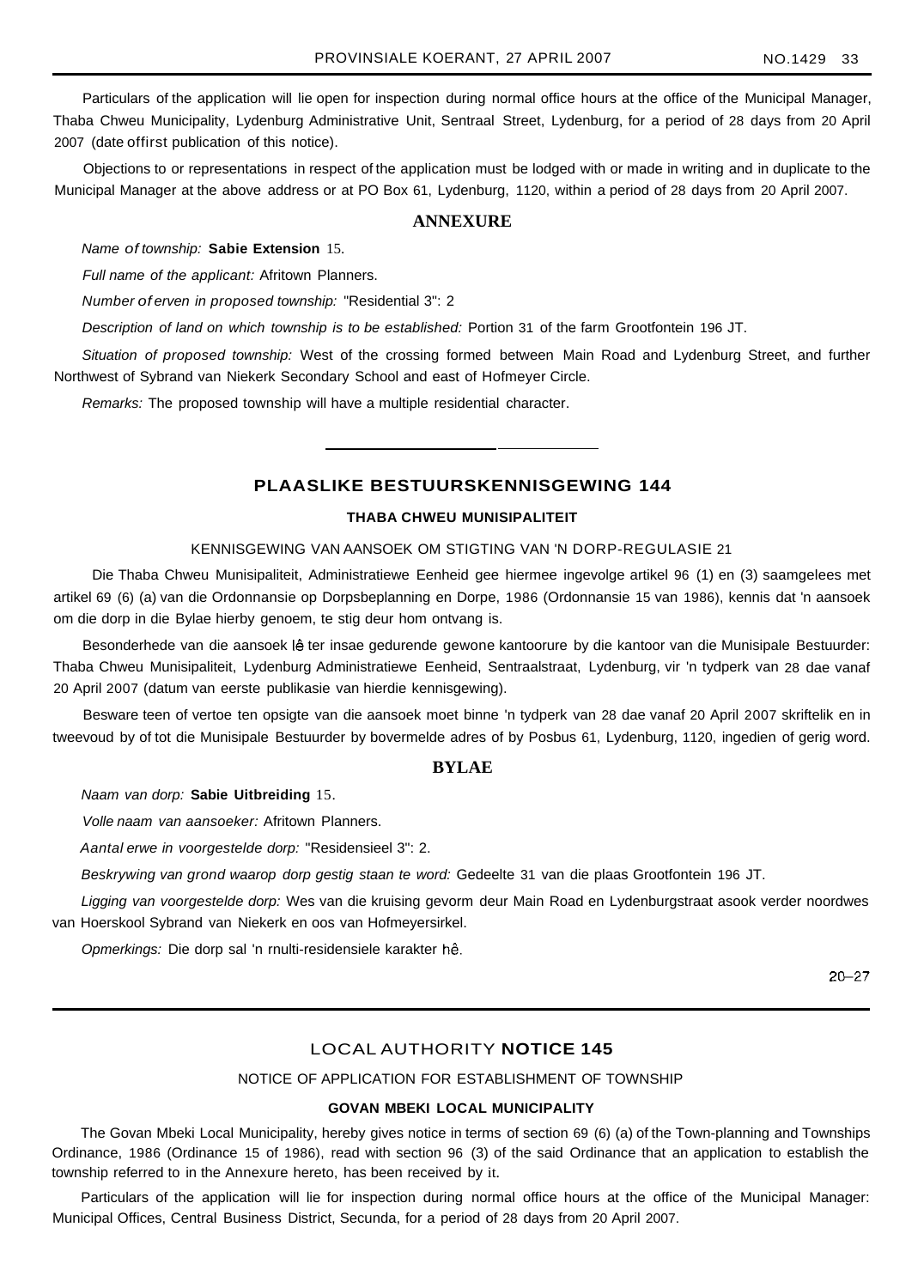Particulars of the application will lie open for inspection during normal office hours at the office of the Municipal Manager, Thaba Chweu Municipality, Lydenburg Administrative Unit, Sentraal Street, Lydenburg, for a period of 28 days from 20 April 2007 (date offirst publication of this notice).

Objections to or representations in respect of the application must be lodged with or made in writing and in duplicate to the Municipal Manager at the above address or at PO Box 61, Lydenburg, 1120, within a period of 28 days from 20 April 2007.

## **ANNEXURE**

#### Name of township: **Sabie Extension** 15.

Full name of the applicant: Afritown Planners.

Number of erven in proposed township: "Residential 3": 2

Description of land on which township is to be established: Portion 31 of the farm Grootfontein 196 JT.

Situation of proposed township: West of the crossing formed between Main Road and Lydenburg Street, and further Northwest of Sybrand van Niekerk Secondary School and east of Hofmeyer Circle.

Remarks: The proposed township will have a multiple residential character.

## **PLAASLIKE BESTUURSKENNISGEWING 144**

#### **THABA CHWEU MUNISIPALITEIT**

#### KENNISGEWING VAN AANSOEK OM STIGTING VAN 'N DORP-REGULASIE 21

Die Thaba Chweu Munisipaliteit, Administratiewe Eenheid gee hiermee ingevolge artikel 96 (1) en (3) saamgelees met artikel 69 (6) (a) van die Ordonnansie op Dorpsbeplanning en Dorpe, 1986 (Ordonnansie 15 van 1986), kennis dat 'n aansoek om die dorp in die Bylae hierby genoem, te stig deur hom ontvang is.

Besonderhede van die aansoek lê ter insae gedurende gewone kantoorure by die kantoor van die Munisipale Bestuurder: Thaba Chweu Munisipaliteit, Lydenburg Administratiewe Eenheid, Sentraalstraat, Lydenburg, vir 'n tydperk van 28 dae vanaf 20 April 2007 (datum van eerste publikasie van hierdie kennisgewing).

Besware teen of vertoe ten opsigte van die aansoek moet binne 'n tydperk van 28 dae vanaf 20 April 2007 skriftelik en in tweevoud by of tot die Munisipale Bestuurder by bovermelde adres of by Posbus 61, Lydenburg, 1120, ingedien of gerig word.

#### **BYLAE**

Naam van dorp: **Sabie Uitbreiding** 15.

Volle naam van aansoeker: Afritown Planners.

Aantal erwe in voorgestelde dorp: "Residensieel 3": 2.

Beskrywing van grond waarop dorp gestig staan te word: Gedeelte 31 van die plaas Grootfontein 196 JT.

Ligging van voorgestelde dorp: Wes van die kruising gevorm deur Main Road en Lydenburgstraat asook verder noordwes van Hoerskool Sybrand van Niekerk en oos van Hofmeyersirkel.

Opmerkings: Die dorp sal 'n rnulti-residensiele karakter hê.

2G-27

## LOCAL AUTHORITY **NOTICE 145**

NOTICE OF APPLICATION FOR ESTABLISHMENT OF TOWNSHIP

## **GOVAN MBEKI LOCAL MUNICIPALITY**

The Govan Mbeki Local Municipality, hereby gives notice in terms of section 69 (6) (a) of the Town-planning and Townships Ordinance, 1986 (Ordinance 15 of 1986), read with section 96 (3) of the said Ordinance that an application to establish the township referred to in the Annexure hereto, has been received by it.

Particulars of the application will lie for inspection during normal office hours at the office of the Municipal Manager: Municipal Offices, Central Business District, Secunda, for a period of 28 days from 20 April 2007.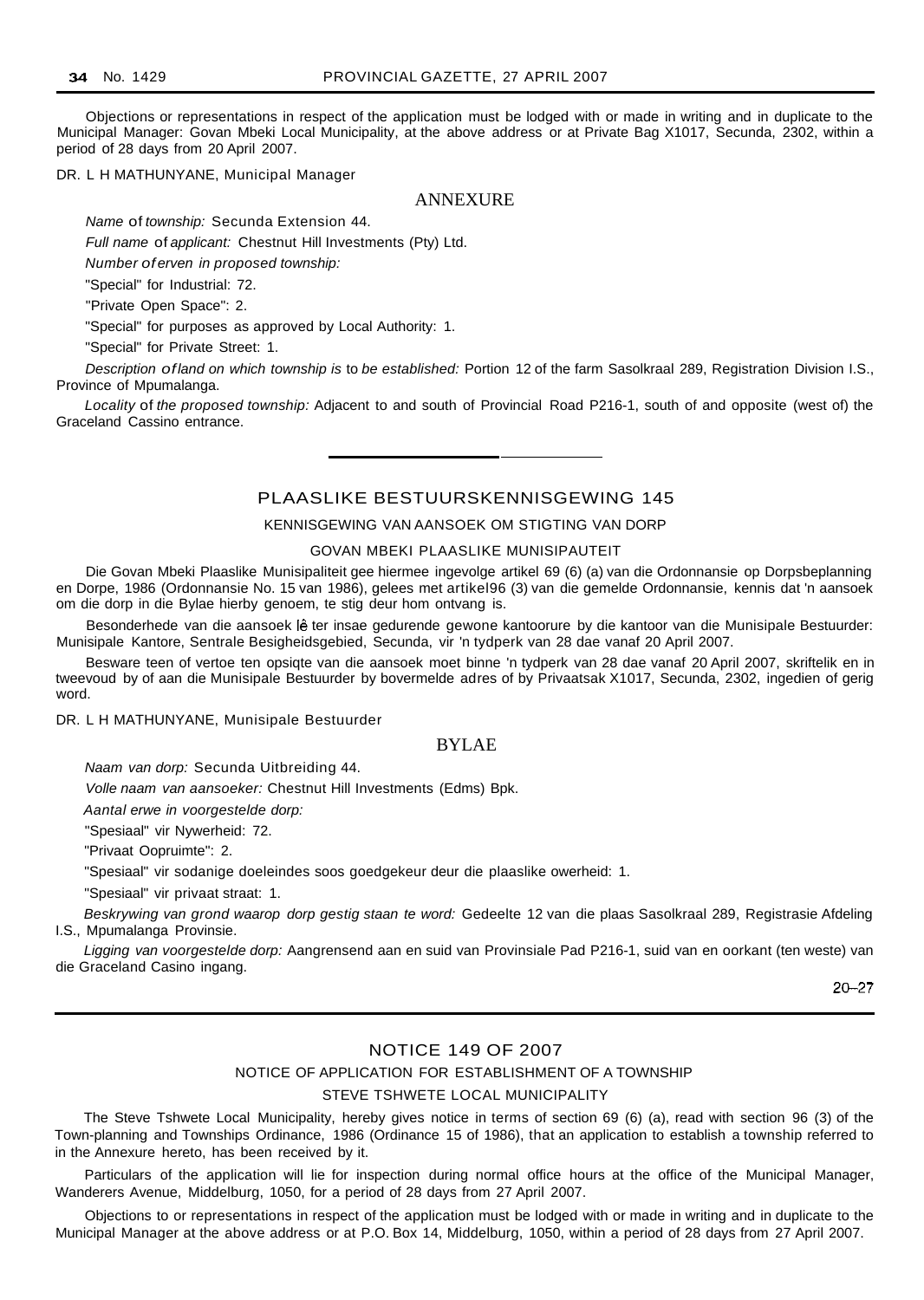Objections or representations in respect of the application must be lodged with or made in writing and in duplicate to the Municipal Manager: Govan Mbeki Local Municipality, at the above address or at Private Bag X1017, Secunda, 2302, within a period of 28 days from 20 April 2007.

DR. L H MATHUNYANE, Municipal Manager

#### ANNEXURE

Name of township: Secunda Extension 44.

Full name of applicant: Chestnut Hill Investments (Pty) Ltd.

Number of erven in proposed township:

"Special" for Industrial: 72.

"Private Open Space": 2.

"Special" for purposes as approved by Local Authority: 1.

"Special" for Private Street: 1.

Description ofland on which township is to be established: Portion 12 of the farm Sasolkraal 289, Registration Division I.S., Province of Mpumalanga.

Locality of the proposed township: Adjacent to and south of Provincial Road P216-1, south of and opposite (west of) the Graceland Cassino entrance.

## PLAASLIKE BESTUURSKENNISGEWING 145

#### KENNISGEWING VAN AANSOEK OM STIGTING VAN DORP

#### GOVAN MBEKI PLAASLIKE MUNISIPAUTEIT

Die Govan Mbeki Plaaslike Munisipaliteit gee hiermee ingevolge artikel 69 (6) (a) van die Ordonnansie op Dorpsbeplanning en Dorpe, 1986 (Ordonnansie No. 15 van 1986), gelees met artikel96 (3) van die gemelde Ordonnansie, kennis dat 'n aansoek om die dorp in die Bylae hierby genoem, te stig deur hom ontvang is.

Besonderhede van die aansoek lê ter insae gedurende gewone kantoorure by die kantoor van die Munisipale Bestuurder: Munisipale Kantore, Sentrale Besigheidsgebied, Secunda, vir 'n tydperk van 28 dae vanaf 20 April 2007.

Besware teen of vertoe ten opsiqte van die aansoek moet binne 'n tydperk van 28 dae vanaf 20 April 2007, skriftelik en in tweevoud by of aan die Munisipale Bestuurder by bovermelde adres of by Privaatsak X1017, Secunda, 2302, ingedien of gerig word.

DR. L H MATHUNYANE, Munisipale Bestuurder

## BYLAE

Naam van dorp: Secunda Uitbreiding 44.

Volle naam van aansoeker: Chestnut Hill Investments (Edms) Bpk.

Aantal erwe in voorgestelde dorp:

"Spesiaal" vir Nywerheid: 72.

"Privaat Oopruimte": 2.

"Spesiaal" vir sodanige doeleindes soos goedgekeur deur die plaaslike owerheid: 1.

"Spesiaal" vir privaat straat: 1.

Beskrywing van grond waarop dorp gestig staan te word: Gedeelte 12 van die plaas Sasolkraal 289, Registrasie Afdeling I.S., Mpumalanga Provinsie.

Ligging van voorgestelde dorp: Aangrensend aan en suid van Provinsiale Pad P216-1, suid van en oorkant (ten weste) van die Graceland Casino ingang.

20-27

## NOTICE 149 OF 2007

#### NOTICE OF APPLICATION FOR ESTABLISHMENT OF A TOWNSHIP

#### STEVE TSHWETE LOCAL MUNICIPALITY

The Steve Tshwete Local Municipality, hereby gives notice in terms of section 69 (6) (a), read with section 96 (3) of the Town-planning and Townships Ordinance, 1986 (Ordinance 15 of 1986), that an application to establish a township referred to in the Annexure hereto, has been received by it.

Particulars of the application will lie for inspection during normal office hours at the office of the Municipal Manager, Wanderers Avenue, Middelburg, 1050, for a period of 28 days from 27 April 2007.

Objections to or representations in respect of the application must be lodged with or made in writing and in duplicate to the Municipal Manager at the above address or at P.O. Box 14, Middelburg, 1050, within a period of 28 days from 27 April 2007.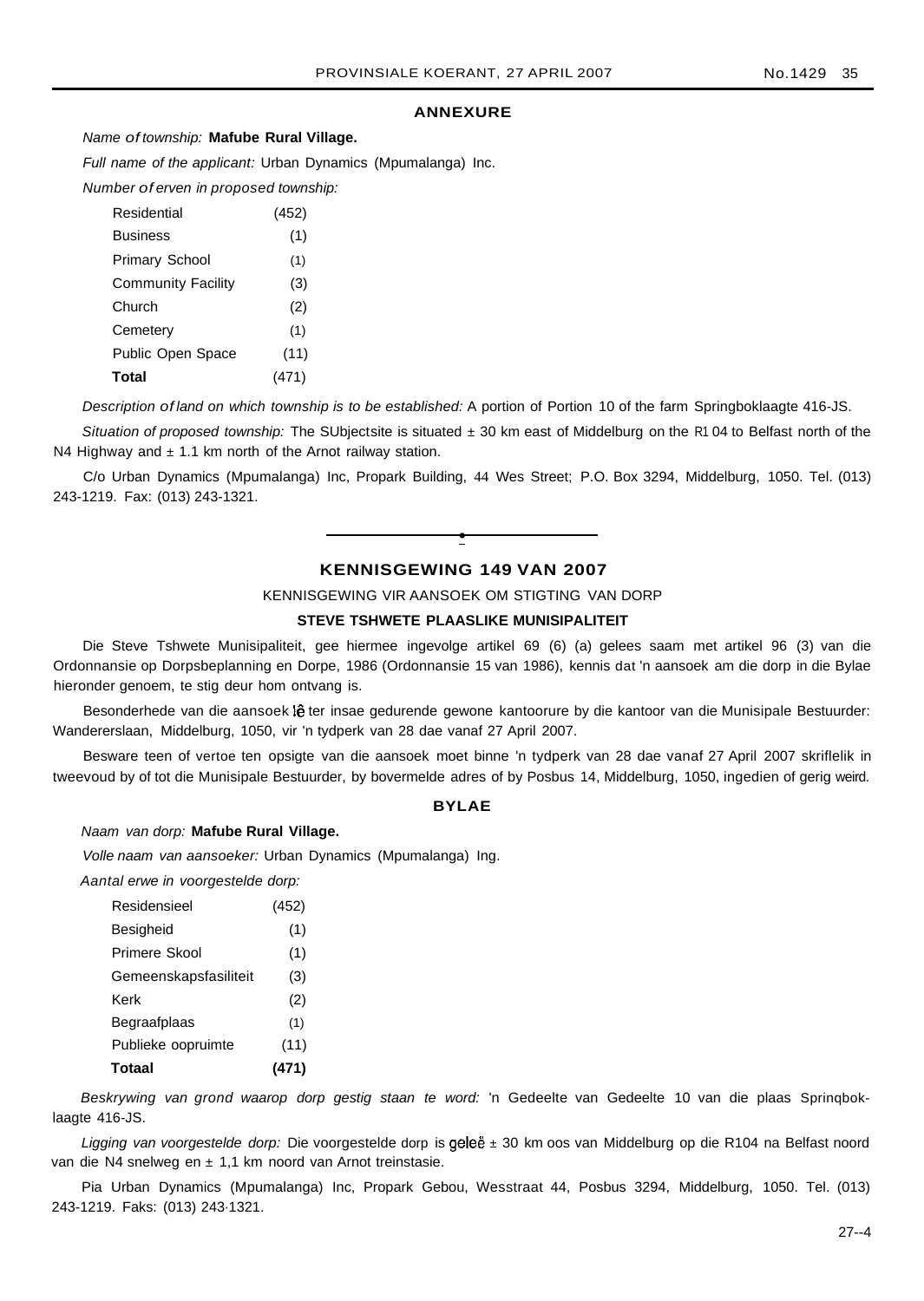#### **ANNEXURE**

#### Name of township: **Mafube Rural Village.**

Full name of the applicant: Urban Dynamics (Mpumalanga) Inc.

Number of erven in proposed township:

| Residential               | (452) |
|---------------------------|-------|
| <b>Business</b>           | (1)   |
| <b>Primary School</b>     | (1)   |
| <b>Community Facility</b> | (3)   |
| Church                    | (2)   |
| Cemetery                  | (1)   |
| <b>Public Open Space</b>  | (11)  |
| Total                     | (471) |

Description of land on which township is to be established: A portion of Portion 10 of the farm Springboklaagte 416-JS.

Situation of proposed township: The SUbjectsite is situated  $\pm$  30 km east of Middelburg on the R1 04 to Belfast north of the N4 Highway and  $\pm$  1.1 km north of the Arnot railway station.

C/o Urban Dynamics (Mpumalanga) Inc, Propark Building, 44 Wes Street; P.O. Box 3294, Middelburg, 1050. Tel. (013) 243-1219. Fax: (013) 243-1321.

## **KENNISGEWING 149 VAN 2007**

**•**

KENNISGEWING VIR AANSOEK OM STIGTING VAN DORP

## **STEVE TSHWETE PLAASLIKE MUNISIPALITEIT**

Die Steve Tshwete Munisipaliteit, gee hiermee ingevolge artikel 69 (6) (a) gelees saam met artikel 96 (3) van die Ordonnansie op Dorpsbeplanning en Dorpe, 1986 (Ordonnansie 15 van 1986), kennis dat 'n aansoek am die dorp in die Bylae hieronder genoem, te stig deur hom ontvang is.

Besonderhede van die aansoek lê ter insae gedurende gewone kantoorure by die kantoor van die Munisipale Bestuurder: Wandererslaan, Middelburg, 1050, vir 'n tydperk van 28 dae vanaf 27 April 2007.

Besware teen of vertoe ten opsigte van die aansoek moet binne 'n tydperk van 28 dae vanaf 27 April 2007 skriflelik in tweevoud by of tot die Munisipale Bestuurder, by bovermelde adres of by Posbus 14, Middelburg, 1050, ingedien of gerig weird.

#### **BYLAE**

#### Naam van dorp: **Mafube Rural Village.**

Volle naam van aansoeker: Urban Dynamics (Mpumalanga) Ing.

Aantal erwe in voorgestelde dorp:

| Residensieel          | (452) |
|-----------------------|-------|
| Besigheid             | (1)   |
| Primere Skool         | (1)   |
| Gemeenskapsfasiliteit | (3)   |
| Kerk                  | (2)   |
| Begraafplaas          | (1)   |
| Publieke oopruimte    | (11)  |
| Totaal                | (471) |

Beskrywing van grond waarop dorp gestig staan te word: 'n Gedeelte van Gedeelte 10 van die plaas Sprinqboklaagte 416-JS.

Ligging van voorgestelde dorp: Die voorgestelde dorp is geleë ± 30 km oos van Middelburg op die R104 na Belfast noord van die N4 snelweg en ± 1,1 km noord van Arnot treinstasie.

Pia Urban Dynamics (Mpumalanga) Inc, Propark Gebou, Wesstraat 44, Posbus 3294, Middelburg, 1050. Tel. (013) 243-1219. Faks: (013) 243·1321.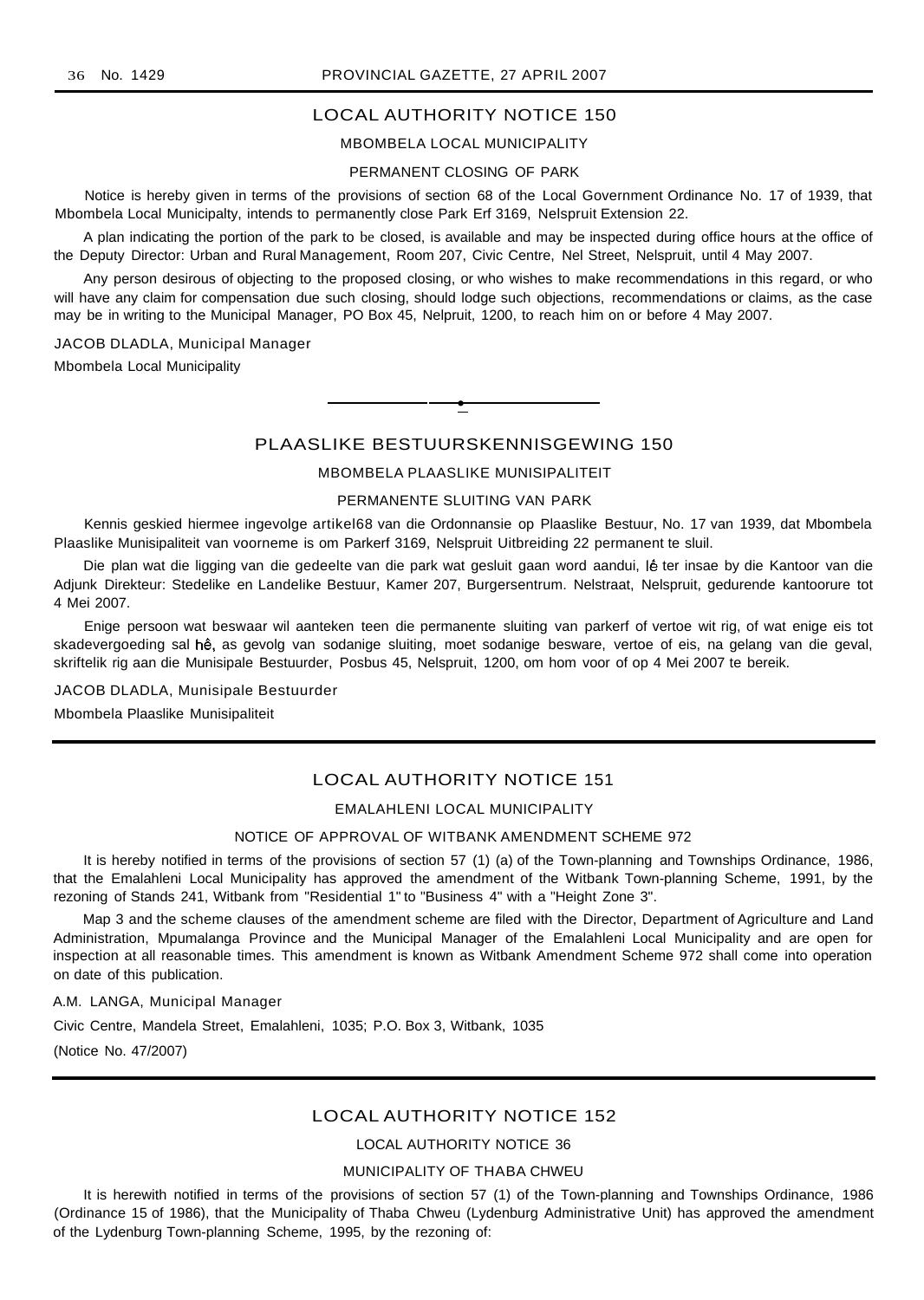## LOCAL AUTHORITY NOTICE 150

#### MBOMBELA LOCAL MUNICIPALITY

#### PERMANENT CLOSING OF PARK

Notice is hereby given in terms of the provisions of section 68 of the Local Government Ordinance No. 17 of 1939, that Mbombela Local Municipalty, intends to permanently close Park Erf 3169, Nelspruit Extension 22.

A plan indicating the portion of the park to be closed, is available and may be inspected during office hours at the office of the Deputy Director: Urban and Rural Management, Room 207, Civic Centre, Nel Street, Nelspruit, until 4 May 2007.

Any person desirous of objecting to the proposed closing, or who wishes to make recommendations in this regard, or who will have any claim for compensation due such closing, should lodge such objections, recommendations or claims, as the case may be in writing to the Municipal Manager, PO Box 45, Nelpruit, 1200, to reach him on or before 4 May 2007.

JACOB DLADLA, Municipal Manager

Mbombela Local Municipality

PLAASLIKE BESTUURSKENNISGEWING 150

**•**

## MBOMBELA PLAASLIKE MUNISIPALITEIT

#### PERMANENTE SLUITING VAN PARK

Kennis geskied hiermee ingevolge artikel68 van die Ordonnansie op Plaaslike Bestuur, No. 17 van 1939, dat Mbombela Plaaslike Munisipaliteit van voorneme is om Parkerf 3169, Nelspruit Uitbreiding 22 permanent te sluil.

Die plan wat die ligging van die gedeelte van die park wat gesluit gaan word aandui, lê ter insae by die Kantoor van die Adjunk Direkteur: Stedelike en Landelike Bestuur, Kamer 207, Burgersentrum. Nelstraat, Nelspruit, gedurende kantoorure tot 4 Mei 2007.

Enige persoon wat beswaar wil aanteken teen die permanente sluiting van parkerf of vertoe wit rig, of wat enige eis tot skadevergoeding sal hê, as gevolg van sodanige sluiting, moet sodanige besware, vertoe of eis, na gelang van die geval, skriftelik rig aan die Munisipale Bestuurder, Posbus 45, Nelspruit, 1200, om hom voor of op 4 Mei 2007 te bereik.

JACOB DLADLA, Munisipale Bestuurder

Mbombela Plaaslike Munisipaliteit

## LOCAL AUTHORITY NOTICE 151

## EMALAHLENI LOCAL MUNICIPALITY

#### NOTICE OF APPROVAL OF WITBANK AMENDMENT SCHEME 972

It is hereby notified in terms of the provisions of section 57 (1) (a) of the Town-planning and Townships Ordinance, 1986, that the Emalahleni Local Municipality has approved the amendment of the Witbank Town-planning Scheme, 1991, by the rezoning of Stands 241, Witbank from "Residential 1" to "Business 4" with a "Height Zone 3".

Map 3 and the scheme clauses of the amendment scheme are filed with the Director, Department of Agriculture and Land Administration, Mpumalanga Province and the Municipal Manager of the Emalahleni Local Municipality and are open for inspection at all reasonable times. This amendment is known as Witbank Amendment Scheme 972 shall come into operation on date of this publication.

## A.M. LANGA, Municipal Manager

Civic Centre, Mandela Street, Emalahleni, 1035; P.O. Box 3, Witbank, 1035

(Notice No. 47/2007)

## LOCAL AUTHORITY NOTICE 152

#### LOCAL AUTHORITY NOTICE 36

## MUNICIPALITY OF THABA CHWEU

It is herewith notified in terms of the provisions of section 57 (1) of the Town-planning and Townships Ordinance, 1986 (Ordinance 15 of 1986), that the Municipality of Thaba Chweu (Lydenburg Administrative Unit) has approved the amendment of the Lydenburg Town-planning Scheme, 1995, by the rezoning of: